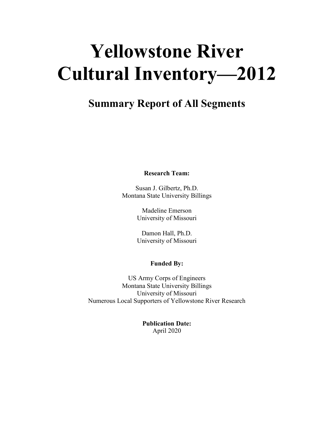# **Yellowstone River Cultural Inventory—2012**

### **Summary Report of All Segments**

**Research Team:**

Susan J. Gilbertz, Ph.D. Montana State University Billings

> Madeline Emerson University of Missouri

> Damon Hall, Ph.D. University of Missouri

#### **Funded By:**

US Army Corps of Engineers Montana State University Billings University of Missouri Numerous Local Supporters of Yellowstone River Research

> **Publication Date:** April 2020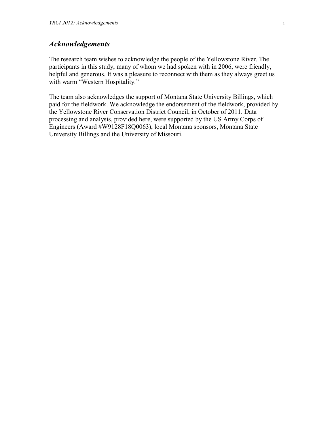#### *Acknowledgements*

The research team wishes to acknowledge the people of the Yellowstone River. The participants in this study, many of whom we had spoken with in 2006, were friendly, helpful and generous. It was a pleasure to reconnect with them as they always greet us with warm "Western Hospitality."

The team also acknowledges the support of Montana State University Billings, which paid for the fieldwork. We acknowledge the endorsement of the fieldwork, provided by the Yellowstone River Conservation District Council, in October of 2011. Data processing and analysis, provided here, were supported by the US Army Corps of Engineers (Award #W9128F18Q0063), local Montana sponsors, Montana State University Billings and the University of Missouri.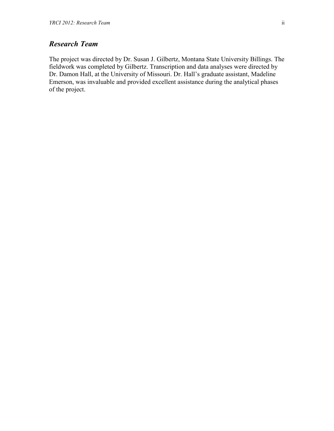#### *Research Team*

The project was directed by Dr. Susan J. Gilbertz, Montana State University Billings. The fieldwork was completed by Gilbertz. Transcription and data analyses were directed by Dr. Damon Hall, at the University of Missouri. Dr. Hall's graduate assistant, Madeline Emerson, was invaluable and provided excellent assistance during the analytical phases of the project.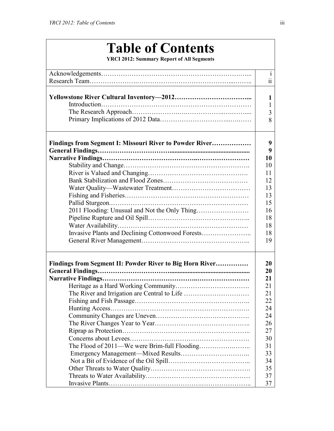### **Table of Contents**

**YRCI 2012: Summary Report of All Segments**

|                                                          | $\overline{i}$  |
|----------------------------------------------------------|-----------------|
|                                                          | $\overline{11}$ |
|                                                          |                 |
|                                                          |                 |
|                                                          | 1               |
|                                                          | $\mathbf{1}$    |
|                                                          | 3               |
|                                                          | 8               |
|                                                          |                 |
|                                                          |                 |
| Findings from Segment I: Missouri River to Powder River  | 9               |
|                                                          | 9               |
|                                                          | 10              |
|                                                          | 10              |
|                                                          | 11              |
|                                                          |                 |
|                                                          | 12              |
|                                                          | 13              |
|                                                          | 13              |
|                                                          | 15              |
| 2011 Flooding: Unusual and Not the Only Thing            | 16              |
|                                                          | 18              |
|                                                          | 18              |
| Invasive Plants and Declining Cottonwood Forests         | 18              |
|                                                          |                 |
|                                                          | 19              |
|                                                          |                 |
| Findings from Segment II: Powder River to Big Horn River | 20              |
|                                                          | 20              |
|                                                          | 21              |
|                                                          | 21              |
|                                                          | 21              |
| The River and Irrigation are Central to Life             |                 |
|                                                          | 22              |
|                                                          | 24              |
|                                                          | 24              |
|                                                          | 26              |
|                                                          | 27              |
|                                                          | 30              |
|                                                          | 31              |
|                                                          | 33              |
|                                                          |                 |
|                                                          | 34              |
|                                                          | 35              |
|                                                          | 37              |
|                                                          | 37              |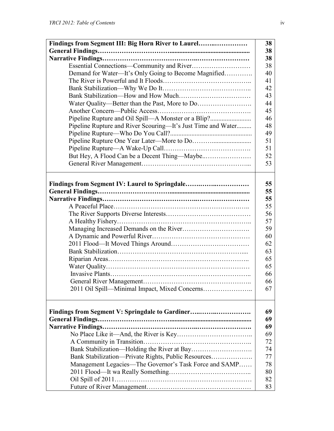| Findings from Segment III: Big Horn River to Laurel          | 38 |
|--------------------------------------------------------------|----|
|                                                              | 38 |
|                                                              | 38 |
|                                                              | 38 |
| Demand for Water-It's Only Going to Become Magnified         | 40 |
|                                                              | 41 |
|                                                              | 42 |
|                                                              | 43 |
|                                                              | 44 |
|                                                              | 45 |
| Pipeline Rupture and Oil Spill—A Monster or a Blip?          | 46 |
| Pipeline Rupture and River Scouring—It's Just Time and Water | 48 |
|                                                              | 49 |
|                                                              | 51 |
|                                                              | 51 |
|                                                              | 52 |
|                                                              | 53 |
|                                                              |    |
|                                                              |    |
| Findings from Segment IV: Laurel to Springdale               | 55 |
|                                                              | 55 |
|                                                              | 55 |
|                                                              | 55 |
|                                                              | 56 |
|                                                              | 57 |
|                                                              | 59 |
|                                                              | 60 |
|                                                              | 62 |
|                                                              | 63 |
|                                                              | 65 |
|                                                              | 65 |
|                                                              | 66 |
|                                                              | 66 |
|                                                              | 67 |
|                                                              |    |
|                                                              |    |
| Findings from Segment V: Springdale to Gardiner              | 69 |
|                                                              | 69 |
|                                                              | 69 |
|                                                              | 69 |
|                                                              | 72 |
|                                                              | 74 |
| Bank Stabilization—Private Rights, Public Resources          | 77 |
| Management Legacies-The Governor's Task Force and SAMP       | 78 |
|                                                              | 80 |
|                                                              | 82 |
|                                                              | 83 |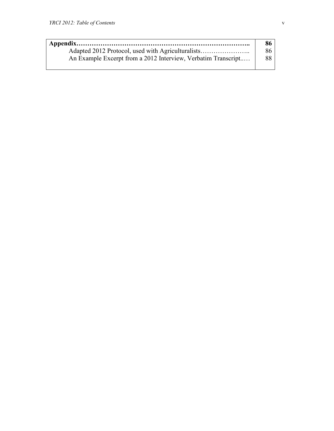|                                                               | 86 |
|---------------------------------------------------------------|----|
|                                                               | 86 |
| An Example Excerpt from a 2012 Interview, Verbatim Transcript | 88 |
|                                                               |    |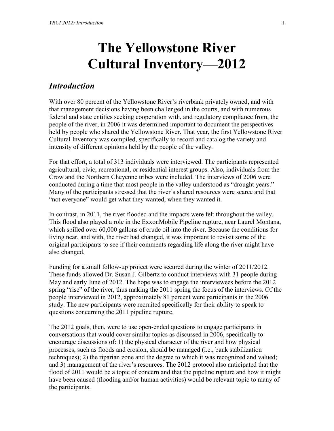# **The Yellowstone River Cultural Inventory—2012**

#### *Introduction*

With over 80 percent of the Yellowstone River's riverbank privately owned, and with that management decisions having been challenged in the courts, and with numerous federal and state entities seeking cooperation with, and regulatory compliance from, the people of the river, in 2006 it was determined important to document the perspectives held by people who shared the Yellowstone River. That year, the first Yellowstone River Cultural Inventory was compiled, specifically to record and catalog the variety and intensity of different opinions held by the people of the valley.

For that effort, a total of 313 individuals were interviewed. The participants represented agricultural, civic, recreational, or residential interest groups. Also, individuals from the Crow and the Northern Cheyenne tribes were included. The interviews of 2006 were conducted during a time that most people in the valley understood as "drought years." Many of the participants stressed that the river's shared resources were scarce and that "not everyone" would get what they wanted, when they wanted it.

In contrast, in 2011, the river flooded and the impacts were felt throughout the valley. This flood also played a role in the ExxonMobile Pipeline rupture, near Laurel Montana, which spilled over 60,000 gallons of crude oil into the river. Because the conditions for living near, and with, the river had changed, it was important to revisit some of the original participants to see if their comments regarding life along the river might have also changed.

Funding for a small follow-up project were secured during the winter of 2011/2012. These funds allowed Dr. Susan J. Gilbertz to conduct interviews with 31 people during May and early June of 2012. The hope was to engage the interviewees before the 2012 spring "rise" of the river, thus making the 2011 spring the focus of the interviews. Of the people interviewed in 2012, approximately 81 percent were participants in the 2006 study. The new participants were recruited specifically for their ability to speak to questions concerning the 2011 pipeline rupture.

The 2012 goals, then, were to use open-ended questions to engage participants in conversations that would cover similar topics as discussed in 2006, specifically to encourage discussions of: 1) the physical character of the river and how physical processes, such as floods and erosion, should be managed (i.e., bank stabilization techniques); 2) the riparian zone and the degree to which it was recognized and valued; and 3) management of the river's resources. The 2012 protocol also anticipated that the flood of 2011 would be a topic of concern and that the pipeline rupture and how it might have been caused (flooding and/or human activities) would be relevant topic to many of the participants.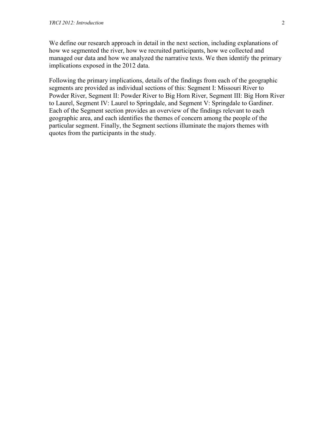We define our research approach in detail in the next section, including explanations of how we segmented the river, how we recruited participants, how we collected and managed our data and how we analyzed the narrative texts. We then identify the primary implications exposed in the 2012 data.

Following the primary implications, details of the findings from each of the geographic segments are provided as individual sections of this: Segment I: Missouri River to Powder River, Segment II: Powder River to Big Horn River, Segment III: Big Horn River to Laurel, Segment IV: Laurel to Springdale, and Segment V: Springdale to Gardiner. Each of the Segment section provides an overview of the findings relevant to each geographic area, and each identifies the themes of concern among the people of the particular segment. Finally, the Segment sections illuminate the majors themes with quotes from the participants in the study.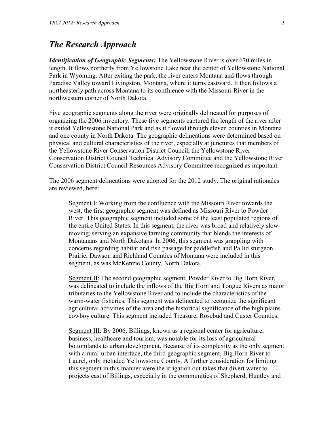#### *The Research Approach*

*Identification of Geographic Segments:* The Yellowstone River is over 670 miles in length. It flows northerly from Yellowstone Lake near the center of Yellowstone National Park in Wyoming. After exiting the park, the river enters Montana and flows through Paradise Valley toward Livingston, Montana, where it turns eastward. It then follows a northeasterly path across Montana to its confluence with the Missouri River in the northwestern corner of North Dakota.

Five geographic segments along the river were originally delineated for purposes of organizing the 2006 inventory. These five segments captured the length of the river after it exited Yellowstone National Park and as it flowed through eleven counties in Montana and one county in North Dakota. The geographic delineations were determined based on physical and cultural characteristics of the river, especially at junctures that members of the Yellowstone River Conservation District Council, the Yellowstone River Conservation District Council Technical Advisory Committee and the Yellowstone River Conservation District Council Resources Advisory Committee recognized as important.

The 2006 segment delineations were adopted for the 2012 study. The original rationales are reviewed, here:

Segment I: Working from the confluence with the Missouri River towards the west, the first geographic segment was defined as Missouri River to Powder River. This geographic segment included some of the least populated regions of the entire United States. In this segment, the river was broad and relatively slowmoving, serving an expansive farming community that blends the interests of Montanans and North Dakotans. In 2006, this segment was grappling with concerns regarding habitat and fish passage for paddlefish and Pallid sturgeon. Prairie, Dawson and Richland Counties of Montana were included in this segment, as was McKenzie County, North Dakota.

Segment II: The second geographic segment, Powder River to Big Horn River, was delineated to include the inflows of the Big Horn and Tongue Rivers as major tributaries to the Yellowstone River and to include the characteristics of the warm-water fisheries. This segment was delineated to recognize the significant agricultural activities of the area and the historical significance of the high plains cowboy culture. This segment included Treasure, Rosebud and Custer Counties.

Segment III: By 2006, Billings, known as a regional center for agriculture, business, healthcare and tourism, was notable for its loss of agricultural bottomlands to urban development. Because of its complexity as the only segment with a rural-urban interface, the third geographic segment, Big Horn River to Laurel, only included Yellowstone County. A further consideration for limiting this segment in this manner were the irrigation out-takes that divert water to projects east of Billings, especially in the communities of Shepherd, Huntley and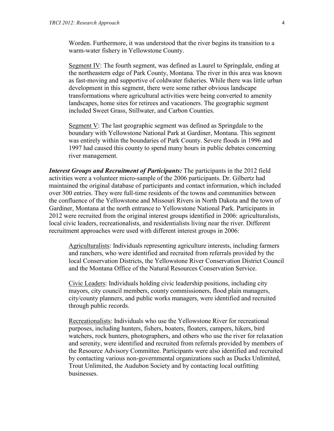Worden. Furthermore, it was understood that the river begins its transition to a warm-water fishery in Yellowstone County.

Segment IV: The fourth segment, was defined as Laurel to Springdale, ending at the northeastern edge of Park County, Montana. The river in this area was known as fast-moving and supportive of coldwater fisheries. While there was little urban development in this segment, there were some rather obvious landscape transformations where agricultural activities were being converted to amenity landscapes, home sites for retirees and vacationers. The geographic segment included Sweet Grass, Stillwater, and Carbon Counties.

Segment V: The last geographic segment was defined as Springdale to the boundary with Yellowstone National Park at Gardiner, Montana. This segment was entirely within the boundaries of Park County. Severe floods in 1996 and 1997 had caused this county to spend many hours in public debates concerning river management.

*Interest Groups and Recruitment of Participants:* The participants in the 2012 field activities were a volunteer micro-sample of the 2006 participants. Dr. Gilbertz had maintained the original database of participants and contact information, which included over 300 entries. They were full-time residents of the towns and communities between the confluence of the Yellowstone and Missouri Rivers in North Dakota and the town of Gardiner, Montana at the north entrance to Yellowstone National Park. Participants in 2012 were recruited from the original interest groups identified in 2006: agriculturalists, local civic leaders, recreationalists, and residentialists living near the river. Different recruitment approaches were used with different interest groups in 2006:

Agriculturalists: Individuals representing agriculture interests, including farmers and ranchers, who were identified and recruited from referrals provided by the local Conservation Districts, the Yellowstone River Conservation District Council and the Montana Office of the Natural Resources Conservation Service.

Civic Leaders: Individuals holding civic leadership positions, including city mayors, city council members, county commissioners, flood plain managers, city/county planners, and public works managers, were identified and recruited through public records.

Recreationalists: Individuals who use the Yellowstone River for recreational purposes, including hunters, fishers, boaters, floaters, campers, hikers, bird watchers, rock hunters, photographers, and others who use the river for relaxation and serenity, were identified and recruited from referrals provided by members of the Resource Advisory Committee. Participants were also identified and recruited by contacting various non-governmental organizations such as Ducks Unlimited, Trout Unlimited, the Audubon Society and by contacting local outfitting businesses.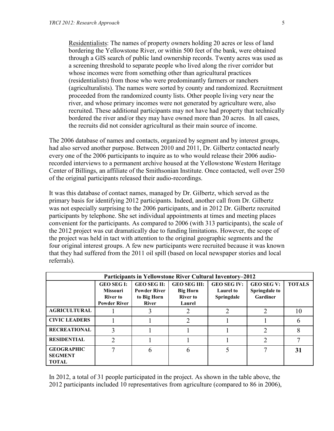Residentialists: The names of property owners holding 20 acres or less of land bordering the Yellowstone River, or within 500 feet of the bank, were obtained through a GIS search of public land ownership records. Twenty acres was used as a screening threshold to separate people who lived along the river corridor but whose incomes were from something other than agricultural practices (residentialists) from those who were predominantly farmers or ranchers (agriculturalists). The names were sorted by county and randomized. Recruitment proceeded from the randomized county lists. Other people living very near the river, and whose primary incomes were not generated by agriculture were, also recruited. These additional participants may not have had property that technically bordered the river and/or they may have owned more than 20 acres. In all cases, the recruits did not consider agricultural as their main source of income.

The 2006 database of names and contacts, organized by segment and by interest groups, had also served another purpose. Between 2010 and 2011, Dr. Gilbertz contacted nearly every one of the 2006 participants to inquire as to who would release their 2006 audiorecorded interviews to a permanent archive housed at the Yellowstone Western Heritage Center of Billings, an affiliate of the Smithsonian Institute. Once contacted, well over 250 of the original participants released their audio-recordings.

It was this database of contact names, managed by Dr. Gilbertz, which served as the primary basis for identifying 2012 participants. Indeed, another call from Dr. Gilbertz was not especially surprising to the 2006 participants, and in 2012 Dr. Gilbertz recruited participants by telephone. She set individual appointments at times and meeting places convenient for the participants. As compared to 2006 (with 313 participants), the scale of the 2012 project was cut dramatically due to funding limitations. However, the scope of the project was held in tact with attention to the original geographic segments and the four original interest groups. A few new participants were recruited because it was known that they had suffered from the 2011 oil spill (based on local newspaper stories and local referrals).

| Participants in Yellowstone River Cultural Inventory-2012 |                                                                                |                                                                          |                                                                     |                                                      |                                                |               |  |  |  |
|-----------------------------------------------------------|--------------------------------------------------------------------------------|--------------------------------------------------------------------------|---------------------------------------------------------------------|------------------------------------------------------|------------------------------------------------|---------------|--|--|--|
|                                                           | <b>GEO SEG I:</b><br><b>Missouri</b><br><b>River to</b><br><b>Powder River</b> | <b>GEO SEG II:</b><br><b>Powder River</b><br>to Big Horn<br><b>River</b> | <b>GEO SEG III:</b><br><b>Big Horn</b><br><b>River to</b><br>Laurel | <b>GEO SEG IV:</b><br><b>Laurel to</b><br>Springdale | <b>GEO SEG V:</b><br>Springdale to<br>Gardiner | <b>TOTALS</b> |  |  |  |
| <b>AGRICULTURAL</b>                                       |                                                                                |                                                                          |                                                                     |                                                      |                                                | 10            |  |  |  |
| <b>CIVIC LEADERS</b>                                      |                                                                                |                                                                          |                                                                     |                                                      |                                                |               |  |  |  |
| <b>RECREATIONAL</b>                                       | 3                                                                              |                                                                          |                                                                     |                                                      | າ                                              |               |  |  |  |
| <b>RESIDENTIAL</b>                                        | $\mathfrak{D}$                                                                 |                                                                          |                                                                     |                                                      | ↑                                              |               |  |  |  |
| <b>GEOGRAPHIC</b><br><b>SEGMENT</b><br><b>TOTAL</b>       |                                                                                | h                                                                        |                                                                     |                                                      |                                                | 31            |  |  |  |

In 2012, a total of 31 people participated in the project. As shown in the table above, the 2012 participants included 10 representatives from agriculture (compared to 86 in 2006),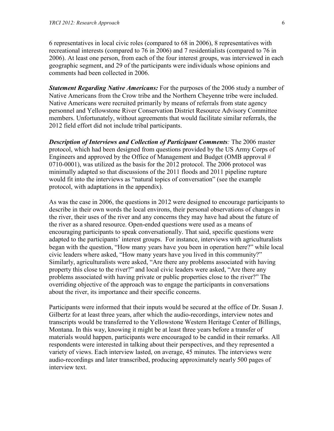6 representatives in local civic roles (compared to 68 in 2006), 8 representatives with recreational interests (compared to 76 in 2006) and 7 residentialists (compared to 76 in 2006). At least one person, from each of the four interest groups, was interviewed in each geographic segment, and 29 of the participants were individuals whose opinions and comments had been collected in 2006.

*Statement Regarding Native Americans:* For the purposes of the 2006 study a number of Native Americans from the Crow tribe and the Northern Cheyenne tribe were included. Native Americans were recruited primarily by means of referrals from state agency personnel and Yellowstone River Conservation District Resource Advisory Committee members. Unfortunately, without agreements that would facilitate similar referrals, the 2012 field effort did not include tribal participants.

*Description of Interviews and Collection of Participant Comments:* The 2006 master protocol, which had been designed from questions provided by the US Army Corps of Engineers and approved by the Office of Management and Budget (OMB approval # 0710-0001), was utilized as the basis for the 2012 protocol. The 2006 protocol was minimally adapted so that discussions of the 2011 floods and 2011 pipeline rupture would fit into the interviews as "natural topics of conversation" (see the example protocol, with adaptations in the appendix).

As was the case in 2006, the questions in 2012 were designed to encourage participants to describe in their own words the local environs, their personal observations of changes in the river, their uses of the river and any concerns they may have had about the future of the river as a shared resource. Open-ended questions were used as a means of encouraging participants to speak conversationally. That said, specific questions were adapted to the participants' interest groups. For instance, interviews with agriculturalists began with the question, "How many years have you been in operation here?" while local civic leaders where asked, "How many years have you lived in this community?" Similarly, agriculturalists were asked, "Are there any problems associated with having property this close to the river?" and local civic leaders were asked, "Are there any problems associated with having private or public properties close to the river?" The overriding objective of the approach was to engage the participants in conversations about the river, its importance and their specific concerns.

Participants were informed that their inputs would be secured at the office of Dr. Susan J. Gilbertz for at least three years, after which the audio-recordings, interview notes and transcripts would be transferred to the Yellowstone Western Heritage Center of Billings, Montana. In this way, knowing it might be at least three years before a transfer of materials would happen, participants were encouraged to be candid in their remarks. All respondents were interested in talking about their perspectives, and they represented a variety of views. Each interview lasted, on average, 45 minutes. The interviews were audio-recordings and later transcribed, producing approximately nearly 500 pages of interview text.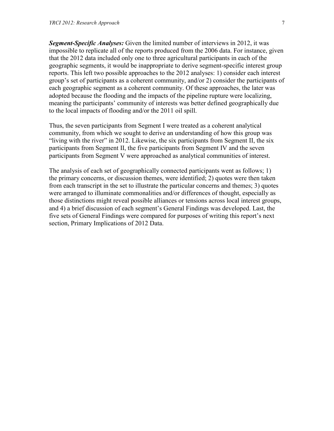*Segment-Specific Analyses:* Given the limited number of interviews in 2012, it was impossible to replicate all of the reports produced from the 2006 data. For instance, given that the 2012 data included only one to three agricultural participants in each of the geographic segments, it would be inappropriate to derive segment-specific interest group reports. This left two possible approaches to the 2012 analyses: 1) consider each interest group's set of participants as a coherent community, and/or 2) consider the participants of each geographic segment as a coherent community. Of these approaches, the later was adopted because the flooding and the impacts of the pipeline rupture were localizing, meaning the participants' community of interests was better defined geographically due to the local impacts of flooding and/or the 2011 oil spill.

Thus, the seven participants from Segment I were treated as a coherent analytical community, from which we sought to derive an understanding of how this group was "living with the river" in 2012. Likewise, the six participants from Segment II, the six participants from Segment II, the five participants from Segment IV and the seven participants from Segment V were approached as analytical communities of interest.

The analysis of each set of geographically connected participants went as follows; 1) the primary concerns, or discussion themes, were identified; 2) quotes were then taken from each transcript in the set to illustrate the particular concerns and themes; 3) quotes were arranged to illuminate commonalities and/or differences of thought, especially as those distinctions might reveal possible alliances or tensions across local interest groups, and 4) a brief discussion of each segment's General Findings was developed. Last, the five sets of General Findings were compared for purposes of writing this report's next section, Primary Implications of 2012 Data.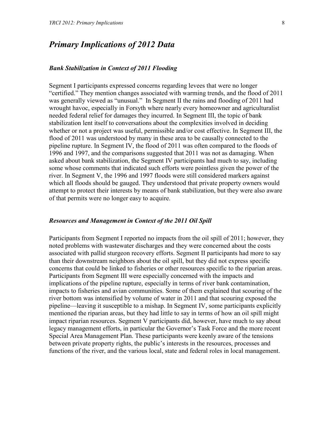### *Primary Implications of 2012 Data*

#### *Bank Stabilization in Context of 2011 Flooding*

Segment I participants expressed concerns regarding levees that were no longer "certified." They mention changes associated with warming trends, and the flood of 2011 was generally viewed as "unusual." In Segment II the rains and flooding of 2011 had wrought havoc, especially in Forsyth where nearly every homeowner and agriculturalist needed federal relief for damages they incurred. In Segment III, the topic of bank stabilization lent itself to conversations about the complexities involved in deciding whether or not a project was useful, permissible and/or cost effective. In Segment III, the flood of 2011 was understood by many in these area to be causally connected to the pipeline rupture. In Segment IV, the flood of 2011 was often compared to the floods of 1996 and 1997, and the comparisons suggested that 2011 was not as damaging. When asked about bank stabilization, the Segment IV participants had much to say, including some whose comments that indicated such efforts were pointless given the power of the river. In Segment V, the 1996 and 1997 floods were still considered markers against which all floods should be gauged. They understood that private property owners would attempt to protect their interests by means of bank stabilization, but they were also aware of that permits were no longer easy to acquire.

#### *Resources and Management in Context of the 2011 Oil Spill*

Participants from Segment I reported no impacts from the oil spill of 2011; however, they noted problems with wastewater discharges and they were concerned about the costs associated with pallid sturgeon recovery efforts. Segment II participants had more to say than their downstream neighbors about the oil spill, but they did not express specific concerns that could be linked to fisheries or other resources specific to the riparian areas. Participants from Segment III were especially concerned with the impacts and implications of the pipeline rupture, especially in terms of river bank contamination, impacts to fisheries and avian communities. Some of them explained that scouring of the river bottom was intensified by volume of water in 2011 and that scouring exposed the pipeline—leaving it susceptible to a mishap. In Segment IV, some participants explicitly mentioned the riparian areas, but they had little to say in terms of how an oil spill might impact riparian resources. Segment V participants did, however, have much to say about legacy management efforts, in particular the Governor's Task Force and the more recent Special Area Management Plan. These participants were keenly aware of the tensions between private property rights, the public's interests in the resources, processes and functions of the river, and the various local, state and federal roles in local management.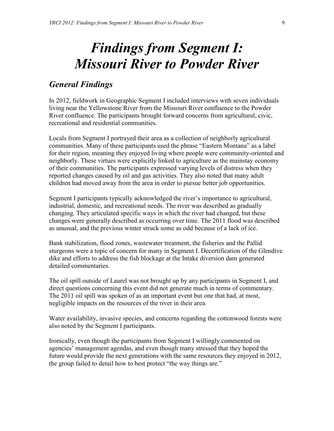# *Findings from Segment I: Missouri River to Powder River*

### *General Findings*

In 2012, fieldwork in Geographic Segment I included interviews with seven individuals living near the Yellowstone River from the Missouri River confluence to the Powder River confluence. The participants brought forward concerns from agricultural, civic, recreational and residential communities.

Locals from Segment I portrayed their area as a collection of neighborly agricultural communities. Many of these participants used the phrase "Eastern Montana" as a label for their region, meaning they enjoyed living where people were community-oriented and neighborly. These virtues were explicitly linked to agriculture as the mainstay economy of their communities. The participants expressed varying levels of distress when they reported changes caused by oil and gas activities. They also noted that many adult children had moved away from the area in order to pursue better job opportunities.

Segment I participants typically acknowledged the river's importance to agricultural, industrial, domestic, and recreational needs. The river was described as gradually changing. They articulated specific ways in which the river had changed, but these changes were generally described as occurring over time. The 2011 flood was described as unusual, and the previous winter struck some as odd because of a lack of ice.

Bank stabilization, flood zones, wastewater treatment, the fisheries and the Pallid sturgeons were a topic of concern for many in Segment I. Decertification of the Glendive dike and efforts to address the fish blockage at the Intake diversion dam generated detailed commentaries.

The oil spill outside of Laurel was not brought up by any participants in Segment I, and direct questions concerning this event did not generate much in terms of commentary. The 2011 oil spill was spoken of as an important event but one that had, at most, negligible impacts on the resources of the river in their area.

Water availability, invasive species, and concerns regarding the cottonwood forests were also noted by the Segment I participants.

Ironically, even though the participants from Segment I willingly commented on agencies' management agendas, and even though many stressed that they hoped the future would provide the next generations with the same resources they enjoyed in 2012, the group failed to detail how to best protect "the way things are."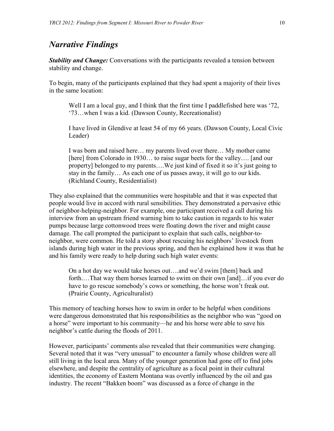#### *Narrative Findings*

*Stability and Change:* Conversations with the participants revealed a tension between stability and change.

To begin, many of the participants explained that they had spent a majority of their lives in the same location:

Well I am a local guy, and I think that the first time I paddlefished here was '72, '73…when I was a kid. (Dawson County, Recreationalist)

I have lived in Glendive at least 54 of my 66 years. (Dawson County, Local Civic Leader)

I was born and raised here… my parents lived over there… My mother came [here] from Colorado in 1930... to raise sugar beets for the valley.... [and our property] belonged to my parents….We just kind of fixed it so it's just going to stay in the family… As each one of us passes away, it will go to our kids. (Richland County, Residentialist)

They also explained that the communities were hospitable and that it was expected that people would live in accord with rural sensibilities. They demonstrated a pervasive ethic of neighbor-helping-neighbor. For example, one participant received a call during his interview from an upstream friend warning him to take caution in regards to his water pumps because large cottonwood trees were floating down the river and might cause damage. The call prompted the participant to explain that such calls, neighbor-toneighbor, were common. He told a story about rescuing his neighbors' livestock from islands during high water in the previous spring, and then he explained how it was that he and his family were ready to help during such high water events:

On a hot day we would take horses out….and we'd swim [them] back and forth.…That way them horses learned to swim on their own [and]…if you ever do have to go rescue somebody's cows or something, the horse won't freak out. (Prairie County, Agriculturalist)

This memory of teaching horses how to swim in order to be helpful when conditions were dangerous demonstrated that his responsibilities as the neighbor who was "good on a horse" were important to his community—he and his horse were able to save his neighbor's cattle during the floods of 2011.

However, participants' comments also revealed that their communities were changing. Several noted that it was "very unusual" to encounter a family whose children were all still living in the local area. Many of the younger generation had gone off to find jobs elsewhere, and despite the centrality of agriculture as a focal point in their cultural identities, the economy of Eastern Montana was overtly influenced by the oil and gas industry. The recent "Bakken boom" was discussed as a force of change in the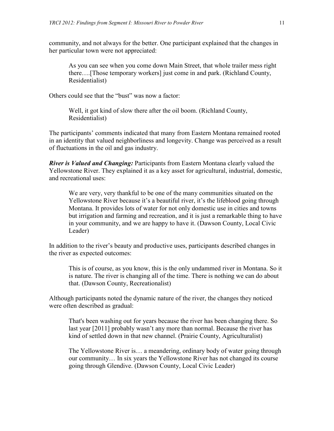community, and not always for the better. One participant explained that the changes in her particular town were not appreciated:

As you can see when you come down Main Street, that whole trailer mess right there….[Those temporary workers] just come in and park. (Richland County, Residentialist)

Others could see that the "bust" was now a factor:

Well, it got kind of slow there after the oil boom. (Richland County, Residentialist)

The participants' comments indicated that many from Eastern Montana remained rooted in an identity that valued neighborliness and longevity. Change was perceived as a result of fluctuations in the oil and gas industry.

*River is Valued and Changing:* Participants from Eastern Montana clearly valued the Yellowstone River. They explained it as a key asset for agricultural, industrial, domestic, and recreational uses:

We are very, very thankful to be one of the many communities situated on the Yellowstone River because it's a beautiful river, it's the lifeblood going through Montana. It provides lots of water for not only domestic use in cities and towns but irrigation and farming and recreation, and it is just a remarkable thing to have in your community, and we are happy to have it. (Dawson County, Local Civic Leader)

In addition to the river's beauty and productive uses, participants described changes in the river as expected outcomes:

This is of course, as you know, this is the only undammed river in Montana. So it is nature. The river is changing all of the time. There is nothing we can do about that. (Dawson County, Recreationalist)

Although participants noted the dynamic nature of the river, the changes they noticed were often described as gradual:

That's been washing out for years because the river has been changing there. So last year [2011] probably wasn't any more than normal. Because the river has kind of settled down in that new channel. (Prairie County, Agriculturalist)

The Yellowstone River is… a meandering, ordinary body of water going through our community… In six years the Yellowstone River has not changed its course going through Glendive. (Dawson County, Local Civic Leader)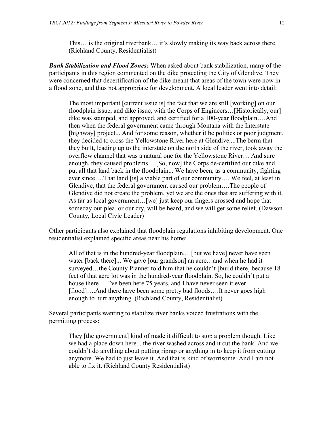This… is the original riverbank… it's slowly making its way back across there. (Richland County, Residentialist)

*Bank Stabilization and Flood Zones:* When asked about bank stabilization, many of the participants in this region commented on the dike protecting the City of Glendive. They were concerned that decertification of the dike meant that areas of the town were now in a flood zone, and thus not appropriate for development. A local leader went into detail:

The most important [current issue is] the fact that we are still [working] on our floodplain issue, and dike issue, with the Corps of Engineers…[Historically, our] dike was stamped, and approved, and certified for a 100-year floodplain….And then when the federal government came through Montana with the Interstate [highway] project... And for some reason, whether it be politics or poor judgment, they decided to cross the Yellowstone River here at Glendive....The berm that they built, leading up to the interstate on the north side of the river, took away the overflow channel that was a natural one for the Yellowstone River… And sure enough, they caused problems….[So, now] the Corps de-certified our dike and put all that land back in the floodplain... We have been, as a community, fighting ever since….That land [is] a viable part of our community…. We feel, at least in Glendive, that the federal government caused our problem….The people of Glendive did not create the problem, yet we are the ones that are suffering with it. As far as local government…[we] just keep our fingers crossed and hope that someday our plea, or our cry, will be heard, and we will get some relief. (Dawson County, Local Civic Leader)

Other participants also explained that floodplain regulations inhibiting development. One residentialist explained specific areas near his home:

All of that is in the hundred-year floodplain,…[but we have] never have seen water [back there]... We gave [our grandson] an acre...and when he had it surveyed...the County Planner told him that he couldn't [build there] because 18 feet of that acre lot was in the hundred-year floodplain. So, he couldn't put a house there….I've been here 75 years, and I have never seen it ever [flood]....And there have been some pretty bad floods....It never goes high enough to hurt anything. (Richland County, Residentialist)

Several participants wanting to stabilize river banks voiced frustrations with the permitting process:

They [the government] kind of made it difficult to stop a problem though. Like we had a place down here... the river washed across and it cut the bank. And we couldn't do anything about putting riprap or anything in to keep it from cutting anymore. We had to just leave it. And that is kind of worrisome. And I am not able to fix it. (Richland County Residentialist)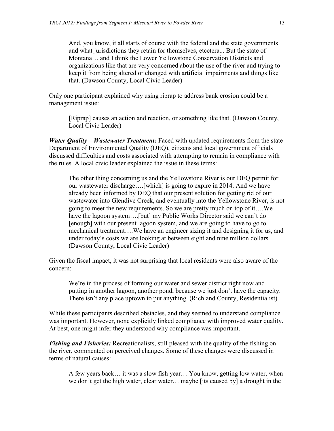And, you know, it all starts of course with the federal and the state governments and what jurisdictions they retain for themselves, etcetera... But the state of Montana… and I think the Lower Yellowstone Conservation Districts and organizations like that are very concerned about the use of the river and trying to keep it from being altered or changed with artificial impairments and things like that. (Dawson County, Local Civic Leader)

Only one participant explained why using riprap to address bank erosion could be a management issue:

[Riprap] causes an action and reaction, or something like that. (Dawson County, Local Civic Leader)

*Water Quality—Wastewater Treatment:* Faced with updated requirements from the state Department of Environmental Quality (DEQ), citizens and local government officials discussed difficulties and costs associated with attempting to remain in compliance with the rules. A local civic leader explained the issue in these terms:

The other thing concerning us and the Yellowstone River is our DEQ permit for our wastewater discharge….[which] is going to expire in 2014. And we have already been informed by DEQ that our present solution for getting rid of our wastewater into Glendive Creek, and eventually into the Yellowstone River, is not going to meet the new requirements. So we are pretty much on top of it….We have the lagoon system....[but] my Public Works Director said we can't do [enough] with our present lagoon system, and we are going to have to go to mechanical treatment….We have an engineer sizing it and designing it for us, and under today's costs we are looking at between eight and nine million dollars. (Dawson County, Local Civic Leader)

Given the fiscal impact, it was not surprising that local residents were also aware of the concern:

We're in the process of forming our water and sewer district right now and putting in another lagoon, another pond, because we just don't have the capacity. There isn't any place uptown to put anything. (Richland County, Residentialist)

While these participants described obstacles, and they seemed to understand compliance was important. However, none explicitly linked compliance with improved water quality. At best, one might infer they understood why compliance was important.

*Fishing and Fisheries:* Recreationalists, still pleased with the quality of the fishing on the river, commented on perceived changes. Some of these changes were discussed in terms of natural causes:

A few years back… it was a slow fish year… You know, getting low water, when we don't get the high water, clear water… maybe [its caused by] a drought in the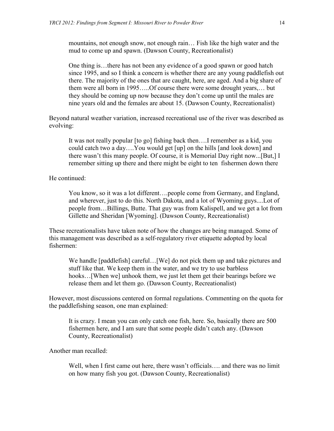mountains, not enough snow, not enough rain… Fish like the high water and the mud to come up and spawn. (Dawson County, Recreationalist)

One thing is…there has not been any evidence of a good spawn or good hatch since 1995, and so I think a concern is whether there are any young paddlefish out there. The majority of the ones that are caught, here, are aged. And a big share of them were all born in 1995…..Of course there were some drought years,… but they should be coming up now because they don't come up until the males are nine years old and the females are about 15. (Dawson County, Recreationalist)

Beyond natural weather variation, increased recreational use of the river was described as evolving:

It was not really popular [to go] fishing back then….I remember as a kid, you could catch two a day….You would get [up] on the hills [and look down] and there wasn't this many people. Of course, it is Memorial Day right now...[But,] I remember sitting up there and there might be eight to ten fishermen down there

He continued:

You know, so it was a lot different….people come from Germany, and England, and wherever, just to do this. North Dakota, and a lot of Wyoming guys....Lot of people from…Billings, Butte. That guy was from Kalispell, and we get a lot from Gillette and Sheridan [Wyoming]. (Dawson County, Recreationalist)

These recreationalists have taken note of how the changes are being managed. Some of this management was described as a self-regulatory river etiquette adopted by local fishermen:

We handle [paddlefish] careful...[We] do not pick them up and take pictures and stuff like that. We keep them in the water, and we try to use barbless hooks…[When we] unhook them, we just let them get their bearings before we release them and let them go. (Dawson County, Recreationalist)

However, most discussions centered on formal regulations. Commenting on the quota for the paddlefishing season, one man explained:

It is crazy. I mean you can only catch one fish, here. So, basically there are 500 fishermen here, and I am sure that some people didn't catch any. (Dawson County, Recreationalist)

Another man recalled:

Well, when I first came out here, there wasn't officials…. and there was no limit on how many fish you got. (Dawson County, Recreationalist)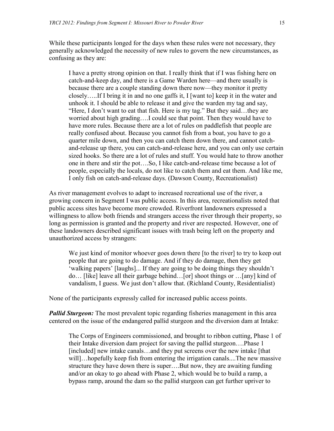While these participants longed for the days when these rules were not necessary, they generally acknowledged the necessity of new rules to govern the new circumstances, as confusing as they are:

I have a pretty strong opinion on that. I really think that if I was fishing here on catch-and-keep day, and there is a Game Warden here—and there usually is because there are a couple standing down there now—they monitor it pretty closely…..If I bring it in and no one gaffs it, I [want to] keep it in the water and unhook it. I should be able to release it and give the warden my tag and say, "Here, I don't want to eat that fish. Here is my tag." But they said…they are worried about high grading….I could see that point. Then they would have to have more rules. Because there are a lot of rules on paddlefish that people are really confused about. Because you cannot fish from a boat, you have to go a quarter mile down, and then you can catch them down there, and cannot catchand-release up there, you can catch-and-release here, and you can only use certain sized hooks. So there are a lot of rules and stuff. You would hate to throw another one in there and stir the pot….So, I like catch-and-release time because a lot of people, especially the locals, do not like to catch them and eat them. And like me, I only fish on catch-and-release days. (Dawson County, Recreationalist)

As river management evolves to adapt to increased recreational use of the river, a growing concern in Segment I was public access. In this area, recreationalists noted that public access sites have become more crowded. Riverfront landowners expressed a willingness to allow both friends and strangers access the river through their property, so long as permission is granted and the property and river are respected. However, one of these landowners described significant issues with trash being left on the property and unauthorized access by strangers:

We just kind of monitor whoever goes down there [to the river] to try to keep out people that are going to do damage. And if they do damage, then they get 'walking papers' [laughs]... If they are going to be doing things they shouldn't do… [like] leave all their garbage behind…[or] shoot things or …[any] kind of vandalism, I guess. We just don't allow that. (Richland County, Residentialist)

None of the participants expressly called for increased public access points.

*Pallid Sturgeon:* The most prevalent topic regarding fisheries management in this area centered on the issue of the endangered pallid sturgeon and the diversion dam at Intake:

The Corps of Engineers commissioned, and brought to ribbon cutting, Phase 1 of their Intake diversion dam project for saving the pallid sturgeon….Phase 1 [included] new intake canals...and they put screens over the new intake [that] will]...hopefully keep fish from entering the irrigation canals....The new massive structure they have down there is super….But now, they are awaiting funding and/or an okay to go ahead with Phase 2, which would be to build a ramp, a bypass ramp, around the dam so the pallid sturgeon can get further upriver to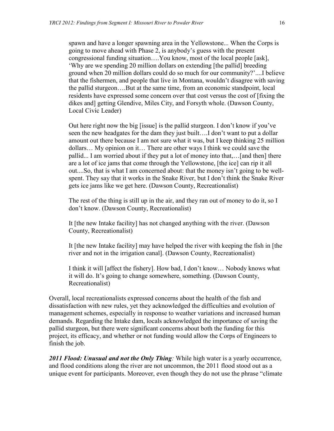spawn and have a longer spawning area in the Yellowstone... When the Corps is going to move ahead with Phase 2, is anybody's guess with the present congressional funding situation….You know, most of the local people [ask], 'Why are we spending 20 million dollars on extending [the pallid] breeding ground when 20 million dollars could do so much for our community?'....I believe that the fishermen, and people that live in Montana, wouldn't disagree with saving the pallid sturgeon….But at the same time, from an economic standpoint, local residents have expressed some concern over that cost versus the cost of [fixing the dikes and] getting Glendive, Miles City, and Forsyth whole. (Dawson County, Local Civic Leader)

Out here right now the big [issue] is the pallid sturgeon. I don't know if you've seen the new headgates for the dam they just built….I don't want to put a dollar amount out there because I am not sure what it was, but I keep thinking 25 million dollars… My opinion on it… There are other ways I think we could save the pallid... I am worried about if they put a lot of money into that,…[and then] there are a lot of ice jams that come through the Yellowstone, [the ice] can rip it all out....So, that is what I am concerned about: that the money isn't going to be wellspent. They say that it works in the Snake River, but I don't think the Snake River gets ice jams like we get here. (Dawson County, Recreationalist)

The rest of the thing is still up in the air, and they ran out of money to do it, so I don't know. (Dawson County, Recreationalist)

It [the new Intake facility] has not changed anything with the river. (Dawson County, Recreationalist)

It [the new Intake facility] may have helped the river with keeping the fish in [the river and not in the irrigation canal]. (Dawson County, Recreationalist)

I think it will [affect the fishery]. How bad, I don't know… Nobody knows what it will do. It's going to change somewhere, something. (Dawson County, Recreationalist)

Overall, local recreationalists expressed concerns about the health of the fish and dissatisfaction with new rules, yet they acknowledged the difficulties and evolution of management schemes, especially in response to weather variations and increased human demands. Regarding the Intake dam, locals acknowledged the importance of saving the pallid sturgeon, but there were significant concerns about both the funding for this project, its efficacy, and whether or not funding would allow the Corps of Engineers to finish the job.

*2011 Flood: Unusual and not the Only Thing:* While high water is a yearly occurrence, and flood conditions along the river are not uncommon, the 2011 flood stood out as a unique event for participants. Moreover, even though they do not use the phrase "climate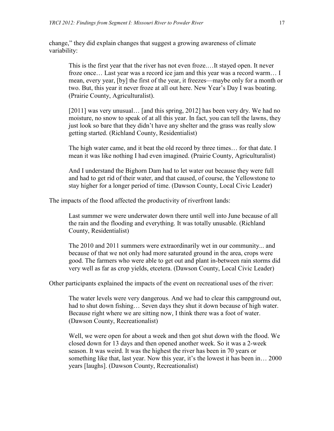change," they did explain changes that suggest a growing awareness of climate variability:

This is the first year that the river has not even froze.…It stayed open. It never froze once… Last year was a record ice jam and this year was a record warm… I mean, every year, [by] the first of the year, it freezes—maybe only for a month or two. But, this year it never froze at all out here. New Year's Day I was boating. (Prairie County, Agriculturalist).

[2011] was very unusual... [and this spring, 2012] has been very dry. We had no moisture, no snow to speak of at all this year. In fact, you can tell the lawns, they just look so bare that they didn't have any shelter and the grass was really slow getting started. (Richland County, Residentialist)

The high water came, and it beat the old record by three times… for that date. I mean it was like nothing I had even imagined. (Prairie County, Agriculturalist)

And I understand the Bighorn Dam had to let water out because they were full and had to get rid of their water, and that caused, of course, the Yellowstone to stay higher for a longer period of time. (Dawson County, Local Civic Leader)

The impacts of the flood affected the productivity of riverfront lands:

Last summer we were underwater down there until well into June because of all the rain and the flooding and everything. It was totally unusable. (Richland County, Residentialist)

The 2010 and 2011 summers were extraordinarily wet in our community... and because of that we not only had more saturated ground in the area, crops were good. The farmers who were able to get out and plant in-between rain storms did very well as far as crop yields, etcetera. (Dawson County, Local Civic Leader)

Other participants explained the impacts of the event on recreational uses of the river:

The water levels were very dangerous. And we had to clear this campground out, had to shut down fishing… Seven days they shut it down because of high water. Because right where we are sitting now, I think there was a foot of water. (Dawson County, Recreationalist)

Well, we were open for about a week and then got shut down with the flood. We closed down for 13 days and then opened another week. So it was a 2-week season. It was weird. It was the highest the river has been in 70 years or something like that, last year. Now this year, it's the lowest it has been in… 2000 years [laughs]. (Dawson County, Recreationalist)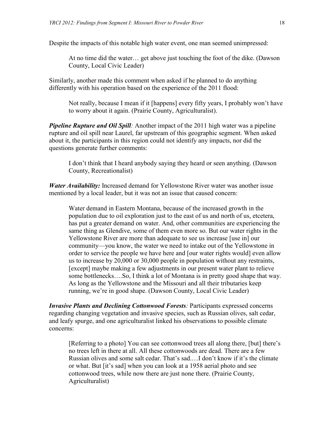Despite the impacts of this notable high water event, one man seemed unimpressed:

At no time did the water… get above just touching the foot of the dike. (Dawson County, Local Civic Leader)

Similarly, another made this comment when asked if he planned to do anything differently with his operation based on the experience of the 2011 flood:

Not really, because I mean if it [happens] every fifty years, I probably won't have to worry about it again. (Prairie County, Agriculturalist).

*Pipeline Rupture and Oil Spill:* Another impact of the 2011 high water was a pipeline rupture and oil spill near Laurel, far upstream of this geographic segment. When asked about it, the participants in this region could not identify any impacts, nor did the questions generate further comments:

I don't think that I heard anybody saying they heard or seen anything. (Dawson County, Recreationalist)

*Water Availability:* Increased demand for Yellowstone River water was another issue mentioned by a local leader, but it was not an issue that caused concern:

Water demand in Eastern Montana, because of the increased growth in the population due to oil exploration just to the east of us and north of us, etcetera, has put a greater demand on water. And, other communities are experiencing the same thing as Glendive, some of them even more so. But our water rights in the Yellowstone River are more than adequate to see us increase [use in] our community—you know, the water we need to intake out of the Yellowstone in order to service the people we have here and [our water rights would] even allow us to increase by 20,000 or 30,000 people in population without any restraints, [except] maybe making a few adjustments in our present water plant to relieve some bottlenecks….So, I think a lot of Montana is in pretty good shape that way. As long as the Yellowstone and the Missouri and all their tributaries keep running, we're in good shape. (Dawson County, Local Civic Leader)

*Invasive Plants and Declining Cottonwood Forests:* Participants expressed concerns regarding changing vegetation and invasive species, such as Russian olives, salt cedar, and leafy spurge, and one agriculturalist linked his observations to possible climate concerns:

[Referring to a photo] You can see cottonwood trees all along there, [but] there's no trees left in there at all. All these cottonwoods are dead. There are a few Russian olives and some salt cedar. That's sad.…I don't know if it's the climate or what. But [it's sad] when you can look at a 1958 aerial photo and see cottonwood trees, while now there are just none there. (Prairie County, Agriculturalist)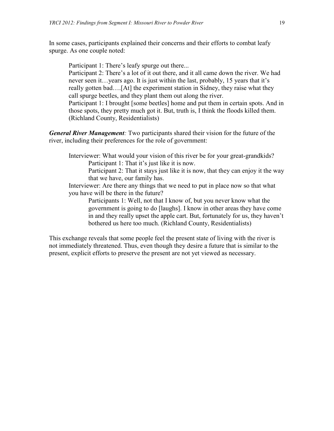In some cases, participants explained their concerns and their efforts to combat leafy spurge. As one couple noted:

Participant 1: There's leafy spurge out there...

Participant 2: There's a lot of it out there, and it all came down the river. We had never seen it…years ago. It is just within the last, probably, 15 years that it's really gotten bad….[At] the experiment station in Sidney, they raise what they call spurge beetles, and they plant them out along the river.

Participant 1: I brought [some beetles] home and put them in certain spots. And in those spots, they pretty much got it. But, truth is, I think the floods killed them. (Richland County, Residentialists)

*General River Management:* Two participants shared their vision for the future of the river, including their preferences for the role of government:

Interviewer: What would your vision of this river be for your great-grandkids? Participant 1: That it's just like it is now.

Participant 2: That it stays just like it is now, that they can enjoy it the way that we have, our family has.

Interviewer: Are there any things that we need to put in place now so that what you have will be there in the future?

Participants 1: Well, not that I know of, but you never know what the government is going to do [laughs]. I know in other areas they have come in and they really upset the apple cart. But, fortunately for us, they haven't bothered us here too much. (Richland County, Residentialists)

This exchange reveals that some people feel the present state of living with the river is not immediately threatened. Thus, even though they desire a future that is similar to the present, explicit efforts to preserve the present are not yet viewed as necessary.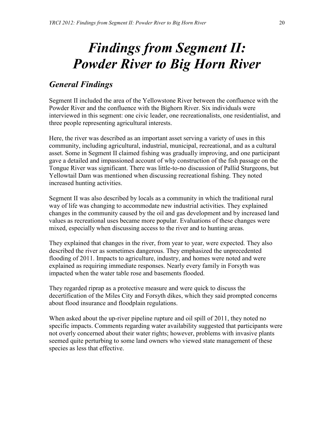# *Findings from Segment II: Powder River to Big Horn River*

### *General Findings*

Segment II included the area of the Yellowstone River between the confluence with the Powder River and the confluence with the Bighorn River. Six individuals were interviewed in this segment: one civic leader, one recreationalists, one residentialist, and three people representing agricultural interests.

Here, the river was described as an important asset serving a variety of uses in this community, including agricultural, industrial, municipal, recreational, and as a cultural asset. Some in Segment II claimed fishing was gradually improving, and one participant gave a detailed and impassioned account of why construction of the fish passage on the Tongue River was significant. There was little-to-no discussion of Pallid Sturgeons, but Yellowtail Dam was mentioned when discussing recreational fishing. They noted increased hunting activities.

Segment II was also described by locals as a community in which the traditional rural way of life was changing to accommodate new industrial activities. They explained changes in the community caused by the oil and gas development and by increased land values as recreational uses became more popular. Evaluations of these changes were mixed, especially when discussing access to the river and to hunting areas.

They explained that changes in the river, from year to year, were expected. They also described the river as sometimes dangerous. They emphasized the unprecedented flooding of 2011. Impacts to agriculture, industry, and homes were noted and were explained as requiring immediate responses. Nearly every family in Forsyth was impacted when the water table rose and basements flooded.

They regarded riprap as a protective measure and were quick to discuss the decertification of the Miles City and Forsyth dikes, which they said prompted concerns about flood insurance and floodplain regulations.

When asked about the up-river pipeline rupture and oil spill of 2011, they noted no specific impacts. Comments regarding water availability suggested that participants were not overly concerned about their water rights; however, problems with invasive plants seemed quite perturbing to some land owners who viewed state management of these species as less that effective.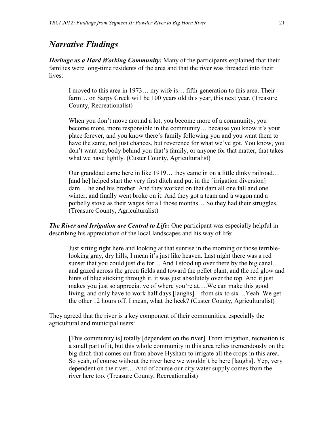#### *Narrative Findings*

*Heritage as a Hard Working Community:* Many of the participants explained that their families were long-time residents of the area and that the river was threaded into their lives:

I moved to this area in 1973… my wife is… fifth-generation to this area. Their farm… on Sarpy Creek will be 100 years old this year, this next year. (Treasure County, Recreationalist)

When you don't move around a lot, you become more of a community, you become more, more responsible in the community… because you know it's your place forever, and you know there's family following you and you want them to have the same, not just chances, but reverence for what we've got. You know, you don't want anybody behind you that's family, or anyone for that matter, that takes what we have lightly. (Custer County, Agriculturalist)

Our granddad came here in like 1919… they came in on a little dinky railroad… [and he] helped start the very first ditch and put in the [irrigation diversion] dam… he and his brother. And they worked on that dam all one fall and one winter, and finally went broke on it. And they got a team and a wagon and a potbelly stove as their wages for all those months… So they had their struggles. (Treasure County, Agriculturalist)

*The River and Irrigation are Central to Life:* One participant was especially helpful in describing his appreciation of the local landscapes and his way of life:

Just sitting right here and looking at that sunrise in the morning or those terriblelooking gray, dry hills, I mean it's just like heaven. Last night there was a red sunset that you could just die for… And I stood up over there by the big canal… and gazed across the green fields and toward the pellet plant, and the red glow and hints of blue sticking through it, it was just absolutely over the top. And it just makes you just so appreciative of where you're at….We can make this good living, and only have to work half days [laughs]—from six to six…Yeah. We get the other 12 hours off. I mean, what the heck? (Custer County, Agriculturalist)

They agreed that the river is a key component of their communities, especially the agricultural and municipal users:

[This community is] totally [dependent on the river]. From irrigation, recreation is a small part of it, but this whole community in this area relies tremendously on the big ditch that comes out from above Hysham to irrigate all the crops in this area. So yeah, of course without the river here we wouldn't be here [laughs]. Yep, very dependent on the river… And of course our city water supply comes from the river here too. (Treasure County, Recreationalist)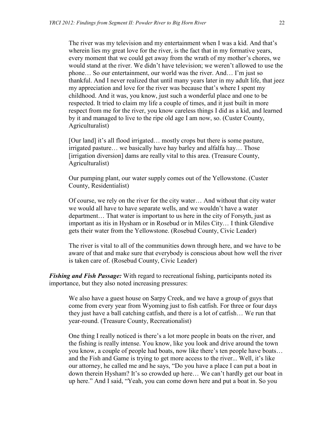The river was my television and my entertainment when I was a kid. And that's wherein lies my great love for the river, is the fact that in my formative years, every moment that we could get away from the wrath of my mother's chores, we would stand at the river. We didn't have television; we weren't allowed to use the phone… So our entertainment, our world was the river. And… I'm just so thankful. And I never realized that until many years later in my adult life, that jeez my appreciation and love for the river was because that's where I spent my childhood. And it was, you know, just such a wonderful place and one to be respected. It tried to claim my life a couple of times, and it just built in more respect from me for the river, you know careless things I did as a kid, and learned by it and managed to live to the ripe old age I am now, so. (Custer County, Agriculturalist)

[Our land] it's all flood irrigated... mostly crops but there is some pasture, irrigated pasture… we basically have hay barley and alfalfa hay… Those [irrigation diversion] dams are really vital to this area. (Treasure County, Agriculturalist)

Our pumping plant, our water supply comes out of the Yellowstone. (Custer County, Residentialist)

Of course, we rely on the river for the city water… And without that city water we would all have to have separate wells, and we wouldn't have a water department… That water is important to us here in the city of Forsyth, just as important as itis in Hysham or in Rosebud or in Miles City… I think Glendive gets their water from the Yellowstone. (Rosebud County, Civic Leader)

The river is vital to all of the communities down through here, and we have to be aware of that and make sure that everybody is conscious about how well the river is taken care of. (Rosebud County, Civic Leader)

*Fishing and Fish Passage:* With regard to recreational fishing, participants noted its importance, but they also noted increasing pressures:

We also have a guest house on Sarpy Creek, and we have a group of guys that come from every year from Wyoming just to fish catfish. For three or four days they just have a ball catching catfish, and there is a lot of catfish… We run that year-round. (Treasure County, Recreationalist)

One thing I really noticed is there's a lot more people in boats on the river, and the fishing is really intense. You know, like you look and drive around the town you know, a couple of people had boats, now like there's ten people have boats… and the Fish and Game is trying to get more access to the river... Well, it's like our attorney, he called me and he says, "Do you have a place I can put a boat in down therein Hysham? It's so crowded up here… We can't hardly get our boat in up here." And I said, "Yeah, you can come down here and put a boat in. So you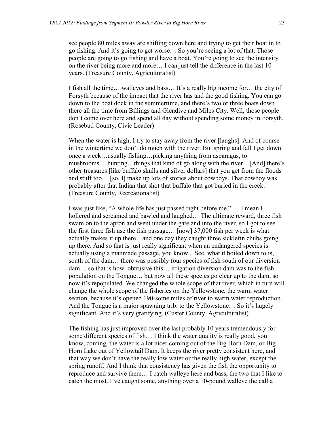see people 80 miles away are shifting down here and trying to get their boat in to go fishing. And it's going to get worse… So you're seeing a lot of that. Those people are going to go fishing and have a boat. You're going to see the intensity on the river being more and more… I can just tell the difference in the last 10 years. (Treasure County, Agriculturalist)

I fish all the time… walleyes and bass… It's a really big income for… the city of Forsyth because of the impact that the river has and the good fishing. You can go down to the boat dock in the summertime, and there's two or three boats down there all the time from Billings and Glendive and Miles City. Well, those people don't come over here and spend all day without spending some money in Forsyth. (Rosebud County, Civic Leader)

When the water is high, I try to stay away from the river [laughs]. And of course in the wintertime we don't do much with the river. But spring and fall I get down once a week…usually fishing…picking anything from asparagus, to mushrooms… hunting…things that kind of go along with the river…[And] there's other treasures [like buffalo skulls and silver dollars] that you get from the floods and stuff too… [so, I] make up lots of stories about cowboys. That cowboy was probably after that Indian that shot that buffalo that got buried in the creek. (Treasure County, Recreationalist)

I was just like, "A whole life has just passed right before me." … I mean I hollered and screamed and bawled and laughed… The ultimate reward, three fish swam on to the apron and went under the gate and into the river, so I got to see the first three fish use the fish passage… [now] 37,000 fish per week is what actually makes it up there…and one day they caught three sicklefin chubs going up there. And so that is just really significant when an endangered species is actually using a manmade passage, you know... See, what it boiled down to is, south of the dam… there was possibly four species of fish south of our diversion dam… so that is how obtrusive this… irrigation diversion dam was to the fish population on the Tongue… but now all these species go clear up to the dam, so now it's repopulated. We changed the whole scope of that river, which in turn will change the whole scope of the fisheries on the Yellowstone, the warm water section, because it's opened 190-some miles of river to warm water reproduction. And the Tongue is a major spawning trib. to the Yellowstone… So it's hugely significant. And it's very gratifying. (Custer County, Agriculturalist)

The fishing has just improved over the last probably 10 years tremendously for some different species of fish… I think the water quality is really good, you know, coming, the water is a lot nicer coming out of the Big Horn Dam, or Big Horn Lake out of Yellowtail Dam. It keeps the river pretty consistent here, and that way we don't have the really low water or the really high water, except the spring runoff. And I think that consistency has given the fish the opportunity to reproduce and survive there… I catch walleye here and bass, the two that I like to catch the most. I've caught some, anything over a 10-pound walleye the call a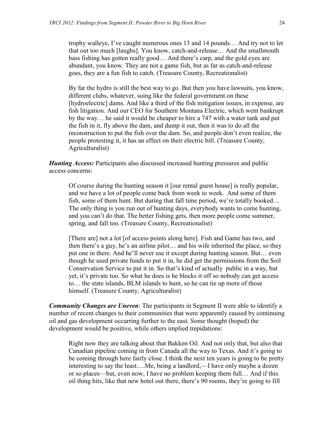trophy walleye, I've caught numerous ones 13 and 14 pounds… And try not to let that out too much [laughs]. You know, catch-and-release… And the smallmouth bass fishing has gotten really good… And there's carp, and the gold eyes are abundant, you know. They are not a game fish, but as far as catch-and-release goes, they are a fun fish to catch. (Treasure County, Recreationalist)

By far the hydro is still the best way to go. But then you have lawsuits, you know, different clubs, whatever, suing like the federal government on these [hydroelectric] dams. And like a third of the fish mitigation issues, in expense, are fish litigation. And our CEO for Southern Montana Electric, which went bankrupt by the way… he said it would be cheaper to hire a 747 with a water tank and put the fish in it, fly above the dam, and dump it out, then it was to do all the reconstruction to put the fish over the dam. So, and people don't even realize, the people protesting it, it has an effect on their electric bill. (Treasure County, Agriculturalist)

*Hunting Access:* Participants also discussed increased hunting pressures and public access concerns:

Of course during the hunting season it [our rental guest house] is really popular, and we have a lot of people come back from week to week. And some of them fish, some of them hunt. But during that fall time period, we're totally booked… The only thing is you run out of hunting days, everybody wants to come hunting, and you can't do that. The better fishing gets, then more people come summer, spring, and fall too. (Treasure County, Recreationalist)

[There are] not a lot [of access points along here]. Fish and Game has two, and then there's a guy, he's an airline pilot… and his wife inherited the place, so they put one in there. And he'll never use it except during hunting season. But… even though he used private funds to put it in, he did get the permissions from the Soil Conservation Service to put it in. So that's kind of actually public in a way, but yet, it's private too. So what he does is he blocks it off so nobody can get access to… the state islands, BLM islands to hunt, so he can tie up more of those himself. (Treasure County, Agriculturalist)

*Community Changes are Uneven*: The participants in Segment II were able to identify a number of recent changes to their communities that were apparently caused by continuing oil and gas development occurring further to the east. Some thought (hoped) the development would be positive, while others implied trepidations:

Right now they are talking about that Bakken Oil. And not only that, but also that Canadian pipeline coming in from Canada all the way to Texas. And it's going to be coming through here fairly close. I think the next ten years is going to be pretty interesting to say the least….Me, being a landlord,—I have only maybe a dozen or so places—but, even now, I have no problem keeping them full… And if this oil thing hits, like that new hotel out there, there's 90 rooms, they're going to fill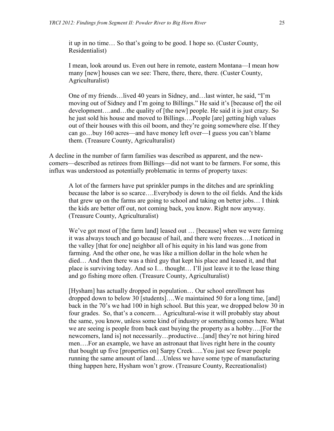it up in no time… So that's going to be good. I hope so. (Custer County, Residentialist)

I mean, look around us. Even out here in remote, eastern Montana—I mean how many [new] houses can we see: There, there, there, there. (Custer County, Agriculturalist)

One of my friends…lived 40 years in Sidney, and…last winter, he said, "I'm moving out of Sidney and I'm going to Billings." He said it's [because of] the oil development….and…the quality of [the new] people. He said it is just crazy. So he just sold his house and moved to Billings….People [are] getting high values out of their houses with this oil boom, and they're going somewhere else. If they can go…buy 160 acres—and have money left over—I guess you can't blame them. (Treasure County, Agriculturalist)

A decline in the number of farm families was described as apparent, and the newcomers—described as retirees from Billings—did not want to be farmers. For some, this influx was understood as potentially problematic in terms of property taxes:

A lot of the farmers have put sprinkler pumps in the ditches and are sprinkling because the labor is so scarce….Everybody is down to the oil fields. And the kids that grew up on the farms are going to school and taking on better jobs… I think the kids are better off out, not coming back, you know. Right now anyway. (Treasure County, Agriculturalist)

We've got most of [the farm land] leased out ... [because] when we were farming it was always touch and go because of hail, and there were freezes….I noticed in the valley [that for one] neighbor all of his equity in his land was gone from farming. And the other one, he was like a million dollar in the hole when he died… And then there was a third guy that kept his place and leased it, and that place is surviving today. And so I… thought… I'll just leave it to the lease thing and go fishing more often. (Treasure County, Agriculturalist)

[Hysham] has actually dropped in population… Our school enrollment has dropped down to below 30 [students]….We maintained 50 for a long time, [and] back in the 70's we had 100 in high school. But this year, we dropped below 30 in four grades. So, that's a concern… Agricultural-wise it will probably stay about the same, you know, unless some kind of industry or something comes here. What we are seeing is people from back east buying the property as a hobby….[For the newcomers, land is] not necessarily…productive…[and] they're not hiring hired men….For an example, we have an astronaut that lives right here in the county that bought up five [properties on] Sarpy Creek…..You just see fewer people running the same amount of land….Unless we have some type of manufacturing thing happen here, Hysham won't grow. (Treasure County, Recreationalist)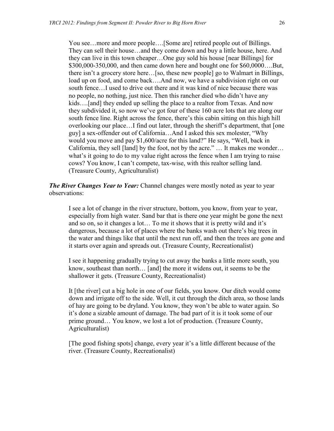You see…more and more people….[Some are] retired people out of Billings. They can sell their house…and they come down and buy a little house, here. And they can live in this town cheaper…One guy sold his house [near Billings] for \$300,000-350,000, and then came down here and bought one for \$60,0000….But, there isn't a grocery store here…[so, these new people] go to Walmart in Billings, load up on food, and come back….And now, we have a subdivision right on our south fence…I used to drive out there and it was kind of nice because there was no people, no nothing, just nice. Then this rancher died who didn't have any kids….[and] they ended up selling the place to a realtor from Texas. And now they subdivided it, so now we've got four of these 160 acre lots that are along our south fence line. Right across the fence, there's this cabin sitting on this high hill overlooking our place…I find out later, through the sheriff's department, that [one guy] a sex-offender out of California…And I asked this sex molester, "Why would you move and pay \$1,600/acre for this land?" He says, "Well, back in California, they sell [land] by the foot, not by the acre." … It makes me wonder… what's it going to do to my value right across the fence when I am trying to raise cows? You know, I can't compete, tax-wise, with this realtor selling land. (Treasure County, Agriculturalist)

*The River Changes Year to Year:* Channel changes were mostly noted as year to year observations:

I see a lot of change in the river structure, bottom, you know, from year to year, especially from high water. Sand bar that is there one year might be gone the next and so on, so it changes a lot… To me it shows that it is pretty wild and it's dangerous, because a lot of places where the banks wash out there's big trees in the water and things like that until the next run off, and then the trees are gone and it starts over again and spreads out. (Treasure County, Recreationalist)

I see it happening gradually trying to cut away the banks a little more south, you know, southeast than north… [and] the more it widens out, it seems to be the shallower it gets. (Treasure County, Recreationalist)

It [the river] cut a big hole in one of our fields, you know. Our ditch would come down and irrigate off to the side. Well, it cut through the ditch area, so those lands of hay are going to be dryland. You know, they won't be able to water again. So it's done a sizable amount of damage. The bad part of it is it took some of our prime ground… You know, we lost a lot of production. (Treasure County, Agriculturalist)

[The good fishing spots] change, every year it's a little different because of the river. (Treasure County, Recreationalist)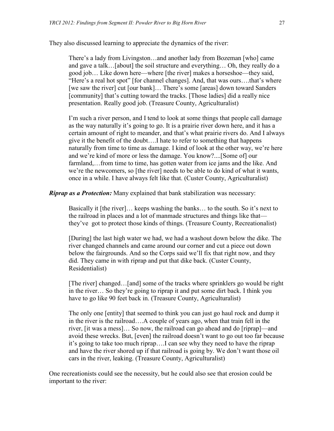They also discussed learning to appreciate the dynamics of the river:

There's a lady from Livingston…and another lady from Bozeman [who] came and gave a talk…[about] the soil structure and everything… Oh, they really do a good job… Like down here—where [the river] makes a horseshoe—they said, "Here's a real hot spot" [for channel changes]. And, that was ours....that's where [we saw the river] cut [our bank]... There's some [areas] down toward Sanders [community] that's cutting toward the tracks. [Those ladies] did a really nice presentation. Really good job. (Treasure County, Agriculturalist)

I'm such a river person, and I tend to look at some things that people call damage as the way naturally it's going to go. It is a prairie river down here, and it has a certain amount of right to meander, and that's what prairie rivers do. And I always give it the benefit of the doubt….I hate to refer to something that happens naturally from time to time as damage. I kind of look at the other way, we're here and we're kind of more or less the damage. You know?....[Some of] our farmland,…from time to time, has gotten water from ice jams and the like. And we're the newcomers, so [the river] needs to be able to do kind of what it wants, once in a while. I have always felt like that. (Custer County, Agriculturalist)

*Riprap as a Protection:* Many explained that bank stabilization was necessary:

Basically it [the river]… keeps washing the banks… to the south. So it's next to the railroad in places and a lot of manmade structures and things like that they've got to protect those kinds of things. (Treasure County, Recreationalist)

[During] the last high water we had, we had a washout down below the dike. The river changed channels and came around our corner and cut a piece out down below the fairgrounds. And so the Corps said we'll fix that right now, and they did. They came in with riprap and put that dike back. (Custer County, Residentialist)

[The river] changed…[and] some of the tracks where sprinklers go would be right in the river… So they're going to riprap it and put some dirt back. I think you have to go like 90 feet back in. (Treasure County, Agriculturalist)

The only one [entity] that seemed to think you can just go haul rock and dump it in the river is the railroad….A couple of years ago, when that train fell in the river, [it was a mess]… So now, the railroad can go ahead and do [riprap]—and avoid these wrecks. But, [even] the railroad doesn't want to go out too far because it's going to take too much riprap….I can see why they need to have the riprap and have the river shored up if that railroad is going by. We don't want those oil cars in the river, leaking. (Treasure County, Agriculturalist)

One recreationists could see the necessity, but he could also see that erosion could be important to the river: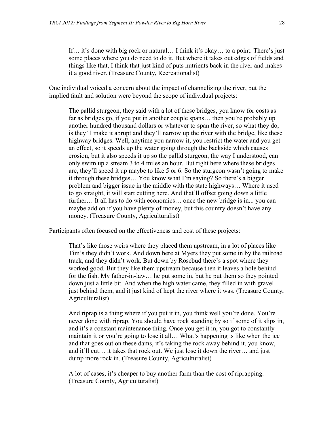If… it's done with big rock or natural… I think it's okay… to a point. There's just some places where you do need to do it. But where it takes out edges of fields and things like that, I think that just kind of puts nutrients back in the river and makes it a good river. (Treasure County, Recreationalist)

One individual voiced a concern about the impact of channelizing the river, but the implied fault and solution were beyond the scope of individual projects:

The pallid sturgeon, they said with a lot of these bridges, you know for costs as far as bridges go, if you put in another couple spans… then you're probably up another hundred thousand dollars or whatever to span the river, so what they do, is they'll make it abrupt and they'll narrow up the river with the bridge, like these highway bridges. Well, anytime you narrow it, you restrict the water and you get an effect, so it speeds up the water going through the backside which causes erosion, but it also speeds it up so the pallid sturgeon, the way I understood, can only swim up a stream 3 to 4 miles an hour. But right here where these bridges are, they'll speed it up maybe to like 5 or 6. So the sturgeon wasn't going to make it through these bridges… You know what I'm saying? So there's a bigger problem and bigger issue in the middle with the state highways… Where it used to go straight, it will start cutting here. And that'll offset going down a little further... It all has to do with economics... once the new bridge is in... you can maybe add on if you have plenty of money, but this country doesn't have any money. (Treasure County, Agriculturalist)

Participants often focused on the effectiveness and cost of these projects:

That's like those weirs where they placed them upstream, in a lot of places like Tim's they didn't work. And down here at Myers they put some in by the railroad track, and they didn't work. But down by Rosebud there's a spot where they worked good. But they like them upstream because then it leaves a hole behind for the fish. My father-in-law… he put some in, but he put them so they pointed down just a little bit. And when the high water came, they filled in with gravel just behind them, and it just kind of kept the river where it was. (Treasure County, Agriculturalist)

And riprap is a thing where if you put it in, you think well you're done. You're never done with riprap. You should have rock standing by so if some of it slips in, and it's a constant maintenance thing. Once you get it in, you got to constantly maintain it or you're going to lose it all… What's happening is like when the ice and that goes out on these dams, it's taking the rock away behind it, you know, and it'll cut… it takes that rock out. We just lose it down the river… and just dump more rock in. (Treasure County, Agriculturalist)

A lot of cases, it's cheaper to buy another farm than the cost of riprapping. (Treasure County, Agriculturalist)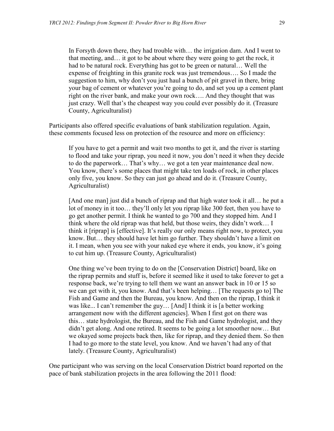In Forsyth down there, they had trouble with… the irrigation dam. And I went to that meeting, and… it got to be about where they were going to get the rock, it had to be natural rock. Everything has got to be green or natural… Well the expense of freighting in this granite rock was just tremendous…. So I made the suggestion to him, why don't you just haul a bunch of pit gravel in there, bring your bag of cement or whatever you're going to do, and set you up a cement plant right on the river bank, and make your own rock…. And they thought that was just crazy. Well that's the cheapest way you could ever possibly do it. (Treasure County, Agriculturalist)

Participants also offered specific evaluations of bank stabilization regulation. Again, these comments focused less on protection of the resource and more on efficiency:

If you have to get a permit and wait two months to get it, and the river is starting to flood and take your riprap, you need it now, you don't need it when they decide to do the paperwork… That's why… we got a ten year maintenance deal now. You know, there's some places that might take ten loads of rock, in other places only five, you know. So they can just go ahead and do it. (Treasure County, Agriculturalist)

[And one man] just did a bunch of riprap and that high water took it all… he put a lot of money in it too… they'll only let you riprap like 300 feet, then you have to go get another permit. I think he wanted to go 700 and they stopped him. And I think where the old riprap was that held, but those weirs, they didn't work… I think it [riprap] is [effective]. It's really our only means right now, to protect, you know. But… they should have let him go further. They shouldn't have a limit on it. I mean, when you see with your naked eye where it ends, you know, it's going to cut him up. (Treasure County, Agriculturalist)

One thing we've been trying to do on the [Conservation District] board, like on the riprap permits and stuff is, before it seemed like it used to take forever to get a response back, we're trying to tell them we want an answer back in 10 or 15 so we can get with it, you know. And that's been helping… [The requests go to] The Fish and Game and then the Bureau, you know. And then on the riprap, I think it was like... I can't remember the guy… [And] I think it is [a better working arrangement now with the different agencies]. When I first got on there was this… state hydrologist, the Bureau, and the Fish and Game hydrologist, and they didn't get along. And one retired. It seems to be going a lot smoother now… But we okayed some projects back then, like for riprap, and they denied them. So then I had to go more to the state level, you know. And we haven't had any of that lately. (Treasure County, Agriculturalist)

One participant who was serving on the local Conservation District board reported on the pace of bank stabilization projects in the area following the 2011 flood: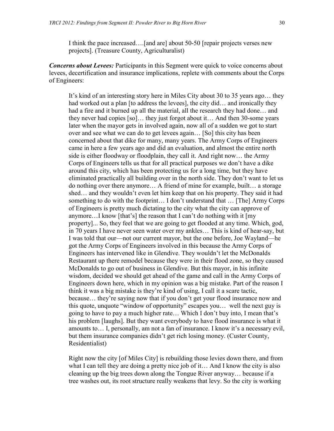I think the pace increased….[and are] about 50-50 [repair projects verses new projects]. (Treasure County, Agriculturalist)

*Concerns about Levees:* Participants in this Segment were quick to voice concerns about levees, decertification and insurance implications, replete with comments about the Corps of Engineers:

It's kind of an interesting story here in Miles City about 30 to 35 years ago… they had worked out a plan [to address the levees], the city did... and ironically they had a fire and it burned up all the material, all the research they had done… and they never had copies [so]… they just forgot about it… And then 30-some years later when the mayor gets in involved again, now all of a sudden we got to start over and see what we can do to get levees again… [So] this city has been concerned about that dike for many, many years. The Army Corps of Engineers came in here a few years ago and did an evaluation, and almost the entire north side is either floodway or floodplain, they call it. And right now… the Army Corps of Engineers tells us that for all practical purposes we don't have a dike around this city, which has been protecting us for a long time, but they have eliminated practically all building over in the north side. They don't want to let us do nothing over there anymore… A friend of mine for example, built… a storage shed… and they wouldn't even let him keep that on his property. They said it had something to do with the footprint… I don't understand that … [The] Army Corps of Engineers is pretty much dictating to the city what the city can approve of anymore…I know [that's] the reason that I can't do nothing with it [my property]... So, they feel that we are going to get flooded at any time. Which, god, in 70 years I have never seen water over my ankles… This is kind of hear-say, but I was told that our—not our current mayor, but the one before, Joe Wayland—he got the Army Corps of Engineers involved in this because the Army Corps of Engineers has intervened like in Glendive. They wouldn't let the McDonalds Restaurant up there remodel because they were in their flood zone, so they caused McDonalds to go out of business in Glendive. But this mayor, in his infinite wisdom, decided we should get ahead of the game and call in the Army Corps of Engineers down here, which in my opinion was a big mistake. Part of the reason I think it was a big mistake is they're kind of using, I call it a scare tactic, because… they're saying now that if you don't get your flood insurance now and this quote, unquote "window of opportunity" escapes you… well the next guy is going to have to pay a much higher rate… Which I don't buy into, I mean that's his problem [laughs]. But they want everybody to have flood insurance is what it amounts to… I, personally, am not a fan of insurance. I know it's a necessary evil, but them insurance companies didn't get rich losing money. (Custer County, Residentialist)

Right now the city [of Miles City] is rebuilding those levies down there, and from what I can tell they are doing a pretty nice job of it... And I know the city is also cleaning up the big trees down along the Tongue River anyway… because if a tree washes out, its root structure really weakens that levy. So the city is working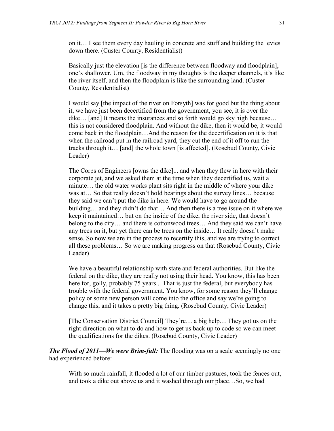on it… I see them every day hauling in concrete and stuff and building the levies down there. (Custer County, Residentialist)

Basically just the elevation [is the difference between floodway and floodplain], one's shallower. Um, the floodway in my thoughts is the deeper channels, it's like the river itself, and then the floodplain is like the surrounding land. (Custer County, Residentialist)

I would say [the impact of the river on Forsyth] was for good but the thing about it, we have just been decertified from the government, you see, it is over the dike... [and] It means the insurances and so forth would go sky high because... this is not considered floodplain. And without the dike, then it would be, it would come back in the floodplain…And the reason for the decertification on it is that when the railroad put in the railroad yard, they cut the end of it off to run the tracks through it… [and] the whole town [is affected]. (Rosebud County, Civic Leader)

The Corps of Engineers [owns the dike]... and when they flew in here with their corporate jet, and we asked them at the time when they decertified us, wait a minute… the old water works plant sits right in the middle of where your dike was at… So that really doesn't hold bearings about the survey lines… because they said we can't put the dike in here. We would have to go around the building… and they didn't do that… And then there is a tree issue on it where we keep it maintained… but on the inside of the dike, the river side, that doesn't belong to the city… and there is cottonwood trees… And they said we can't have any trees on it, but yet there can be trees on the inside… It really doesn't make sense. So now we are in the process to recertify this, and we are trying to correct all these problems… So we are making progress on that (Rosebud County, Civic Leader)

We have a beautiful relationship with state and federal authorities. But like the federal on the dike, they are really not using their head. You know, this has been here for, golly, probably 75 years... That is just the federal, but everybody has trouble with the federal government. You know, for some reason they'll change policy or some new person will come into the office and say we're going to change this, and it takes a pretty big thing. (Rosebud County, Civic Leader)

[The Conservation District Council] They're… a big help… They got us on the right direction on what to do and how to get us back up to code so we can meet the qualifications for the dikes. (Rosebud County, Civic Leader)

*The Flood of 2011—We were Brim-full:* The flooding was on a scale seemingly no one had experienced before:

With so much rainfall, it flooded a lot of our timber pastures, took the fences out, and took a dike out above us and it washed through our place…So, we had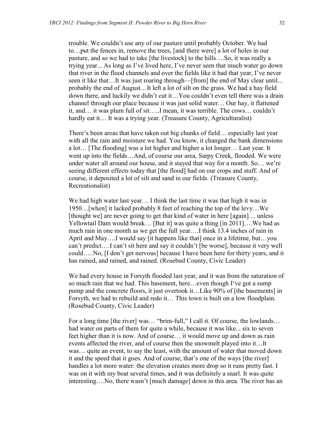trouble. We couldn't use any of our pasture until probably October. We had to…put the fences in, remove the trees, [and there were] a lot of holes in our pasture, and so we had to take [the livestock] to the hills….So, it was really a trying year... As long as I've lived here, I've never seen that much water go down that river in the flood channels and over the fields like it had that year, I've never seen it like that…It was just roaring through—[from] the end of May clear until... probably the end of August…It left a lot of silt on the grass. We had a hay field down there, and luckily we didn't cut it…You couldn't even tell there was a drain channel through our place because it was just solid water… Our hay, it flattened it, and… it was plum full of sit…..I mean, it was terrible. The cows… couldn't hardly eat it... It was a trying year. (Treasure County, Agriculturalist)

There's been areas that have taken out big chunks of field… especially last year with all the rain and moisture we had. You know, it changed the bank dimensions a lot… [The flooding] was a lot higher and higher a lot longer… Last year. It went up into the fields…And, of course our area, Sarpy Creek, flooded. We were under water all around our house, and it stayed that way for a month. So… we're seeing different effects today that [the flood] had on our crops and stuff. And of course, it deposited a lot of silt and sand in our fields. (Treasure County, Recreationalist)

We had high water last year… I think the last time it was that high it was in 1950…[when] it lacked probably 8 feet of reaching the top of the levy…We [thought we] are never going to get that kind of water in here [again]... unless Yellowtail Dam would break… [But it] was quite a thing [in 2011]….We had as much rain in one month as we get the full year….I think 13.4 inches of rain in April and May….I would say [it happens like that] once in a lifetime, but…you can't predict….I can't sit here and say it couldn't [be worse], because it very well could…..No, [I don't get nervous] because I have been here for thirty years, and it has rained, and rained, and rained. (Rosebud County, Civic Leader)

We had every house in Forsyth flooded last year, and it was from the saturation of so much rain that we had. This basement, here…even though I've got a sump pump and the concrete floors, it just overtook it…Like 90% of [the basements] in Forsyth, we had to rebuild and redo it… This town is built on a low floodplain. (Rosebud County, Civic Leader)

For a long time [the river] was… "brim-full," I call it. Of course, the lowlands… had water on parts of them for quite a while, because it was like... six to seven feet higher than it is now. And of course… it would move up and down as rain events affected the river, and of course then the snowmelt played into it…It was… quite an event, to say the least, with the amount of water that moved down it and the speed that it goes. And of course, that's one of the ways [the river] handles a lot more water: the elevation creates more drop so it runs pretty fast. I was on it with my boat several times, and it was definitely a snarl. It was quite interesting….No, there wasn't [much damage] down in this area. The river has an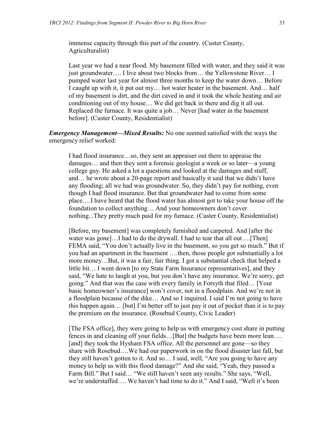immense capacity through this part of the country. (Custer County, Agriculturalist)

Last year we had a near flood. My basement filled with water, and they said it was just groundwater…. I live about two blocks from… the Yellowstone River… I pumped water last year for almost three months to keep the water down… Before I caught up with it, it put out my… hot water heater in the basement. And… half of my basement is dirt, and the dirt caved in and it took the whole heating and air conditioning out of my house… We did get back in there and dig it all out. Replaced the furnace. It was quite a job… Never [had water in the basement before]. (Custer County, Residentialist)

*Emergency Management—Mixed Results:* No one seemed satisfied with the ways the emergency relief worked:

I had flood insurance…so, they sent an appraiser out there to appraise the damages… and then they sent a forensic geologist a week or so later—a young college guy. He asked a lot a questions and looked at the damages and stuff, and… he wrote about a 20-page report and basically it said that we didn't have any flooding; all we had was groundwater. So, they didn't pay for nothing, even though I had flood insurance. But that groundwater had to come from some place….I have heard that the flood water has almost got to take your house off the foundation to collect anything… And your homeowners don't cover nothing...They pretty much paid for my furnace. (Custer County, Residentialist)

[Before, my basement] was completely furnished and carpeted. And [after the water was gone]...I had to do the drywall. I had to tear that all out....[Then] FEMA said, "You don't actually live in the basement, so you get so much." But if you had an apartment in the basement ….then, those people got substantially a lot more money…But, it was a fair, fair thing. I got a substantial check that helped a little bit… I went down [to my State Farm Insurance representatives], and they said, "We hate to laugh at you, but you don't have any insurance. We're sorry, get going." And that was the case with every family in Forsyth that filed… [Your basic homeowner's insurance] won't cover, not in a floodplain. And we're not in a floodplain because of the dike… And so I inquired. I said I'm not going to have this happen again… [but] I'm better off to just pay it out of pocket than it is to pay the premium on the insurance. (Rosebud County, Civic Leader)

[The FSA office], they were going to help us with emergency cost share in putting fences in and cleaning off your fields…[But] the budgets have been more lean…. [and] they took the Hysham FSA office. All the personnel are gone—so they share with Rosebud….We had our paperwork in on the flood disaster last fall, but they still haven't gotten to it. And so… I said, well, "Are you going to have any money to help us with this flood damage?" And she said, "Yeah, they passed a Farm Bill." But I said… "We still haven't seen any results." She says, "Well, we're understaffed…. We haven't had time to do it." And I said, "Well it's been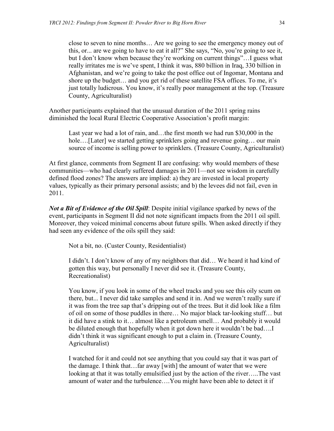close to seven to nine months… Are we going to see the emergency money out of this, or... are we going to have to eat it all?" She says, "No, you're going to see it, but I don't know when because they're working on current things"…I guess what really irritates me is we've spent, I think it was, 880 billion in Iraq, 330 billion in Afghanistan, and we're going to take the post office out of Ingomar, Montana and shore up the budget… and you get rid of these satellite FSA offices. To me, it's just totally ludicrous. You know, it's really poor management at the top. (Treasure County, Agriculturalist)

Another participants explained that the unusual duration of the 2011 spring rains diminished the local Rural Electric Cooperative Association's profit margin:

Last year we had a lot of rain, and…the first month we had run \$30,000 in the hole....[Later] we started getting sprinklers going and revenue going... our main source of income is selling power to sprinklers. (Treasure County, Agriculturalist)

At first glance, comments from Segment II are confusing: why would members of these communities—who had clearly suffered damages in 2011—not see wisdom in carefully defined flood zones? The answers are implied: a) they are invested in local property values, typically as their primary personal assists; and b) the levees did not fail, even in 2011.

*Not a Bit of Evidence of the Oil Spill*: Despite initial vigilance sparked by news of the event, participants in Segment II did not note significant impacts from the 2011 oil spill. Moreover, they voiced minimal concerns about future spills. When asked directly if they had seen any evidence of the oils spill they said:

Not a bit, no. (Custer County, Residentialist)

I didn't. I don't know of any of my neighbors that did… We heard it had kind of gotten this way, but personally I never did see it. (Treasure County, Recreationalist)

You know, if you look in some of the wheel tracks and you see this oily scum on there, but... I never did take samples and send it in. And we weren't really sure if it was from the tree sap that's dripping out of the trees. But it did look like a film of oil on some of those puddles in there… No major black tar-looking stuff… but it did have a stink to it… almost like a petroleum smell… And probably it would be diluted enough that hopefully when it got down here it wouldn't be bad….I didn't think it was significant enough to put a claim in. (Treasure County, Agriculturalist)

I watched for it and could not see anything that you could say that it was part of the damage. I think that…far away [with] the amount of water that we were looking at that it was totally emulsified just by the action of the river…..The vast amount of water and the turbulence….You might have been able to detect it if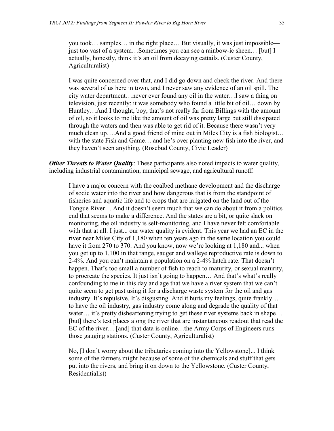you took… samples… in the right place… But visually, it was just impossible just too vast of a system…Sometimes you can see a rainbow-ic sheen… [but] I actually, honestly, think it's an oil from decaying cattails. (Custer County, Agriculturalist)

I was quite concerned over that, and I did go down and check the river. And there was several of us here in town, and I never saw any evidence of an oil spill. The city water department…never ever found any oil in the water…I saw a thing on television, just recently: it was somebody who found a little bit of oil… down by Huntley…And I thought, boy, that's not really far from Billings with the amount of oil, so it looks to me like the amount of oil was pretty large but still dissipated through the waters and then was able to get rid of it. Because there wasn't very much clean up….And a good friend of mine out in Miles City is a fish biologist… with the state Fish and Game… and he's over planting new fish into the river, and they haven't seen anything. (Rosebud County, Civic Leader)

*Other Threats to Water Quality*: These participants also noted impacts to water quality, including industrial contamination, municipal sewage, and agricultural runoff:

I have a major concern with the coalbed methane development and the discharge of sodic water into the river and how dangerous that is from the standpoint of fisheries and aquatic life and to crops that are irrigated on the land out of the Tongue River… And it doesn't seem much that we can do about it from a politics end that seems to make a difference. And the states are a bit, or quite slack on monitoring, the oil industry is self-monitoring, and I have never felt comfortable with that at all. I just... our water quality is evident. This year we had an EC in the river near Miles City of 1,180 when ten years ago in the same location you could have it from 270 to 370. And you know, now we're looking at 1,180 and... when you get up to 1,100 in that range, sauger and walleye reproductive rate is down to 2-4%. And you can't maintain a population on a 2-4% hatch rate. That doesn't happen. That's too small a number of fish to reach to maturity, or sexual maturity, to procreate the species. It just isn't going to happen… And that's what's really confounding to me in this day and age that we have a river system that we can't quite seem to get past using it for a discharge waste system for the oil and gas industry. It's repulsive. It's disgusting. And it hurts my feelings, quite frankly… to have the oil industry, gas industry come along and degrade the quality of that water… it's pretty disheartening trying to get these river systems back in shape… [but] there's test places along the river that are instantaneous readout that read the EC of the river… [and] that data is online…the Army Corps of Engineers runs those gauging stations. (Custer County, Agriculturalist)

No, [I don't worry about the tributaries coming into the Yellowstone]... I think some of the farmers might because of some of the chemicals and stuff that gets put into the rivers, and bring it on down to the Yellowstone. (Custer County, Residentialist)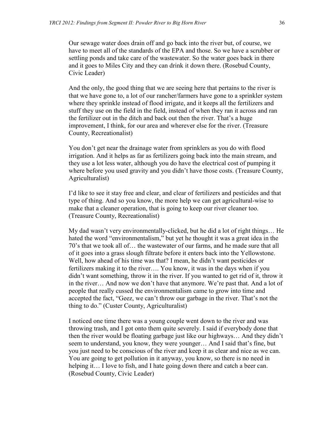Our sewage water does drain off and go back into the river but, of course, we have to meet all of the standards of the EPA and those. So we have a scrubber or settling ponds and take care of the wastewater. So the water goes back in there and it goes to Miles City and they can drink it down there. (Rosebud County, Civic Leader)

And the only, the good thing that we are seeing here that pertains to the river is that we have gone to, a lot of our rancher/farmers have gone to a sprinkler system where they sprinkle instead of flood irrigate, and it keeps all the fertilizers and stuff they use on the field in the field, instead of when they ran it across and ran the fertilizer out in the ditch and back out then the river. That's a huge improvement, I think, for our area and wherever else for the river. (Treasure County, Recreationalist)

You don't get near the drainage water from sprinklers as you do with flood irrigation. And it helps as far as fertilizers going back into the main stream, and they use a lot less water, although you do have the electrical cost of pumping it where before you used gravity and you didn't have those costs. (Treasure County, Agriculturalist)

I'd like to see it stay free and clear, and clear of fertilizers and pesticides and that type of thing. And so you know, the more help we can get agricultural-wise to make that a cleaner operation, that is going to keep our river cleaner too. (Treasure County, Recreationalist)

My dad wasn't very environmentally-clicked, but he did a lot of right things… He hated the word "environmentalism," but yet he thought it was a great idea in the 70's that we took all of… the wastewater of our farms, and he made sure that all of it goes into a grass slough filtrate before it enters back into the Yellowstone. Well, how ahead of his time was that? I mean, he didn't want pesticides or fertilizers making it to the river…. You know, it was in the days when if you didn't want something, throw it in the river. If you wanted to get rid of it, throw it in the river… And now we don't have that anymore. We're past that. And a lot of people that really cussed the environmentalism came to grow into time and accepted the fact, "Geez, we can't throw our garbage in the river. That's not the thing to do." (Custer County, Agriculturalist)

I noticed one time there was a young couple went down to the river and was throwing trash, and I got onto them quite severely. I said if everybody done that then the river would be floating garbage just like our highways… And they didn't seem to understand, you know, they were younger… And I said that's fine, but you just need to be conscious of the river and keep it as clear and nice as we can. You are going to get pollution in it anyway, you know, so there is no need in helping it... I love to fish, and I hate going down there and catch a beer can. (Rosebud County, Civic Leader)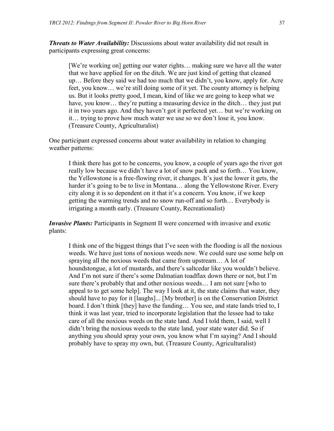*Threats to Water Availability:* Discussions about water availability did not result in participants expressing great concerns:

[We're working on] getting our water rights… making sure we have all the water that we have applied for on the ditch. We are just kind of getting that cleaned up… Before they said we had too much that we didn't, you know, apply for. Acre feet, you know… we're still doing some of it yet. The county attorney is helping us. But it looks pretty good, I mean, kind of like we are going to keep what we have, you know... they're putting a measuring device in the ditch... they just put it in two years ago. And they haven't got it perfected yet… but we're working on it… trying to prove how much water we use so we don't lose it, you know. (Treasure County, Agriculturalist)

One participant expressed concerns about water availability in relation to changing weather patterns:

I think there has got to be concerns, you know, a couple of years ago the river got really low because we didn't have a lot of snow pack and so forth… You know, the Yellowstone is a free-flowing river, it changes. It's just the lower it gets, the harder it's going to be to live in Montana... along the Yellowstone River. Every city along it is so dependent on it that it's a concern. You know, if we keep getting the warming trends and no snow run-off and so forth… Everybody is irrigating a month early. (Treasure County, Recreationalist)

*Invasive Plants:* Participants in Segment II were concerned with invasive and exotic plants:

I think one of the biggest things that I've seen with the flooding is all the noxious weeds. We have just tons of noxious weeds now. We could sure use some help on spraying all the noxious weeds that came from upstream… A lot of houndstongue, a lot of mustards, and there's saltcedar like you wouldn't believe. And I'm not sure if there's some Dalmatian toadflax down there or not, but I'm sure there's probably that and other noxious weeds… I am not sure [who to appeal to to get some help]. The way I look at it, the state claims that water, they should have to pay for it [laughs]... [My brother] is on the Conservation District board. I don't think [they] have the funding… You see, and state lands tried to, I think it was last year, tried to incorporate legislation that the lessee had to take care of all the noxious weeds on the state land. And I told them, I said, well I didn't bring the noxious weeds to the state land, your state water did. So if anything you should spray your own, you know what I'm saying? And I should probably have to spray my own, but. (Treasure County, Agriculturalist)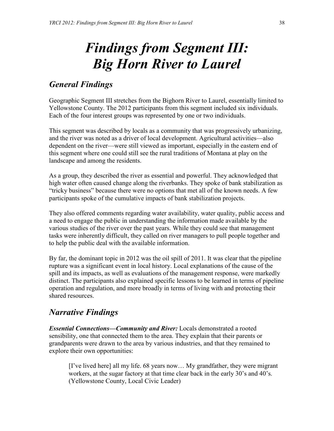# *Findings from Segment III: Big Horn River to Laurel*

### *General Findings*

Geographic Segment III stretches from the Bighorn River to Laurel, essentially limited to Yellowstone County. The 2012 participants from this segment included six individuals. Each of the four interest groups was represented by one or two individuals.

This segment was described by locals as a community that was progressively urbanizing, and the river was noted as a driver of local development. Agricultural activities—also dependent on the river—were still viewed as important, especially in the eastern end of this segment where one could still see the rural traditions of Montana at play on the landscape and among the residents.

As a group, they described the river as essential and powerful. They acknowledged that high water often caused change along the riverbanks. They spoke of bank stabilization as "tricky business" because there were no options that met all of the known needs. A few participants spoke of the cumulative impacts of bank stabilization projects.

They also offered comments regarding water availability, water quality, public access and a need to engage the public in understanding the information made available by the various studies of the river over the past years. While they could see that management tasks were inherently difficult, they called on river managers to pull people together and to help the public deal with the available information.

By far, the dominant topic in 2012 was the oil spill of 2011. It was clear that the pipeline rupture was a significant event in local history. Local explanations of the cause of the spill and its impacts, as well as evaluations of the management response, were markedly distinct. The participants also explained specific lessons to be learned in terms of pipeline operation and regulation, and more broadly in terms of living with and protecting their shared resources.

## *Narrative Findings*

*Essential Connections—Community and River:* Locals demonstrated a rooted sensibility, one that connected them to the area. They explain that their parents or grandparents were drawn to the area by various industries, and that they remained to explore their own opportunities:

[I've lived here] all my life. 68 years now… My grandfather, they were migrant workers, at the sugar factory at that time clear back in the early 30's and 40's. (Yellowstone County, Local Civic Leader)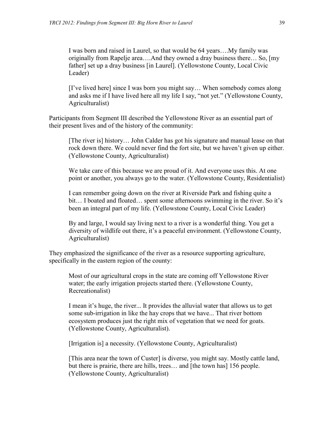I was born and raised in Laurel, so that would be 64 years….My family was originally from Rapelje area….And they owned a dray business there… So, [my father] set up a dray business [in Laurel]. (Yellowstone County, Local Civic Leader)

[I've lived here] since I was born you might say… When somebody comes along and asks me if I have lived here all my life I say, "not yet." (Yellowstone County, Agriculturalist)

Participants from Segment III described the Yellowstone River as an essential part of their present lives and of the history of the community:

[The river is] history... John Calder has got his signature and manual lease on that rock down there. We could never find the fort site, but we haven't given up either. (Yellowstone County, Agriculturalist)

We take care of this because we are proud of it. And everyone uses this. At one point or another, you always go to the water. (Yellowstone County, Residentialist)

I can remember going down on the river at Riverside Park and fishing quite a bit… I boated and floated… spent some afternoons swimming in the river. So it's been an integral part of my life. (Yellowstone County, Local Civic Leader)

By and large, I would say living next to a river is a wonderful thing. You get a diversity of wildlife out there, it's a peaceful environment. (Yellowstone County, Agriculturalist)

They emphasized the significance of the river as a resource supporting agriculture, specifically in the eastern region of the county:

Most of our agricultural crops in the state are coming off Yellowstone River water; the early irrigation projects started there. (Yellowstone County, Recreationalist)

I mean it's huge, the river... It provides the alluvial water that allows us to get some sub-irrigation in like the hay crops that we have... That river bottom ecosystem produces just the right mix of vegetation that we need for goats. (Yellowstone County, Agriculturalist).

[Irrigation is] a necessity. (Yellowstone County, Agriculturalist)

[This area near the town of Custer] is diverse, you might say. Mostly cattle land, but there is prairie, there are hills, trees… and [the town has] 156 people. (Yellowstone County, Agriculturalist)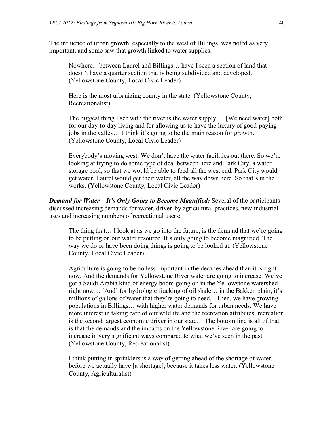The influence of urban growth, especially to the west of Billings, was noted as very important, and some saw that growth linked to water supplies:

Nowhere…between Laurel and Billings… have I seen a section of land that doesn't have a quarter section that is being subdivided and developed. (Yellowstone County, Local Civic Leader)

Here is the most urbanizing county in the state. (Yellowstone County, Recreationalist)

The biggest thing I see with the river is the water supply…. [We need water] both for our day-to-day living and for allowing us to have the luxury of good-paying jobs in the valley… I think it's going to be the main reason for growth. (Yellowstone County, Local Civic Leader)

Everybody's moving west. We don't have the water facilities out there. So we're looking at trying to do some type of deal between here and Park City, a water storage pool, so that we would be able to feed all the west end. Park City would get water, Laurel would get their water, all the way down here. So that's in the works. (Yellowstone County, Local Civic Leader)

*Demand for Water—It's Only Going to Become Magnified:* Several of the participants discussed increasing demands for water, driven by agricultural practices, new industrial uses and increasing numbers of recreational users:

The thing that… I look at as we go into the future, is the demand that we're going to be putting on our water resource. It's only going to become magnified. The way we do or have been doing things is going to be looked at. (Yellowstone County, Local Civic Leader)

Agriculture is going to be no less important in the decades ahead than it is right now. And the demands for Yellowstone River water are going to increase. We've got a Saudi Arabia kind of energy boom going on in the Yellowstone watershed right now… [And] for hydrologic fracking of oil shale… in the Bakken plain, it's millions of gallons of water that they're going to need... Then, we have growing populations in Billings… with higher water demands for urban needs. We have more interest in taking care of our wildlife and the recreation attributes; recreation is the second largest economic driver in our state… The bottom line is all of that is that the demands and the impacts on the Yellowstone River are going to increase in very significant ways compared to what we've seen in the past. (Yellowstone County, Recreationalist)

I think putting in sprinklers is a way of getting ahead of the shortage of water, before we actually have [a shortage], because it takes less water. (Yellowstone County, Agriculturalist)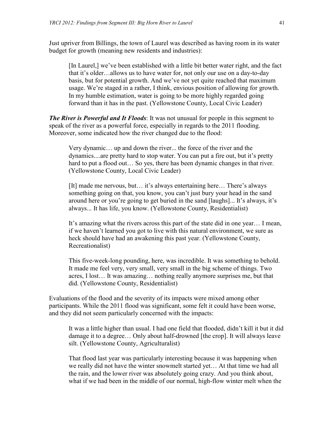Just upriver from Billings, the town of Laurel was described as having room in its water budget for growth (meaning new residents and industries):

[In Laurel,] we've been established with a little bit better water right, and the fact that it's older…allows us to have water for, not only our use on a day-to-day basis, but for potential growth. And we've not yet quite reached that maximum usage. We're staged in a rather, I think, envious position of allowing for growth. In my humble estimation, water is going to be more highly regarded going forward than it has in the past. (Yellowstone County, Local Civic Leader)

*The River is Powerful and It Floods*: It was not unusual for people in this segment to speak of the river as a powerful force, especially in regards to the 2011 flooding. Moreover, some indicated how the river changed due to the flood:

Very dynamic… up and down the river... the force of the river and the dynamics....are pretty hard to stop water. You can put a fire out, but it's pretty hard to put a flood out... So yes, there has been dynamic changes in that river. (Yellowstone County, Local Civic Leader)

[It] made me nervous, but… it's always entertaining here… There's always something going on that, you know, you can't just bury your head in the sand around here or you're going to get buried in the sand [laughs]... It's always, it's always... It has life, you know. (Yellowstone County, Residentialist)

It's amazing what the rivers across this part of the state did in one year… I mean, if we haven't learned you got to live with this natural environment, we sure as heck should have had an awakening this past year. (Yellowstone County, Recreationalist)

This five-week-long pounding, here, was incredible. It was something to behold. It made me feel very, very small, very small in the big scheme of things. Two acres, I lost… It was amazing… nothing really anymore surprises me, but that did. (Yellowstone County, Residentialist)

Evaluations of the flood and the severity of its impacts were mixed among other participants. While the 2011 flood was significant, some felt it could have been worse, and they did not seem particularly concerned with the impacts:

It was a little higher than usual. I had one field that flooded, didn't kill it but it did damage it to a degree… Only about half-drowned [the crop]. It will always leave silt. (Yellowstone County, Agriculturalist)

That flood last year was particularly interesting because it was happening when we really did not have the winter snowmelt started yet… At that time we had all the rain, and the lower river was absolutely going crazy. And you think about, what if we had been in the middle of our normal, high-flow winter melt when the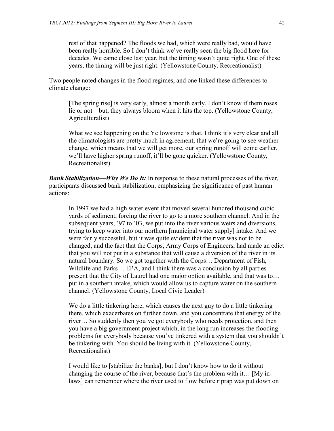rest of that happened? The floods we had, which were really bad, would have been really horrible. So I don't think we've really seen the big flood here for decades. We came close last year, but the timing wasn't quite right. One of these years, the timing will be just right. (Yellowstone County, Recreationalist)

Two people noted changes in the flood regimes, and one linked these differences to climate change:

[The spring rise] is very early, almost a month early. I don't know if them roses lie or not—but, they always bloom when it hits the top. (Yellowstone County, Agriculturalist)

What we see happening on the Yellowstone is that, I think it's very clear and all the climatologists are pretty much in agreement, that we're going to see weather change, which means that we will get more, our spring runoff will come earlier, we'll have higher spring runoff, it'll be gone quicker. (Yellowstone County, Recreationalist)

*Bank Stabilization—Why We Do It:* In response to these natural processes of the river, participants discussed bank stabilization, emphasizing the significance of past human actions:

In 1997 we had a high water event that moved several hundred thousand cubic yards of sediment, forcing the river to go to a more southern channel. And in the subsequent years, '97 to '03, we put into the river various weirs and diversions, trying to keep water into our northern [municipal water supply] intake. And we were fairly successful, but it was quite evident that the river was not to be changed, and the fact that the Corps, Army Corps of Engineers, had made an edict that you will not put in a substance that will cause a diversion of the river in its natural boundary. So we got together with the Corps… Department of Fish, Wildlife and Parks… EPA, and I think there was a conclusion by all parties present that the City of Laurel had one major option available, and that was to… put in a southern intake, which would allow us to capture water on the southern channel. (Yellowstone County, Local Civic Leader)

We do a little tinkering here, which causes the next guy to do a little tinkering there, which exacerbates on further down, and you concentrate that energy of the river… So suddenly then you've got everybody who needs protection, and then you have a big government project which, in the long run increases the flooding problems for everybody because you've tinkered with a system that you shouldn't be tinkering with. You should be living with it. (Yellowstone County, Recreationalist)

I would like to [stabilize the banks], but I don't know how to do it without changing the course of the river, because that's the problem with it… [My inlaws] can remember where the river used to flow before riprap was put down on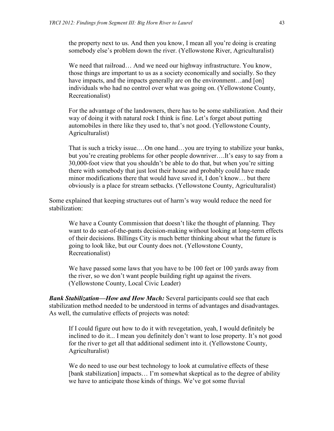the property next to us. And then you know, I mean all you're doing is creating somebody else's problem down the river. (Yellowstone River, Agriculturalist)

We need that railroad… And we need our highway infrastructure. You know, those things are important to us as a society economically and socially. So they have impacts, and the impacts generally are on the environment...and [on] individuals who had no control over what was going on. (Yellowstone County, Recreationalist)

For the advantage of the landowners, there has to be some stabilization. And their way of doing it with natural rock I think is fine. Let's forget about putting automobiles in there like they used to, that's not good. (Yellowstone County, Agriculturalist)

That is such a tricky issue.…On one hand…you are trying to stabilize your banks, but you're creating problems for other people downriver….It's easy to say from a 30,000-foot view that you shouldn't be able to do that, but when you're sitting there with somebody that just lost their house and probably could have made minor modifications there that would have saved it, I don't know… but there obviously is a place for stream setbacks. (Yellowstone County, Agriculturalist)

Some explained that keeping structures out of harm's way would reduce the need for stabilization:

We have a County Commission that doesn't like the thought of planning. They want to do seat-of-the-pants decision-making without looking at long-term effects of their decisions. Billings City is much better thinking about what the future is going to look like, but our County does not. (Yellowstone County, Recreationalist)

We have passed some laws that you have to be 100 feet or 100 yards away from the river, so we don't want people building right up against the rivers. (Yellowstone County, Local Civic Leader)

*Bank Stabilization—How and How Much:* Several participants could see that each stabilization method needed to be understood in terms of advantages and disadvantages. As well, the cumulative effects of projects was noted:

If I could figure out how to do it with revegetation, yeah, I would definitely be inclined to do it... I mean you definitely don't want to lose property. It's not good for the river to get all that additional sediment into it. (Yellowstone County, Agriculturalist)

We do need to use our best technology to look at cumulative effects of these [bank stabilization] impacts... I'm somewhat skeptical as to the degree of ability we have to anticipate those kinds of things. We've got some fluvial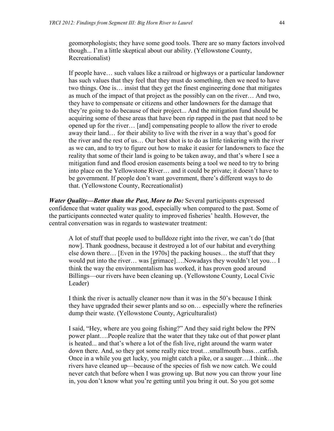geomorphologists; they have some good tools. There are so many factors involved though... I'm a little skeptical about our ability. (Yellowstone County, Recreationalist)

If people have… such values like a railroad or highways or a particular landowner has such values that they feel that they must do something, then we need to have two things. One is… insist that they get the finest engineering done that mitigates as much of the impact of that project as the possibly can on the river… And two, they have to compensate or citizens and other landowners for the damage that they're going to do because of their project... And the mitigation fund should be acquiring some of these areas that have been rip rapped in the past that need to be opened up for the river… [and] compensating people to allow the river to erode away their land… for their ability to live with the river in a way that's good for the river and the rest of us… Our best shot is to do as little tinkering with the river as we can, and to try to figure out how to make it easier for landowners to face the reality that some of their land is going to be taken away, and that's where I see a mitigation fund and flood erosion easements being a tool we need to try to bring into place on the Yellowstone River… and it could be private; it doesn't have to be government. If people don't want government, there's different ways to do that. (Yellowstone County, Recreationalist)

*Water Quality—Better than the Past, More to Do:* Several participants expressed confidence that water quality was good, especially when compared to the past. Some of the participants connected water quality to improved fisheries' health. However, the central conversation was in regards to wastewater treatment:

A lot of stuff that people used to bulldoze right into the river, we can't do [that now]. Thank goodness, because it destroyed a lot of our habitat and everything else down there… [Even in the 1970s] the packing houses… the stuff that they would put into the river… was [grimace]….Nowadays they wouldn't let you… I think the way the environmentalism has worked, it has proven good around Billings—our rivers have been cleaning up. (Yellowstone County, Local Civic Leader)

I think the river is actually cleaner now than it was in the 50's because I think they have upgraded their sewer plants and so on… especially where the refineries dump their waste. (Yellowstone County, Agriculturalist)

I said, "Hey, where are you going fishing?" And they said right below the PPN power plant….People realize that the water that they take out of that power plant is heated... and that's where a lot of the fish live, right around the warm water down there. And, so they got some really nice trout…smallmouth bass…catfish. Once in a while you get lucky, you might catch a pike, or a sauger….I think…the rivers have cleaned up—because of the species of fish we now catch. We could never catch that before when I was growing up. But now you can throw your line in, you don't know what you're getting until you bring it out. So you got some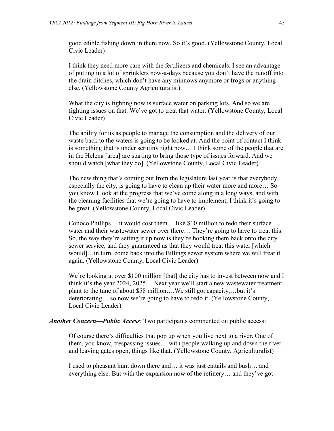good edible fishing down in there now. So it's good. (Yellowstone County, Local Civic Leader)

I think they need more care with the fertilizers and chemicals. I see an advantage of putting in a lot of sprinklers now-a-days because you don't have the runoff into the drain ditches, which don't have any minnows anymore or frogs or anything else. (Yellowstone County Agriculturalist)

What the city is fighting now is surface water on parking lots. And so we are fighting issues on that. We've got to treat that water. (Yellowstone County, Local Civic Leader)

The ability for us as people to manage the consumption and the delivery of our waste back to the waters is going to be looked at. And the point of contact I think is something that is under scrutiny right now… I think some of the people that are in the Helena [area] are starting to bring those type of issues forward. And we should watch [what they do]. (Yellowstone County, Local Civic Leader)

The new thing that's coming out from the legislature last year is that everybody, especially the city, is going to have to clean up their water more and more… So you know I look at the progress that we've come along in a long ways, and with the cleaning facilities that we're going to have to implement, I think it's going to be great. (Yellowstone County, Local Civic Leader)

Conoco Phillips… it would cost them… like \$10 million to redo their surface water and their wastewater sewer over there... They're going to have to treat this. So, the way they're setting it up now is they're hooking them back onto the city sewer service, and they guaranteed us that they would treat this water [which would]…in turn, come back into the Billings sewer system where we will treat it again. (Yellowstone County, Local Civic Leader)

We're looking at over \$100 million [that] the city has to invest between now and I think it's the year 2024, 2025….Next year we'll start a new wastewater treatment plant to the tune of about \$58 million….We still got capacity,…but it's deteriorating… so now we're going to have to redo it. (Yellowstone County, Local Civic Leader)

*Another Concern—Public Access*: Two participants commented on public access:

Of course there's difficulties that pop up when you live next to a river. One of them, you know, trespassing issues… with people walking up and down the river and leaving gates open, things like that. (Yellowstone County, Agriculturalist)

I used to pheasant hunt down there and… it was just cattails and bush… and everything else. But with the expansion now of the refinery… and they've got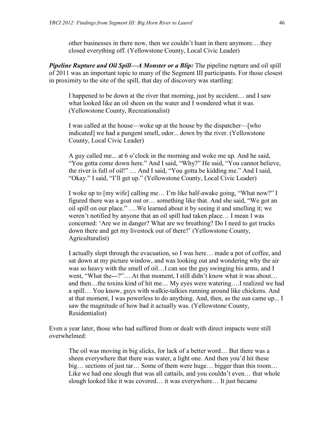other businesses in there now, then we couldn't hunt in there anymore….they closed everything off. (Yellowstone County, Local Civic Leader)

*Pipeline Rupture and Oil Spill—A Monster or a Blip:* The pipeline rupture and oil spill of 2011 was an important topic to many of the Segment III participants. For those closest in proximity to the site of the spill, that day of discovery was startling:

I happened to be down at the river that morning, just by accident… and I saw what looked like an oil sheen on the water and I wondered what it was. (Yellowstone County, Recreationalist)

I was called at the house—woke up at the house by the dispatcher—[who indicated] we had a pungent smell, odor... down by the river. (Yellowstone County, Local Civic Leader)

A guy called me... at 6 o'clock in the morning and woke me up. And he said, "You gotta come down here." And I said, "Why?" He said, "You cannot believe, the river is full of oil!" … And I said, "You gotta be kidding me." And I said, "Okay." I said, "I'll get up." (Yellowstone County, Local Civic Leader)

I woke up to [my wife] calling me… I'm like half-awake going, "What now?" I figured there was a goat out or… something like that. And she said, "We got an oil spill on our place." ….We learned about it by seeing it and smelling it; we weren't notified by anyone that an oil spill had taken place… I mean I was concerned: 'Are we in danger? What are we breathing? Do I need to get trucks down there and get my livestock out of there?' (Yellowstone County, Agriculturalist)

I actually slept through the evacuation, so I was here… made a pot of coffee, and sat down at my picture window, and was looking out and wondering why the air was so heavy with the smell of oil…I can see the guy swinging his arms, and I went, "What the---?"....At that moment, I still didn't know what it was about... and then…the toxins kind of hit me… My eyes were watering….I realized we had a spill… You know, guys with walkie-talkies running around like chickens. And at that moment, I was powerless to do anything. And, then, as the sun came up... I saw the magnitude of how bad it actually was. (Yellowstone County, Residentialist)

Even a year later, those who had suffered from or dealt with direct impacts were still overwhelmed:

The oil was moving in big slicks, for lack of a better word… But there was a sheen everywhere that there was water, a light one. And then you'd hit these big… sections of just tar… Some of them were huge… bigger than this room… Like we had one slough that was all cattails, and you couldn't even… that whole slough looked like it was covered… it was everywhere… It just became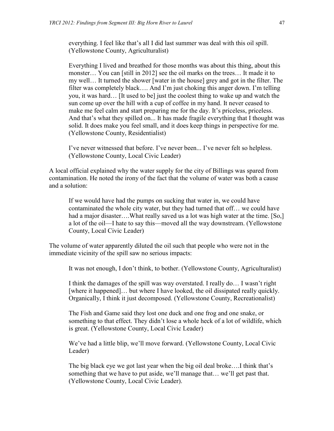everything. I feel like that's all I did last summer was deal with this oil spill. (Yellowstone County, Agriculturalist)

Everything I lived and breathed for those months was about this thing, about this monster… You can [still in 2012] see the oil marks on the trees… It made it to my well… It turned the shower [water in the house] grey and got in the filter. The filter was completely black…. And I'm just choking this anger down. I'm telling you, it was hard… [It used to be] just the coolest thing to wake up and watch the sun come up over the hill with a cup of coffee in my hand. It never ceased to make me feel calm and start preparing me for the day. It's priceless, priceless. And that's what they spilled on... It has made fragile everything that I thought was solid. It does make you feel small, and it does keep things in perspective for me. (Yellowstone County, Residentialist)

I've never witnessed that before. I've never been... I've never felt so helpless. (Yellowstone County, Local Civic Leader)

A local official explained why the water supply for the city of Billings was spared from contamination. He noted the irony of the fact that the volume of water was both a cause and a solution:

If we would have had the pumps on sucking that water in, we could have contaminated the whole city water, but they had turned that off… we could have had a major disaster....What really saved us a lot was high water at the time. [So,] a lot of the oil—I hate to say this—moved all the way downstream. (Yellowstone County, Local Civic Leader)

The volume of water apparently diluted the oil such that people who were not in the immediate vicinity of the spill saw no serious impacts:

It was not enough, I don't think, to bother. (Yellowstone County, Agriculturalist)

I think the damages of the spill was way overstated. I really do… I wasn't right [where it happened]... but where I have looked, the oil dissipated really quickly. Organically, I think it just decomposed. (Yellowstone County, Recreationalist)

The Fish and Game said they lost one duck and one frog and one snake, or something to that effect. They didn't lose a whole heck of a lot of wildlife, which is great. (Yellowstone County, Local Civic Leader)

We've had a little blip, we'll move forward. (Yellowstone County, Local Civic Leader)

The big black eye we got last year when the big oil deal broke….I think that's something that we have to put aside, we'll manage that… we'll get past that. (Yellowstone County, Local Civic Leader).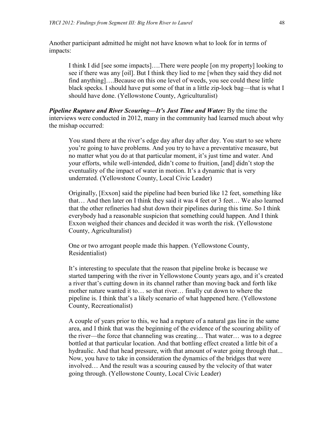Another participant admitted he might not have known what to look for in terms of impacts:

I think I did [see some impacts]….There were people [on my property] looking to see if there was any [oil]. But I think they lied to me [when they said they did not find anything]….Because on this one level of weeds, you see could these little black specks. I should have put some of that in a little zip-lock bag—that is what I should have done. (Yellowstone County, Agriculturalist)

*Pipeline Rupture and River Scouring—It's Just Time and Water:* By the time the interviews were conducted in 2012, many in the community had learned much about why the mishap occurred:

You stand there at the river's edge day after day after day. You start to see where you're going to have problems. And you try to have a preventative measure, but no matter what you do at that particular moment, it's just time and water. And your efforts, while well-intended, didn't come to fruition, [and] didn't stop the eventuality of the impact of water in motion. It's a dynamic that is very underrated. (Yellowstone County, Local Civic Leader)

Originally, [Exxon] said the pipeline had been buried like 12 feet, something like that… And then later on I think they said it was 4 feet or 3 feet… We also learned that the other refineries had shut down their pipelines during this time. So I think everybody had a reasonable suspicion that something could happen. And I think Exxon weighed their chances and decided it was worth the risk. (Yellowstone County, Agriculturalist)

One or two arrogant people made this happen. (Yellowstone County, Residentialist)

It's interesting to speculate that the reason that pipeline broke is because we started tampering with the river in Yellowstone County years ago, and it's created a river that's cutting down in its channel rather than moving back and forth like mother nature wanted it to… so that river… finally cut down to where the pipeline is. I think that's a likely scenario of what happened here. (Yellowstone County, Recreationalist)

A couple of years prior to this, we had a rupture of a natural gas line in the same area, and I think that was the beginning of the evidence of the scouring ability of the river—the force that channeling was creating… That water… was to a degree bottled at that particular location. And that bottling effect created a little bit of a hydraulic. And that head pressure, with that amount of water going through that... Now, you have to take in consideration the dynamics of the bridges that were involved… And the result was a scouring caused by the velocity of that water going through. (Yellowstone County, Local Civic Leader)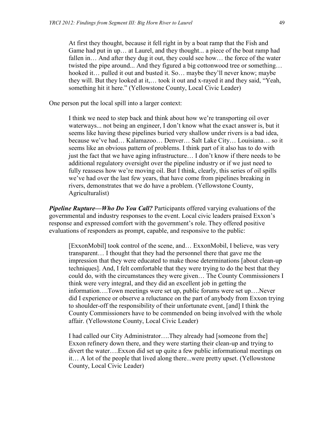At first they thought, because it fell right in by a boat ramp that the Fish and Game had put in up… at Laurel, and they thought... a piece of the boat ramp had fallen in... And after they dug it out, they could see how... the force of the water twisted the pipe around... And they figured a big cottonwood tree or something… hooked it… pulled it out and busted it. So… maybe they'll never know; maybe they will. But they looked at it,… took it out and x-rayed it and they said, "Yeah, something hit it here." (Yellowstone County, Local Civic Leader)

One person put the local spill into a larger context:

I think we need to step back and think about how we're transporting oil over waterways... not being an engineer, I don't know what the exact answer is, but it seems like having these pipelines buried very shallow under rivers is a bad idea, because we've had… Kalamazoo… Denver… Salt Lake City… Louisiana… so it seems like an obvious pattern of problems. I think part of it also has to do with just the fact that we have aging infrastructure… I don't know if there needs to be additional regulatory oversight over the pipeline industry or if we just need to fully reassess how we're moving oil. But I think, clearly, this series of oil spills we've had over the last few years, that have come from pipelines breaking in rivers, demonstrates that we do have a problem. (Yellowstone County, Agriculturalist)

*Pipeline Rupture—Who Do You Call?* Participants offered varying evaluations of the governmental and industry responses to the event. Local civic leaders praised Exxon's response and expressed comfort with the government's role. They offered positive evaluations of responders as prompt, capable, and responsive to the public:

[ExxonMobil] took control of the scene, and… ExxonMobil, I believe, was very transparent… I thought that they had the personnel there that gave me the impression that they were educated to make those determinations [about clean-up techniques]. And, I felt comfortable that they were trying to do the best that they could do, with the circumstances they were given… The County Commissioners I think were very integral, and they did an excellent job in getting the information….Town meetings were set up, public forums were set up….Never did I experience or observe a reluctance on the part of anybody from Exxon trying to shoulder-off the responsibility of their unfortunate event, [and] I think the County Commissioners have to be commended on being involved with the whole affair. (Yellowstone County, Local Civic Leader)

I had called our City Administrator….They already had [someone from the] Exxon refinery down there, and they were starting their clean-up and trying to divert the water….Exxon did set up quite a few public informational meetings on it… A lot of the people that lived along there...were pretty upset. (Yellowstone County, Local Civic Leader)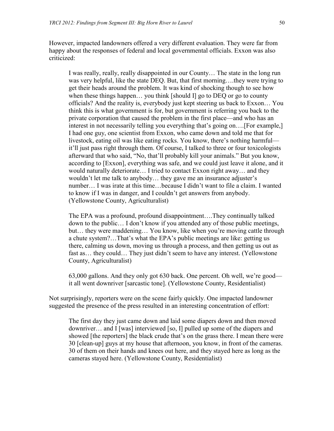However, impacted landowners offered a very different evaluation. They were far from happy about the responses of federal and local governmental officials. Exxon was also criticized:

I was really, really, really disappointed in our County… The state in the long run was very helpful, like the state DEQ. But, that first morning….they were trying to get their heads around the problem. It was kind of shocking though to see how when these things happen… you think [should I] go to DEQ or go to county officials? And the reality is, everybody just kept steering us back to Exxon… You think this is what government is for, but government is referring you back to the private corporation that caused the problem in the first place—and who has an interest in not necessarily telling you everything that's going on….[For example,] I had one guy, one scientist from Exxon, who came down and told me that for livestock, eating oil was like eating rocks. You know, there's nothing harmful it'll just pass right through them. Of course, I talked to three or four toxicologists afterward that who said, "No, that'll probably kill your animals." But you know, according to [Exxon], everything was safe, and we could just leave it alone, and it would naturally deteriorate… I tried to contact Exxon right away… and they wouldn't let me talk to anybody… they gave me an insurance adjuster's number… I was irate at this time…because I didn't want to file a claim. I wanted to know if I was in danger, and I couldn't get answers from anybody. (Yellowstone County, Agriculturalist)

The EPA was a profound, profound disappointment….They continually talked down to the public… I don't know if you attended any of those public meetings, but… they were maddening… You know, like when you're moving cattle through a chute system?…That's what the EPA's public meetings are like: getting us there, calming us down, moving us through a process, and then getting us out as fast as… they could… They just didn't seem to have any interest. (Yellowstone County, Agriculturalist)

63,000 gallons. And they only got 630 back. One percent. Oh well, we're good it all went downriver [sarcastic tone]. (Yellowstone County, Residentialist)

Not surprisingly, reporters were on the scene fairly quickly. One impacted landowner suggested the presence of the press resulted in an interesting concentration of effort:

The first day they just came down and laid some diapers down and then moved downriver… and I [was] interviewed [so, I] pulled up some of the diapers and showed [the reporters] the black crude that's on the grass there. I mean there were 30 [clean-up] guys at my house that afternoon, you know, in front of the cameras. 30 of them on their hands and knees out here, and they stayed here as long as the cameras stayed here. (Yellowstone County, Residentialist)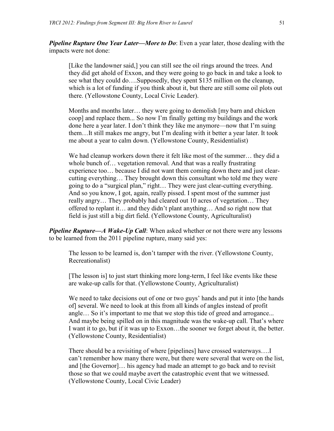*Pipeline Rupture One Year Later—More to Do*: Even a year later, those dealing with the impacts were not done:

[Like the landowner said,] you can still see the oil rings around the trees. And they did get ahold of Exxon, and they were going to go back in and take a look to see what they could do….Supposedly, they spent \$135 million on the cleanup, which is a lot of funding if you think about it, but there are still some oil plots out there. (Yellowstone County, Local Civic Leader).

Months and months later… they were going to demolish [my barn and chicken coop] and replace them... So now I'm finally getting my buildings and the work done here a year later. I don't think they like me anymore—now that I'm suing them…It still makes me angry, but I'm dealing with it better a year later. It took me about a year to calm down. (Yellowstone County, Residentialist)

We had cleanup workers down there it felt like most of the summer… they did a whole bunch of... vegetation removal. And that was a really frustrating experience too… because I did not want them coming down there and just clearcutting everything… They brought down this consultant who told me they were going to do a "surgical plan," right… They were just clear-cutting everything. And so you know, I got, again, really pissed. I spent most of the summer just really angry… They probably had cleared out 10 acres of vegetation… They offered to replant it… and they didn't plant anything… And so right now that field is just still a big dirt field. (Yellowstone County, Agriculturalist)

*Pipeline Rupture—A Wake-Up Call*: When asked whether or not there were any lessons to be learned from the 2011 pipeline rupture, many said yes:

The lesson to be learned is, don't tamper with the river. (Yellowstone County, Recreationalist)

[The lesson is] to just start thinking more long-term, I feel like events like these are wake-up calls for that. (Yellowstone County, Agriculturalist)

We need to take decisions out of one or two guys' hands and put it into [the hands of] several. We need to look at this from all kinds of angles instead of profit angle… So it's important to me that we stop this tide of greed and arrogance... And maybe being spilled on in this magnitude was the wake-up call. That's where I want it to go, but if it was up to Exxon…the sooner we forget about it, the better. (Yellowstone County, Residentialist)

There should be a revisiting of where [pipelines] have crossed waterways….I can't remember how many there were, but there were several that were on the list, and [the Governor]… his agency had made an attempt to go back and to revisit those so that we could maybe avert the catastrophic event that we witnessed. (Yellowstone County, Local Civic Leader)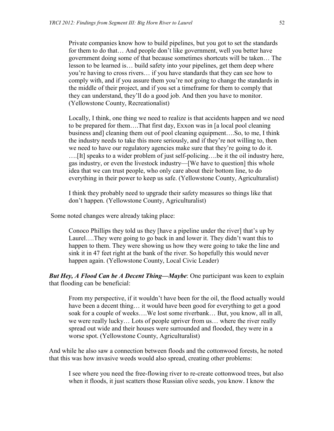Private companies know how to build pipelines, but you got to set the standards for them to do that… And people don't like government, well you better have government doing some of that because sometimes shortcuts will be taken… The lesson to be learned is… build safety into your pipelines, get them deep where you're having to cross rivers… if you have standards that they can see how to comply with, and if you assure them you're not going to change the standards in the middle of their project, and if you set a timeframe for them to comply that they can understand, they'll do a good job. And then you have to monitor. (Yellowstone County, Recreationalist)

Locally, I think, one thing we need to realize is that accidents happen and we need to be prepared for them….That first day, Exxon was in [a local pool cleaning business and] cleaning them out of pool cleaning equipment….So, to me, I think the industry needs to take this more seriously, and if they're not willing to, then we need to have our regulatory agencies make sure that they're going to do it. ….[It] speaks to a wider problem of just self-policing….be it the oil industry here, gas industry, or even the livestock industry—[We have to question] this whole idea that we can trust people, who only care about their bottom line, to do everything in their power to keep us safe. (Yellowstone County, Agriculturalist)

I think they probably need to upgrade their safety measures so things like that don't happen. (Yellowstone County, Agriculturalist)

Some noted changes were already taking place:

Conoco Phillips they told us they [have a pipeline under the river] that's up by Laurel….They were going to go back in and lower it. They didn't want this to happen to them. They were showing us how they were going to take the line and sink it in 47 feet right at the bank of the river. So hopefully this would never happen again. (Yellowstone County, Local Civic Leader)

*But Hey, A Flood Can be A Decent Thing—Maybe*: One participant was keen to explain that flooding can be beneficial:

From my perspective, if it wouldn't have been for the oil, the flood actually would have been a decent thing... it would have been good for everything to get a good soak for a couple of weeks….We lost some riverbank… But, you know, all in all, we were really lucky… Lots of people upriver from us… where the river really spread out wide and their houses were surrounded and flooded, they were in a worse spot. (Yellowstone County, Agriculturalist)

And while he also saw a connection between floods and the cottonwood forests, he noted that this was how invasive weeds would also spread, creating other problems:

I see where you need the free-flowing river to re-create cottonwood trees, but also when it floods, it just scatters those Russian olive seeds, you know. I know the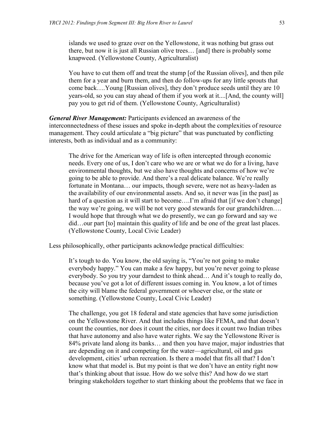islands we used to graze over on the Yellowstone, it was nothing but grass out there, but now it is just all Russian olive trees… [and] there is probably some knapweed. (Yellowstone County, Agriculturalist)

You have to cut them off and treat the stump [of the Russian olives], and then pile them for a year and burn them, and then do follow-ups for any little sprouts that come back….Young [Russian olives], they don't produce seeds until they are 10 years-old, so you can stay ahead of them if you work at it....[And, the county will] pay you to get rid of them. (Yellowstone County, Agriculturalist)

*General River Management:* Participants evidenced an awareness of the interconnectedness of these issues and spoke in-depth about the complexities of resource management. They could articulate a "big picture" that was punctuated by conflicting interests, both as individual and as a community:

The drive for the American way of life is often intercepted through economic needs. Every one of us, I don't care who we are or what we do for a living, have environmental thoughts, but we also have thoughts and concerns of how we're going to be able to provide. And there's a real delicate balance. We're really fortunate in Montana… our impacts, though severe, were not as heavy-laden as the availability of our environmental assets. And so, it never was [in the past] as hard of a question as it will start to become....I'm afraid that [if we don't change] the way we're going, we will be not very good stewards for our grandchildren…. I would hope that through what we do presently, we can go forward and say we did…our part [to] maintain this quality of life and be one of the great last places. (Yellowstone County, Local Civic Leader)

Less philosophically, other participants acknowledge practical difficulties:

It's tough to do. You know, the old saying is, "You're not going to make everybody happy." You can make a few happy, but you're never going to please everybody. So you try your darndest to think ahead… And it's tough to really do, because you've got a lot of different issues coming in. You know, a lot of times the city will blame the federal government or whoever else, or the state or something. (Yellowstone County, Local Civic Leader)

The challenge, you got 18 federal and state agencies that have some jurisdiction on the Yellowstone River. And that includes things like FEMA, and that doesn't count the counties, nor does it count the cities, nor does it count two Indian tribes that have autonomy and also have water rights. We say the Yellowstone River is 84% private land along its banks… and then you have major, major industries that are depending on it and competing for the water—agricultural, oil and gas development, cities' urban recreation. Is there a model that fits all that? I don't know what that model is. But my point is that we don't have an entity right now that's thinking about that issue. How do we solve this? And how do we start bringing stakeholders together to start thinking about the problems that we face in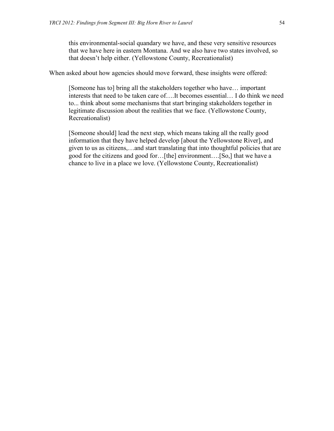this environmental-social quandary we have, and these very sensitive resources that we have here in eastern Montana. And we also have two states involved, so that doesn't help either. (Yellowstone County, Recreationalist)

When asked about how agencies should move forward, these insights were offered:

[Someone has to] bring all the stakeholders together who have… important interests that need to be taken care of….It becomes essential… I do think we need to... think about some mechanisms that start bringing stakeholders together in legitimate discussion about the realities that we face. (Yellowstone County, Recreationalist)

[Someone should] lead the next step, which means taking all the really good information that they have helped develop [about the Yellowstone River], and given to us as citizens,…and start translating that into thoughtful policies that are good for the citizens and good for…[the] environment….[So,] that we have a chance to live in a place we love. (Yellowstone County, Recreationalist)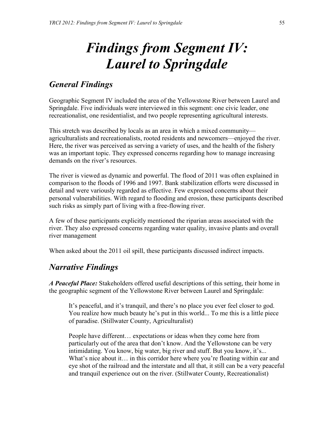## *Findings from Segment IV: Laurel to Springdale*

#### *General Findings*

Geographic Segment IV included the area of the Yellowstone River between Laurel and Springdale. Five individuals were interviewed in this segment: one civic leader, one recreationalist, one residentialist, and two people representing agricultural interests.

This stretch was described by locals as an area in which a mixed community agriculturalists and recreationalists, rooted residents and newcomers—enjoyed the river. Here, the river was perceived as serving a variety of uses, and the health of the fishery was an important topic. They expressed concerns regarding how to manage increasing demands on the river's resources.

The river is viewed as dynamic and powerful. The flood of 2011 was often explained in comparison to the floods of 1996 and 1997. Bank stabilization efforts were discussed in detail and were variously regarded as effective. Few expressed concerns about their personal vulnerabilities. With regard to flooding and erosion, these participants described such risks as simply part of living with a free-flowing river.

A few of these participants explicitly mentioned the riparian areas associated with the river. They also expressed concerns regarding water quality, invasive plants and overall river management

When asked about the 2011 oil spill, these participants discussed indirect impacts.

## *Narrative Findings*

*A Peaceful Place:* Stakeholders offered useful descriptions of this setting, their home in the geographic segment of the Yellowstone River between Laurel and Springdale:

It's peaceful, and it's tranquil, and there's no place you ever feel closer to god. You realize how much beauty he's put in this world... To me this is a little piece of paradise. (Stillwater County, Agriculturalist)

People have different… expectations or ideas when they come here from particularly out of the area that don't know. And the Yellowstone can be very intimidating. You know, big water, big river and stuff. But you know, it's... What's nice about it... in this corridor here where you're floating within ear and eye shot of the railroad and the interstate and all that, it still can be a very peaceful and tranquil experience out on the river. (Stillwater County, Recreationalist)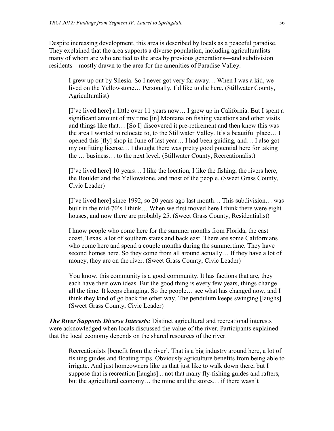Despite increasing development, this area is described by locals as a peaceful paradise. They explained that the area supports a diverse population, including agriculturalists many of whom are who are tied to the area by previous generations—and subdivision residents—mostly drawn to the area for the amenities of Paradise Valley:

I grew up out by Silesia. So I never got very far away… When I was a kid, we lived on the Yellowstone… Personally, I'd like to die here. (Stillwater County, Agriculturalist)

[I've lived here] a little over 11 years now… I grew up in California. But I spent a significant amount of my time [in] Montana on fishing vacations and other visits and things like that… [So I] discovered it pre-retirement and then knew this was the area I wanted to relocate to, to the Stillwater Valley. It's a beautiful place… I opened this [fly] shop in June of last year… I had been guiding, and… I also got my outfitting license… I thought there was pretty good potential here for taking the … business… to the next level. (Stillwater County, Recreationalist)

[I've lived here] 10 years… I like the location, I like the fishing, the rivers here, the Boulder and the Yellowstone, and most of the people. (Sweet Grass County, Civic Leader)

[I've lived here] since 1992, so 20 years ago last month… This subdivision… was built in the mid-70's I think… When we first moved here I think there were eight houses, and now there are probably 25. (Sweet Grass County, Residentialist)

I know people who come here for the summer months from Florida, the east coast, Texas, a lot of southern states and back east. There are some Californians who come here and spend a couple months during the summertime. They have second homes here. So they come from all around actually… If they have a lot of money, they are on the river. (Sweet Grass County, Civic Leader)

You know, this community is a good community. It has factions that are, they each have their own ideas. But the good thing is every few years, things change all the time. It keeps changing. So the people… see what has changed now, and I think they kind of go back the other way. The pendulum keeps swinging [laughs]. (Sweet Grass County, Civic Leader)

*The River Supports Diverse Interests:* Distinct agricultural and recreational interests were acknowledged when locals discussed the value of the river. Participants explained that the local economy depends on the shared resources of the river:

Recreationists [benefit from the river]. That is a big industry around here, a lot of fishing guides and floating trips. Obviously agriculture benefits from being able to irrigate. And just homeowners like us that just like to walk down there, but I suppose that is recreation [laughs]... not that many fly-fishing guides and rafters, but the agricultural economy… the mine and the stores… if there wasn't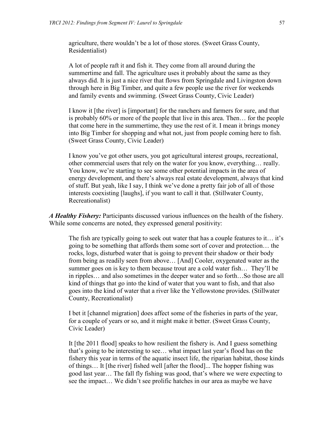agriculture, there wouldn't be a lot of those stores. (Sweet Grass County, Residentialist)

A lot of people raft it and fish it. They come from all around during the summertime and fall. The agriculture uses it probably about the same as they always did. It is just a nice river that flows from Springdale and Livingston down through here in Big Timber, and quite a few people use the river for weekends and family events and swimming. (Sweet Grass County, Civic Leader)

I know it [the river] is [important] for the ranchers and farmers for sure, and that is probably 60% or more of the people that live in this area. Then… for the people that come here in the summertime, they use the rest of it. I mean it brings money into Big Timber for shopping and what not, just from people coming here to fish. (Sweet Grass County, Civic Leader)

I know you've got other users, you got agricultural interest groups, recreational, other commercial users that rely on the water for you know, everything… really. You know, we're starting to see some other potential impacts in the area of energy development, and there's always real estate development, always that kind of stuff. But yeah, like I say, I think we've done a pretty fair job of all of those interests coexisting [laughs], if you want to call it that. (Stillwater County, Recreationalist)

*A Healthy Fishery:* Participants discussed various influences on the health of the fishery. While some concerns are noted, they expressed general positivity:

The fish are typically going to seek out water that has a couple features to it… it's going to be something that affords them some sort of cover and protection… the rocks, logs, disturbed water that is going to prevent their shadow or their body from being as readily seen from above… [And] Cooler, oxygenated water as the summer goes on is key to them because trout are a cold water fish… They'll be in ripples… and also sometimes in the deeper water and so forth…So those are all kind of things that go into the kind of water that you want to fish, and that also goes into the kind of water that a river like the Yellowstone provides. (Stillwater County, Recreationalist)

I bet it [channel migration] does affect some of the fisheries in parts of the year, for a couple of years or so, and it might make it better. (Sweet Grass County, Civic Leader)

It [the 2011 flood] speaks to how resilient the fishery is. And I guess something that's going to be interesting to see… what impact last year's flood has on the fishery this year in terms of the aquatic insect life, the riparian habitat, those kinds of things… It [the river] fished well [after the flood]... The hopper fishing was good last year… The fall fly fishing was good, that's where we were expecting to see the impact… We didn't see prolific hatches in our area as maybe we have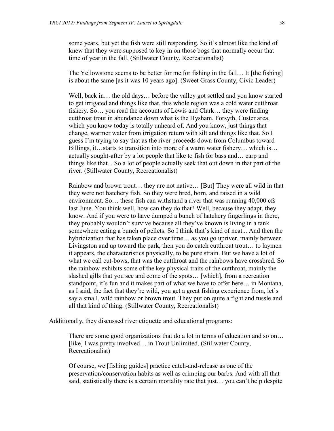some years, but yet the fish were still responding. So it's almost like the kind of knew that they were supposed to key in on those bogs that normally occur that time of year in the fall. (Stillwater County, Recreationalist)

The Yellowstone seems to be better for me for fishing in the fall... It [the fishing] is about the same [as it was 10 years ago]. (Sweet Grass County, Civic Leader)

Well, back in… the old days… before the valley got settled and you know started to get irrigated and things like that, this whole region was a cold water cutthroat fishery. So… you read the accounts of Lewis and Clark… they were finding cutthroat trout in abundance down what is the Hysham, Forsyth, Custer area, which you know today is totally unheard of. And you know, just things that change, warmer water from irrigation return with silt and things like that. So I guess I'm trying to say that as the river proceeds down from Columbus toward Billings, it…starts to transition into more of a warm water fishery… which is… actually sought-after by a lot people that like to fish for bass and… carp and things like that... So a lot of people actually seek that out down in that part of the river. (Stillwater County, Recreationalist)

Rainbow and brown trout… they are not native… [But] They were all wild in that they were not hatchery fish. So they were bred, born, and raised in a wild environment. So… these fish can withstand a river that was running 40,000 cfs last June. You think well, how can they do that? Well, because they adapt, they know. And if you were to have dumped a bunch of hatchery fingerlings in there, they probably wouldn't survive because all they've known is living in a tank somewhere eating a bunch of pellets. So I think that's kind of neat... And then the hybridization that has taken place over time… as you go upriver, mainly between Livingston and up toward the park, then you do catch cutthroat trout… to laymen it appears, the characteristics physically, to be pure strain. But we have a lot of what we call cut-bows, that was the cutthroat and the rainbows have crossbred. So the rainbow exhibits some of the key physical traits of the cutthroat, mainly the slashed gills that you see and come of the spots… [which], from a recreation standpoint, it's fun and it makes part of what we have to offer here… in Montana, as I said, the fact that they're wild, you get a great fishing experience from, let's say a small, wild rainbow or brown trout. They put on quite a fight and tussle and all that kind of thing. (Stillwater County, Recreationalist)

Additionally, they discussed river etiquette and educational programs:

There are some good organizations that do a lot in terms of education and so on... [like] I was pretty involved… in Trout Unlimited. (Stillwater County, Recreationalist)

Of course, we [fishing guides] practice catch-and-release as one of the preservation/conservation habits as well as crimping our barbs. And with all that said, statistically there is a certain mortality rate that just… you can't help despite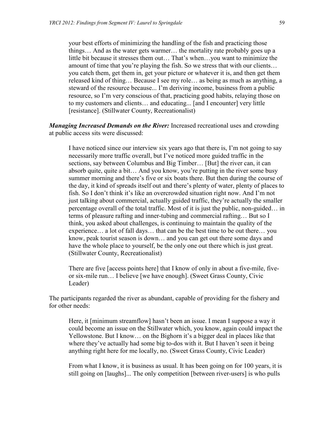your best efforts of minimizing the handling of the fish and practicing those things… And as the water gets warmer… the mortality rate probably goes up a little bit because it stresses them out… That's when…you want to minimize the amount of time that you're playing the fish. So we stress that with our clients… you catch them, get them in, get your picture or whatever it is, and then get them released kind of thing… Because I see my role… as being as much as anything, a steward of the resource because... I'm deriving income, business from a public resource, so I'm very conscious of that, practicing good habits, relaying those on to my customers and clients… and educating... [and I encounter] very little [resistance]. (Stillwater County, Recreationalist)

*Managing Increased Demands on the River:* Increased recreational uses and crowding at public access sits were discussed:

I have noticed since our interview six years ago that there is, I'm not going to say necessarily more traffic overall, but I've noticed more guided traffic in the sections, say between Columbus and Big Timber… [But] the river can, it can absorb quite, quite a bit… And you know, you're putting in the river some busy summer morning and there's five or six boats there. But then during the course of the day, it kind of spreads itself out and there's plenty of water, plenty of places to fish. So I don't think it's like an overcrowded situation right now. And I'm not just talking about commercial, actually guided traffic, they're actually the smaller percentage overall of the total traffic. Most of it is just the public, non-guided… in terms of pleasure rafting and inner-tubing and commercial rafting… But so I think, you asked about challenges, is continuing to maintain the quality of the experience… a lot of fall days… that can be the best time to be out there… you know, peak tourist season is down… and you can get out there some days and have the whole place to yourself, be the only one out there which is just great. (Stillwater County, Recreationalist)

There are five [access points here] that I know of only in about a five-mile, fiveor six-mile run… I believe [we have enough]. (Sweet Grass County, Civic Leader)

The participants regarded the river as abundant, capable of providing for the fishery and for other needs:

Here, it [minimum streamflow] hasn't been an issue. I mean I suppose a way it could become an issue on the Stillwater which, you know, again could impact the Yellowstone. But I know… on the Bighorn it's a bigger deal in places like that where they've actually had some big to-dos with it. But I haven't seen it being anything right here for me locally, no. (Sweet Grass County, Civic Leader)

From what I know, it is business as usual. It has been going on for 100 years, it is still going on [laughs]... The only competition [between river-users] is who pulls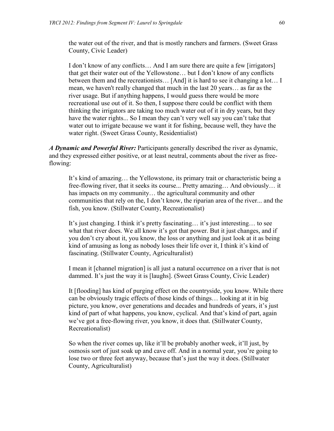the water out of the river, and that is mostly ranchers and farmers. (Sweet Grass County, Civic Leader)

I don't know of any conflicts… And I am sure there are quite a few [irrigators] that get their water out of the Yellowstone… but I don't know of any conflicts between them and the recreationists… [And] it is hard to see it changing a lot… I mean, we haven't really changed that much in the last 20 years… as far as the river usage. But if anything happens, I would guess there would be more recreational use out of it. So then, I suppose there could be conflict with them thinking the irrigators are taking too much water out of it in dry years, but they have the water rights... So I mean they can't very well say you can't take that water out to irrigate because we want it for fishing, because well, they have the water right. (Sweet Grass County, Residentialist)

*A Dynamic and Powerful River:* Participants generally described the river as dynamic, and they expressed either positive, or at least neutral, comments about the river as freeflowing:

It's kind of amazing… the Yellowstone, its primary trait or characteristic being a free-flowing river, that it seeks its course... Pretty amazing… And obviously… it has impacts on my community… the agricultural community and other communities that rely on the, I don't know, the riparian area of the river... and the fish, you know. (Stillwater County, Recreationalist)

It's just changing. I think it's pretty fascinating… it's just interesting… to see what that river does. We all know it's got that power. But it just changes, and if you don't cry about it, you know, the loss or anything and just look at it as being kind of amusing as long as nobody loses their life over it, I think it's kind of fascinating. (Stillwater County, Agriculturalist)

I mean it [channel migration] is all just a natural occurrence on a river that is not dammed. It's just the way it is [laughs]. (Sweet Grass County, Civic Leader)

It [flooding] has kind of purging effect on the countryside, you know. While there can be obviously tragic effects of those kinds of things… looking at it in big picture, you know, over generations and decades and hundreds of years, it's just kind of part of what happens, you know, cyclical. And that's kind of part, again we've got a free-flowing river, you know, it does that. (Stillwater County, Recreationalist)

So when the river comes up, like it'll be probably another week, it'll just, by osmosis sort of just soak up and cave off. And in a normal year, you're going to lose two or three feet anyway, because that's just the way it does. (Stillwater County, Agriculturalist)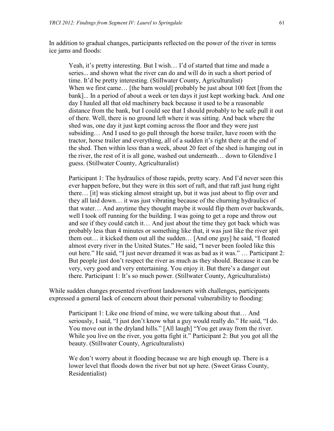In addition to gradual changes, participants reflected on the power of the river in terms ice jams and floods:

Yeah, it's pretty interesting. But I wish… I'd of started that time and made a series... and shown what the river can do and will do in such a short period of time. It'd be pretty interesting. (Stillwater County, Agriculturalist) When we first came... [the barn would] probably be just about 100 feet [from the bank]... In a period of about a week or ten days it just kept working back. And one day I hauled all that old machinery back because it used to be a reasonable distance from the bank, but I could see that I should probably to be safe pull it out of there. Well, there is no ground left where it was sitting. And back where the shed was, one day it just kept coming across the floor and they were just subsiding… And I used to go pull through the horse trailer, have room with the tractor, horse trailer and everything, all of a sudden it's right there at the end of the shed. Then within less than a week, about 20 feet of the shed is hanging out in the river, the rest of it is all gone, washed out underneath… down to Glendive I guess. (Stillwater County, Agriculturalist)

Participant 1: The hydraulics of those rapids, pretty scary. And I'd never seen this ever happen before, but they were in this sort of raft, and that raft just hung right there… [it] was sticking almost straight up, but it was just about to flip over and they all laid down… it was just vibrating because of the churning hydraulics of that water… And anytime they thought maybe it would flip them over backwards, well I took off running for the building. I was going to get a rope and throw out and see if they could catch it… And just about the time they got back which was probably less than 4 minutes or something like that, it was just like the river spit them out… it kicked them out all the sudden… [And one guy] he said, "I floated almost every river in the United States." He said, "I never been fooled like this out here." He said, "I just never dreamed it was as bad as it was." … Participant 2: But people just don't respect the river as much as they should. Because it can be very, very good and very entertaining. You enjoy it. But there's a danger out there. Participant 1: It's so much power. (Stillwater County, Agriculturalists)

While sudden changes presented riverfront landowners with challenges, participants expressed a general lack of concern about their personal vulnerability to flooding:

Participant 1: Like one friend of mine, we were talking about that… And seriously, I said, "I just don't know what a guy would really do." He said, "I do. You move out in the dryland hills." [All laugh] "You get away from the river. While you live on the river, you gotta fight it." Participant 2: But you got all the beauty. (Stillwater County, Agriculturalists)

We don't worry about it flooding because we are high enough up. There is a lower level that floods down the river but not up here. (Sweet Grass County, Residentialist)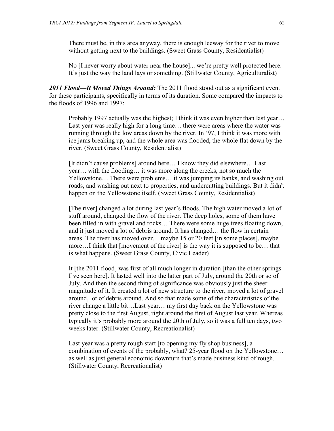There must be, in this area anyway, there is enough leeway for the river to move without getting next to the buildings. (Sweet Grass County, Residentialist)

No [I never worry about water near the house]... we're pretty well protected here. It's just the way the land lays or something. (Stillwater County, Agriculturalist)

*2011 Flood—It Moved Things Around:* The 2011 flood stood out as a significant event for these participants, specifically in terms of its duration. Some compared the impacts to the floods of 1996 and 1997:

Probably 1997 actually was the highest; I think it was even higher than last year... Last year was really high for a long time… there were areas where the water was running through the low areas down by the river. In '97, I think it was more with ice jams breaking up, and the whole area was flooded, the whole flat down by the river. (Sweet Grass County, Residentialist)

[It didn't cause problems] around here… I know they did elsewhere… Last year… with the flooding… it was more along the creeks, not so much the Yellowstone… There were problems… it was jumping its banks, and washing out roads, and washing out next to properties, and undercutting buildings. But it didn't happen on the Yellowstone itself. (Sweet Grass County, Residentialist)

[The river] changed a lot during last year's floods. The high water moved a lot of stuff around, changed the flow of the river. The deep holes, some of them have been filled in with gravel and rocks… There were some huge trees floating down, and it just moved a lot of debris around. It has changed… the flow in certain areas. The river has moved over… maybe 15 or 20 feet [in some places], maybe more…I think that [movement of the river] is the way it is supposed to be… that is what happens. (Sweet Grass County, Civic Leader)

It [the 2011 flood] was first of all much longer in duration [than the other springs I've seen here]. It lasted well into the latter part of July, around the 20th or so of July. And then the second thing of significance was obviously just the sheer magnitude of it. It created a lot of new structure to the river, moved a lot of gravel around, lot of debris around. And so that made some of the characteristics of the river change a little bit…Last year… my first day back on the Yellowstone was pretty close to the first August, right around the first of August last year. Whereas typically it's probably more around the 20th of July, so it was a full ten days, two weeks later. (Stillwater County, Recreationalist)

Last year was a pretty rough start [to opening my fly shop business], a combination of events of the probably, what? 25-year flood on the Yellowstone… as well as just general economic downturn that's made business kind of rough. (Stillwater County, Recreationalist)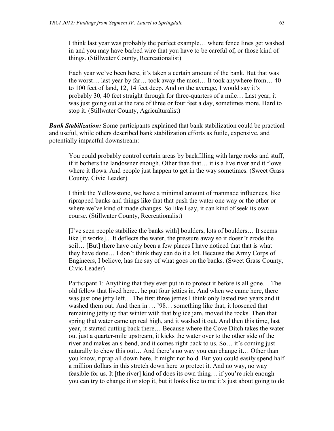I think last year was probably the perfect example… where fence lines get washed in and you may have barbed wire that you have to be careful of, or those kind of things. (Stillwater County, Recreationalist)

Each year we've been here, it's taken a certain amount of the bank. But that was the worst… last year by far… took away the most… It took anywhere from… 40 to 100 feet of land, 12, 14 feet deep. And on the average, I would say it's probably 30, 40 feet straight through for three-quarters of a mile… Last year, it was just going out at the rate of three or four feet a day, sometimes more. Hard to stop it. (Stillwater County, Agriculturalist)

*Bank Stabilization:* Some participants explained that bank stabilization could be practical and useful, while others described bank stabilization efforts as futile, expensive, and potentially impactful downstream:

You could probably control certain areas by backfilling with large rocks and stuff, if it bothers the landowner enough. Other than that… it is a live river and it flows where it flows. And people just happen to get in the way sometimes. (Sweet Grass County, Civic Leader)

I think the Yellowstone, we have a minimal amount of manmade influences, like riprapped banks and things like that that push the water one way or the other or where we've kind of made changes. So like I say, it can kind of seek its own course. (Stillwater County, Recreationalist)

[I've seen people stabilize the banks with] boulders, lots of boulders… It seems like [it works]... It deflects the water, the pressure away so it doesn't erode the soil… [But] there have only been a few places I have noticed that that is what they have done… I don't think they can do it a lot. Because the Army Corps of Engineers, I believe, has the say of what goes on the banks. (Sweet Grass County, Civic Leader)

Participant 1: Anything that they ever put in to protect it before is all gone… The old fellow that lived here... he put four jetties in. And when we came here, there was just one jetty left… The first three jetties I think only lasted two years and it washed them out. And then in … '98… something like that, it loosened that remaining jetty up that winter with that big ice jam, moved the rocks. Then that spring that water came up real high, and it washed it out. And then this time, last year, it started cutting back there… Because where the Cove Ditch takes the water out just a quarter-mile upstream, it kicks the water over to the other side of the river and makes an s-bend, and it comes right back to us. So… it's coming just naturally to chew this out… And there's no way you can change it… Other than you know, riprap all down here. It might not hold. But you could easily spend half a million dollars in this stretch down here to protect it. And no way, no way feasible for us. It [the river] kind of does its own thing… if you're rich enough you can try to change it or stop it, but it looks like to me it's just about going to do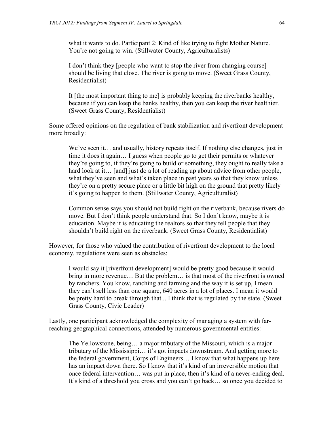what it wants to do. Participant 2: Kind of like trying to fight Mother Nature. You're not going to win. (Stillwater County, Agriculturalists)

I don't think they [people who want to stop the river from changing course] should be living that close. The river is going to move. (Sweet Grass County, Residentialist)

It [the most important thing to me] is probably keeping the riverbanks healthy, because if you can keep the banks healthy, then you can keep the river healthier. (Sweet Grass County, Residentialist)

Some offered opinions on the regulation of bank stabilization and riverfront development more broadly:

We've seen it… and usually, history repeats itself. If nothing else changes, just in time it does it again… I guess when people go to get their permits or whatever they're going to, if they're going to build or something, they ought to really take a hard look at it... [and] just do a lot of reading up about advice from other people, what they've seen and what's taken place in past years so that they know unless they're on a pretty secure place or a little bit high on the ground that pretty likely it's going to happen to them. (Stillwater County, Agriculturalist)

Common sense says you should not build right on the riverbank, because rivers do move. But I don't think people understand that. So I don't know, maybe it is education. Maybe it is educating the realtors so that they tell people that they shouldn't build right on the riverbank. (Sweet Grass County, Residentialist)

However, for those who valued the contribution of riverfront development to the local economy, regulations were seen as obstacles:

I would say it [riverfront development] would be pretty good because it would bring in more revenue… But the problem… is that most of the riverfront is owned by ranchers. You know, ranching and farming and the way it is set up, I mean they can't sell less than one square, 640 acres in a lot of places. I mean it would be pretty hard to break through that... I think that is regulated by the state. (Sweet Grass County, Civic Leader)

Lastly, one participant acknowledged the complexity of managing a system with farreaching geographical connections, attended by numerous governmental entities:

The Yellowstone, being… a major tributary of the Missouri, which is a major tributary of the Mississippi… it's got impacts downstream. And getting more to the federal government, Corps of Engineers… I know that what happens up here has an impact down there. So I know that it's kind of an irreversible motion that once federal intervention… was put in place, then it's kind of a never-ending deal. It's kind of a threshold you cross and you can't go back… so once you decided to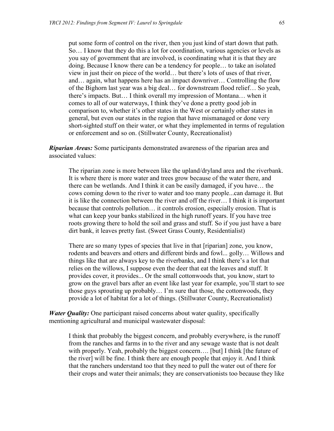put some form of control on the river, then you just kind of start down that path. So… I know that they do this a lot for coordination, various agencies or levels as you say of government that are involved, is coordinating what it is that they are doing. Because I know there can be a tendency for people… to take an isolated view in just their on piece of the world… but there's lots of uses of that river, and… again, what happens here has an impact downriver… Controlling the flow of the Bighorn last year was a big deal… for downstream flood relief… So yeah, there's impacts. But… I think overall my impression of Montana… when it comes to all of our waterways, I think they've done a pretty good job in comparison to, whether it's other states in the West or certainly other states in general, but even our states in the region that have mismanaged or done very short-sighted stuff on their water, or what they implemented in terms of regulation or enforcement and so on. (Stillwater County, Recreationalist)

*Riparian Areas:* Some participants demonstrated awareness of the riparian area and associated values:

The riparian zone is more between like the upland/dryland area and the riverbank. It is where there is more water and trees grow because of the water there, and there can be wetlands. And I think it can be easily damaged, if you have… the cows coming down to the river to water and too many people...can damage it. But it is like the connection between the river and off the river… I think it is important because that controls pollution… it controls erosion, especially erosion. That is what can keep your banks stabilized in the high runoff years. If you have tree roots growing there to hold the soil and grass and stuff. So if you just have a bare dirt bank, it leaves pretty fast. (Sweet Grass County, Residentialist)

There are so many types of species that live in that [riparian] zone, you know, rodents and beavers and otters and different birds and fowl... golly… Willows and things like that are always key to the riverbanks, and I think there's a lot that relies on the willows, I suppose even the deer that eat the leaves and stuff. It provides cover, it provides... Or the small cottonwoods that, you know, start to grow on the gravel bars after an event like last year for example, you'll start to see those guys sprouting up probably… I'm sure that those, the cottonwoods, they provide a lot of habitat for a lot of things. (Stillwater County, Recreationalist)

*Water Quality:* One participant raised concerns about water quality, specifically mentioning agricultural and municipal wastewater disposal:

I think that probably the biggest concern, and probably everywhere, is the runoff from the ranches and farms in to the river and any sewage waste that is not dealt with properly. Yeah, probably the biggest concern.... [but] I think [the future of the river] will be fine. I think there are enough people that enjoy it. And I think that the ranchers understand too that they need to pull the water out of there for their crops and water their animals; they are conservationists too because they like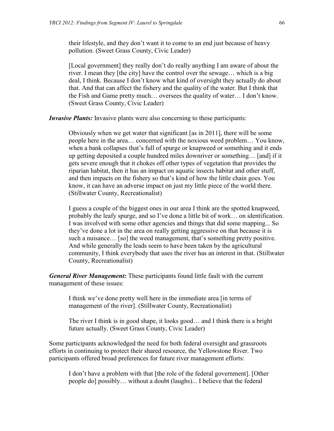their lifestyle, and they don't want it to come to an end just because of heavy pollution. (Sweet Grass County, Civic Leader)

[Local government] they really don't do really anything I am aware of about the river. I mean they [the city] have the control over the sewage… which is a big deal, I think. Because I don't know what kind of oversight they actually do about that. And that can affect the fishery and the quality of the water. But I think that the Fish and Game pretty much… oversees the quality of water… I don't know. (Sweet Grass County, Civic Leader)

*Invasive Plants:* Invasive plants were also concerning to these participants:

Obviously when we get water that significant [as in 2011], there will be some people here in the area… concerned with the noxious weed problem… You know, when a bank collapses that's full of spurge or knapweed or something and it ends up getting deposited a couple hundred miles downriver or something… [and] if it gets severe enough that it chokes off other types of vegetation that provides the riparian habitat, then it has an impact on aquatic insects habitat and other stuff, and then impacts on the fishery so that's kind of how the little chain goes. You know, it can have an adverse impact on just my little piece of the world there. (Stillwater County, Recreationalist)

I guess a couple of the biggest ones in our area I think are the spotted knapweed, probably the leafy spurge, and so I've done a little bit of work… on identification. I was involved with some other agencies and things that did some mapping... So they've done a lot in the area on really getting aggressive on that because it is such a nuisance... [so] the weed management, that's something pretty positive. And while generally the leads seem to have been taken by the agricultural community, I think everybody that uses the river has an interest in that. (Stillwater County, Recreationalist)

*General River Management:* These participants found little fault with the current management of these issues:

I think we've done pretty well here in the immediate area [in terms of management of the river]. (Stillwater County, Recreationalist)

The river I think is in good shape, it looks good… and I think there is a bright future actually. (Sweet Grass County, Civic Leader)

Some participants acknowledged the need for both federal oversight and grassroots efforts in continuing to protect their shared resource, the Yellowstone River. Two participants offered broad preferences for future river management efforts:

I don't have a problem with that [the role of the federal government]. [Other people do] possibly… without a doubt (laughs)... I believe that the federal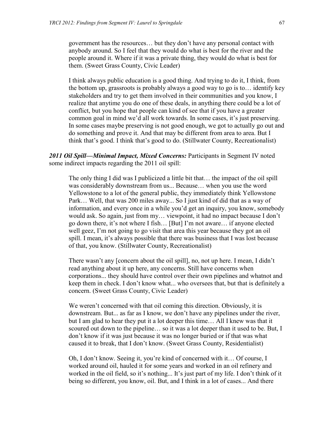government has the resources… but they don't have any personal contact with anybody around. So I feel that they would do what is best for the river and the people around it. Where if it was a private thing, they would do what is best for them. (Sweet Grass County, Civic Leader)

I think always public education is a good thing. And trying to do it, I think, from the bottom up, grassroots is probably always a good way to go is to… identify key stakeholders and try to get them involved in their communities and you know, I realize that anytime you do one of these deals, in anything there could be a lot of conflict, but you hope that people can kind of see that if you have a greater common goal in mind we'd all work towards. In some cases, it's just preserving. In some cases maybe preserving is not good enough, we got to actually go out and do something and prove it. And that may be different from area to area. But I think that's good. I think that's good to do. (Stillwater County, Recreationalist)

*2011 Oil Spill—Minimal Impact, Mixed Concerns:* Participants in Segment IV noted some indirect impacts regarding the 2011 oil spill:

The only thing I did was I publicized a little bit that… the impact of the oil spill was considerably downstream from us... Because… when you use the word Yellowstone to a lot of the general public, they immediately think Yellowstone Park… Well, that was 200 miles away... So I just kind of did that as a way of information, and every once in a while you'd get an inquiry, you know, somebody would ask. So again, just from my… viewpoint, it had no impact because I don't go down there, it's not where I fish… [But] I'm not aware… if anyone elected well geez, I'm not going to go visit that area this year because they got an oil spill. I mean, it's always possible that there was business that I was lost because of that, you know. (Stillwater County, Recreationalist)

There wasn't any [concern about the oil spill], no, not up here. I mean, I didn't read anything about it up here, any concerns. Still have concerns when corporations... they should have control over their own pipelines and whatnot and keep them in check. I don't know what... who oversees that, but that is definitely a concern. (Sweet Grass County, Civic Leader)

We weren't concerned with that oil coming this direction. Obviously, it is downstream. But... as far as I know, we don't have any pipelines under the river, but I am glad to hear they put it a lot deeper this time… All I knew was that it scoured out down to the pipeline… so it was a lot deeper than it used to be. But, I don't know if it was just because it was no longer buried or if that was what caused it to break, that I don't know. (Sweet Grass County, Residentialist)

Oh, I don't know. Seeing it, you're kind of concerned with it… Of course, I worked around oil, hauled it for some years and worked in an oil refinery and worked in the oil field, so it's nothing... It's just part of my life. I don't think of it being so different, you know, oil. But, and I think in a lot of cases... And there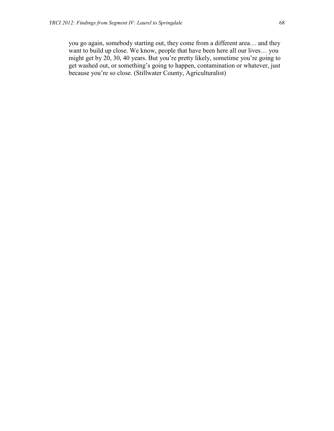you go again, somebody starting out, they come from a different area… and they want to build up close. We know, people that have been here all our lives… you might get by 20, 30, 40 years. But you're pretty likely, sometime you're going to get washed out, or something's going to happen, contamination or whatever, just because you're so close. (Stillwater County, Agriculturalist)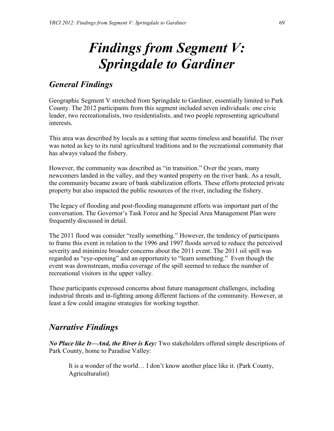# *Findings from Segment V: Springdale to Gardiner*

#### *General Findings*

Geographic Segment V stretched from Springdale to Gardiner, essentially limited to Park County. The 2012 participants from this segment included seven individuals: one civic leader, two recreationalists, two residentialists, and two people representing agricultural interests.

This area was described by locals as a setting that seems timeless and beautiful. The river was noted as key to its rural agricultural traditions and to the recreational community that has always valued the fishery.

However, the community was described as "in transition." Over the years, many newcomers landed in the valley, and they wanted property on the river bank. As a result, the community became aware of bank stabilization efforts. These efforts protected private property but also impacted the public resources of the river, including the fishery.

The legacy of flooding and post-flooding management efforts was important part of the conversation. The Governor's Task Force and he Special Area Management Plan were frequently discussed in detail.

The 2011 flood was consider "really something." However, the tendency of participants to frame this event in relation to the 1996 and 1997 floods served to reduce the perceived severity and minimize broader concerns about the 2011 event. The 2011 oil spill was regarded as "eye-opening" and an opportunity to "learn something." Even though the event was downstream, media coverage of the spill seemed to reduce the number of recreational visitors in the upper valley.

These participants expressed concerns about future management challenges, including industrial threats and in-fighting among different factions of the community. However, at least a few could imagine strategies for working together.

#### *Narrative Findings*

*No Place like It—And, the River is Key:* Two stakeholders offered simple descriptions of Park County, home to Paradise Valley:

It is a wonder of the world… I don't know another place like it. (Park County, Agriculturalist)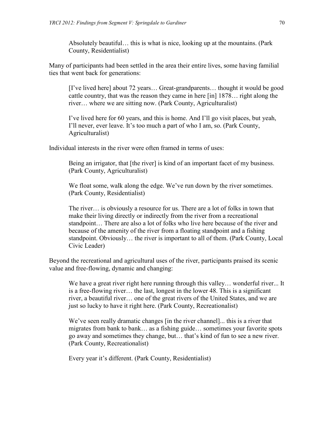Absolutely beautiful… this is what is nice, looking up at the mountains. (Park County, Residentialist)

Many of participants had been settled in the area their entire lives, some having familial ties that went back for generations:

[I've lived here] about 72 years… Great-grandparents… thought it would be good cattle country, that was the reason they came in here [in] 1878… right along the river… where we are sitting now. (Park County, Agriculturalist)

I've lived here for 60 years, and this is home. And I'll go visit places, but yeah, I'll never, ever leave. It's too much a part of who I am, so. (Park County, Agriculturalist)

Individual interests in the river were often framed in terms of uses:

Being an irrigator, that [the river] is kind of an important facet of my business. (Park County, Agriculturalist)

We float some, walk along the edge. We've run down by the river sometimes. (Park County, Residentialist)

The river… is obviously a resource for us. There are a lot of folks in town that make their living directly or indirectly from the river from a recreational standpoint… There are also a lot of folks who live here because of the river and because of the amenity of the river from a floating standpoint and a fishing standpoint. Obviously… the river is important to all of them. (Park County, Local Civic Leader)

Beyond the recreational and agricultural uses of the river, participants praised its scenic value and free-flowing, dynamic and changing:

We have a great river right here running through this valley... wonderful river... It is a free-flowing river… the last, longest in the lower 48. This is a significant river, a beautiful river… one of the great rivers of the United States, and we are just so lucky to have it right here. (Park County, Recreationalist)

We've seen really dramatic changes [in the river channel]... this is a river that migrates from bank to bank… as a fishing guide… sometimes your favorite spots go away and sometimes they change, but… that's kind of fun to see a new river. (Park County, Recreationalist)

Every year it's different. (Park County, Residentialist)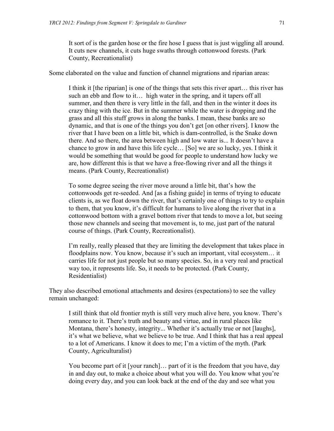It sort of is the garden hose or the fire hose I guess that is just wiggling all around. It cuts new channels, it cuts huge swaths through cottonwood forests. (Park County, Recreationalist)

Some elaborated on the value and function of channel migrations and riparian areas:

I think it [the riparian] is one of the things that sets this river apart… this river has such an ebb and flow to it… high water in the spring, and it tapers off all summer, and then there is very little in the fall, and then in the winter it does its crazy thing with the ice. But in the summer while the water is dropping and the grass and all this stuff grows in along the banks. I mean, these banks are so dynamic, and that is one of the things you don't get [on other rivers]. I know the river that I have been on a little bit, which is dam-controlled, is the Snake down there. And so there, the area between high and low water is... It doesn't have a chance to grow in and have this life cycle… [So] we are so lucky, yes. I think it would be something that would be good for people to understand how lucky we are, how different this is that we have a free-flowing river and all the things it means. (Park County, Recreationalist)

To some degree seeing the river move around a little bit, that's how the cottonwoods get re-seeded. And [as a fishing guide] in terms of trying to educate clients is, as we float down the river, that's certainly one of things to try to explain to them, that you know, it's difficult for humans to live along the river that in a cottonwood bottom with a gravel bottom river that tends to move a lot, but seeing those new channels and seeing that movement is, to me, just part of the natural course of things. (Park County, Recreationalist).

I'm really, really pleased that they are limiting the development that takes place in floodplains now. You know, because it's such an important, vital ecosystem… it carries life for not just people but so many species. So, in a very real and practical way too, it represents life. So, it needs to be protected. (Park County, Residentialist)

They also described emotional attachments and desires (expectations) to see the valley remain unchanged:

I still think that old frontier myth is still very much alive here, you know. There's romance to it. There's truth and beauty and virtue, and in rural places like Montana, there's honesty, integrity... Whether it's actually true or not [laughs], it's what we believe, what we believe to be true. And I think that has a real appeal to a lot of Americans. I know it does to me; I'm a victim of the myth. (Park County, Agriculturalist)

You become part of it [your ranch]... part of it is the freedom that you have, day in and day out, to make a choice about what you will do. You know what you're doing every day, and you can look back at the end of the day and see what you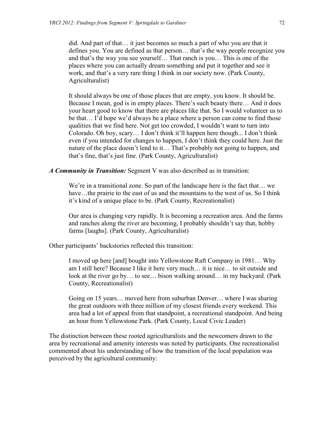did. And part of that… it just becomes so much a part of who you are that it defines you. You are defined as that person… that's the way people recognize you and that's the way you see yourself… That ranch is you… This is one of the places where you can actually dream something and put it together and see it work, and that's a very rare thing I think in our society now. (Park County, Agriculturalist)

It should always be one of those places that are empty, you know. It should be. Because I mean, god is in empty places. There's such beauty there… And it does your heart good to know that there are places like that. So I would volunteer us to be that… I'd hope we'd always be a place where a person can come to find those qualities that we find here. Not get too crowded, I wouldn't want to turn into Colorado. Oh boy, scary… I don't think it'll happen here though... I don't think even if you intended for changes to happen, I don't think they could here. Just the nature of the place doesn't lend to it… That's probably not going to happen, and that's fine, that's just fine. (Park County, Agriculturalist)

*A Community in Transition:* Segment V was also described as in transition:

We're in a transitional zone. So part of the landscape here is the fact that… we have...the prairie to the east of us and the mountains to the west of us. So I think it's kind of a unique place to be. (Park County, Recreationalist)

Our area is changing very rapidly. It is becoming a recreation area. And the farms and ranches along the river are becoming, I probably shouldn't say that, hobby farms [laughs]. (Park County, Agriculturalist)

Other participants' backstories reflected this transition:

I moved up here [and] bought into Yellowstone Raft Company in 1981… Why am I still here? Because I like it here very much… it is nice… to sit outside and look at the river go by… to see… bison walking around… in my backyard. (Park County, Recreationalist)

Going on 15 years… moved here from suburban Denver… where I was sharing the great outdoors with three million of my closest friends every weekend. This area had a lot of appeal from that standpoint, a recreational standpoint. And being an hour from Yellowstone Park. (Park County, Local Civic Leader)

The distinction between these rooted agriculturalists and the newcomers drawn to the area by recreational and amenity interests was noted by participants. One recreationalist commented about his understanding of how the transition of the local population was perceived by the agricultural community: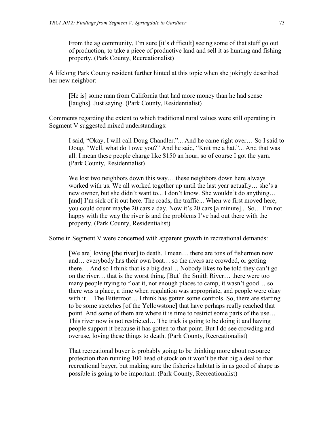From the ag community, I'm sure [it's difficult] seeing some of that stuff go out of production, to take a piece of productive land and sell it as hunting and fishing property. (Park County, Recreationalist)

A lifelong Park County resident further hinted at this topic when she jokingly described her new neighbor:

[He is] some man from California that had more money than he had sense [laughs]. Just saying. (Park County, Residentialist)

Comments regarding the extent to which traditional rural values were still operating in Segment V suggested mixed understandings:

I said, "Okay, I will call Doug Chandler."... And he came right over… So I said to Doug, "Well, what do I owe you?" And he said, "Knit me a hat."... And that was all. I mean these people charge like \$150 an hour, so of course I got the yarn. (Park County, Residentialist)

We lost two neighbors down this way... these neighbors down here always worked with us. We all worked together up until the last year actually… she's a new owner, but she didn't want to... I don't know. She wouldn't do anything… [and] I'm sick of it out here. The roads, the traffic... When we first moved here, you could count maybe 20 cars a day. Now it's 20 cars [a minute]... So… I'm not happy with the way the river is and the problems I've had out there with the property. (Park County, Residentialist)

Some in Segment V were concerned with apparent growth in recreational demands:

[We are] loving [the river] to death. I mean… there are tons of fishermen now and… everybody has their own boat… so the rivers are crowded, or getting there… And so I think that is a big deal… Nobody likes to be told they can't go on the river… that is the worst thing. [But] the Smith River… there were too many people trying to float it, not enough places to camp, it wasn't good… so there was a place, a time when regulation was appropriate, and people were okay with it… The Bitterroot… I think has gotten some controls. So, there are starting to be some stretches [of the Yellowstone] that have perhaps really reached that point. And some of them are where it is time to restrict some parts of the use… This river now is not restricted… The trick is going to be doing it and having people support it because it has gotten to that point. But I do see crowding and overuse, loving these things to death. (Park County, Recreationalist)

That recreational buyer is probably going to be thinking more about resource protection than running 100 head of stock on it won't be that big a deal to that recreational buyer, but making sure the fisheries habitat is in as good of shape as possible is going to be important. (Park County, Recreationalist)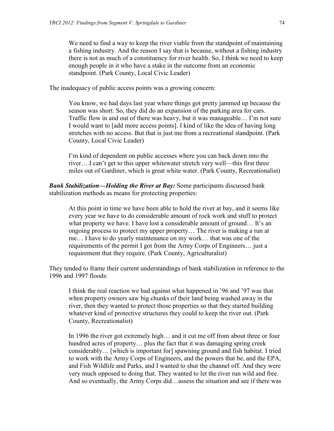We need to find a way to keep the river viable from the standpoint of maintaining a fishing industry. And the reason I say that is because, without a fishing industry there is not as much of a constituency for river health. So, I think we need to keep enough people in it who have a stake in the outcome from an economic standpoint. (Park County, Local Civic Leader)

The inadequacy of public access points was a growing concern:

You know, we had days last year where things got pretty jammed up because the season was short. So, they did do an expansion of the parking area for cars. Traffic flow in and out of there was heavy, but it was manageable… I'm not sure I would want to [add more access points]. I kind of like the idea of having long stretches with no access. But that is just me from a recreational standpoint. (Park County, Local Civic Leader)

I'm kind of dependent on public accesses where you can back down into the river….I can't get to this upper whitewater stretch very well—this first three miles out of Gardiner, which is great white water. (Park County, Recreationalist)

*Bank Stabilization—Holding the River at Bay:* Some participants discussed bank stabilization methods as means for protecting properties:

At this point in time we have been able to hold the river at bay, and it seems like every year we have to do considerable amount of rock work and stuff to protect what property we have. I have lost a considerable amount of ground… It's an ongoing process to protect my upper property… The river is making a run at me… I have to do yearly maintenance on my work… that was one of the requirements of the permit I got from the Army Corps of Engineers… just a requirement that they require. (Park County, Agriculturalist)

They tended to frame their current understandings of bank stabilization in reference to the 1996 and 1997 floods:

I think the real reaction we had against what happened in '96 and '97 was that when property owners saw big chunks of their land being washed away in the river, then they wanted to protect those properties so that they started building whatever kind of protective structures they could to keep the river out. (Park County, Recreationalist)

In 1996 the river got extremely high… and it cut me off from about three or four hundred acres of property… plus the fact that it was damaging spring creek considerably… [which is important for] spawning ground and fish habitat. I tried to work with the Army Corps of Engineers, and the powers that be, and the EPA, and Fish Wildlife and Parks, and I wanted to shut the channel off. And they were very much opposed to doing that. They wanted to let the river run wild and free. And so eventually, the Army Corps did…assess the situation and see if there was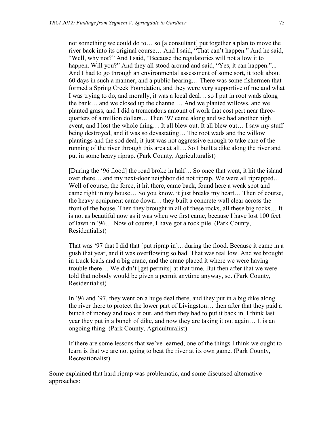not something we could do to… so [a consultant] put together a plan to move the river back into its original course… And I said, "That can't happen." And he said, "Well, why not?" And I said, "Because the regulatories will not allow it to happen. Will you?" And they all stood around and said, "Yes, it can happen."... And I had to go through an environmental assessment of some sort, it took about 60 days in such a manner, and a public hearing… There was some fishermen that formed a Spring Creek Foundation, and they were very supportive of me and what I was trying to do, and morally, it was a local deal… so I put in root wads along the bank… and we closed up the channel… And we planted willows, and we planted grass, and I did a tremendous amount of work that cost pert near threequarters of a million dollars… Then '97 came along and we had another high event, and I lost the whole thing… It all blew out. It all blew out… I saw my stuff being destroyed, and it was so devastating… The root wads and the willow plantings and the sod deal, it just was not aggressive enough to take care of the running of the river through this area at all… So I built a dike along the river and put in some heavy riprap. (Park County, Agriculturalist)

[During the '96 flood] the road broke in half… So once that went, it hit the island over there… and my next-door neighbor did not riprap. We were all riprapped… Well of course, the force, it hit there, came back, found here a weak spot and came right in my house… So you know, it just breaks my heart… Then of course, the heavy equipment came down… they built a concrete wall clear across the front of the house. Then they brought in all of these rocks, all these big rocks… It is not as beautiful now as it was when we first came, because I have lost 100 feet of lawn in '96… Now of course, I have got a rock pile. (Park County, Residentialist)

That was '97 that I did that [put riprap in]... during the flood. Because it came in a gush that year, and it was overflowing so bad. That was real low. And we brought in truck loads and a big crane, and the crane placed it where we were having trouble there… We didn't [get permits] at that time. But then after that we were told that nobody would be given a permit anytime anyway, so. (Park County, Residentialist)

In '96 and '97, they went on a huge deal there, and they put in a big dike along the river there to protect the lower part of Livingston… then after that they paid a bunch of money and took it out, and then they had to put it back in. I think last year they put in a bunch of dike, and now they are taking it out again… It is an ongoing thing. (Park County, Agriculturalist)

If there are some lessons that we've learned, one of the things I think we ought to learn is that we are not going to beat the river at its own game. (Park County, Recreationalist)

Some explained that hard riprap was problematic, and some discussed alternative approaches: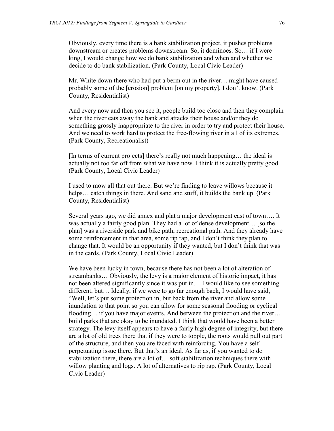Obviously, every time there is a bank stabilization project, it pushes problems downstream or creates problems downstream. So, it dominoes. So… if I were king, I would change how we do bank stabilization and when and whether we decide to do bank stabilization. (Park County, Local Civic Leader)

Mr. White down there who had put a berm out in the river… might have caused probably some of the [erosion] problem [on my property], I don't know. (Park County, Residentialist)

And every now and then you see it, people build too close and then they complain when the river eats away the bank and attacks their house and/or they do something grossly inappropriate to the river in order to try and protect their house. And we need to work hard to protect the free-flowing river in all of its extremes. (Park County, Recreationalist)

[In terms of current projects] there's really not much happening… the ideal is actually not too far off from what we have now. I think it is actually pretty good. (Park County, Local Civic Leader)

I used to mow all that out there. But we're finding to leave willows because it helps… catch things in there. And sand and stuff, it builds the bank up. (Park County, Residentialist)

Several years ago, we did annex and plat a major development east of town…. It was actually a fairly good plan. They had a lot of dense development… [so the plan] was a riverside park and bike path, recreational path. And they already have some reinforcement in that area, some rip rap, and I don't think they plan to change that. It would be an opportunity if they wanted, but I don't think that was in the cards. (Park County, Local Civic Leader)

We have been lucky in town, because there has not been a lot of alteration of streambanks… Obviously, the levy is a major element of historic impact, it has not been altered significantly since it was put in… I would like to see something different, but… Ideally, if we were to go far enough back, I would have said, "Well, let's put some protection in, but back from the river and allow some inundation to that point so you can allow for some seasonal flooding or cyclical flooding... if you have major events. And between the protection and the river... build parks that are okay to be inundated. I think that would have been a better strategy. The levy itself appears to have a fairly high degree of integrity, but there are a lot of old trees there that if they were to topple, the roots would pull out part of the structure, and then you are faced with reinforcing. You have a selfperpetuating issue there. But that's an ideal. As far as, if you wanted to do stabilization there, there are a lot of… soft stabilization techniques there with willow planting and logs. A lot of alternatives to rip rap. (Park County, Local Civic Leader)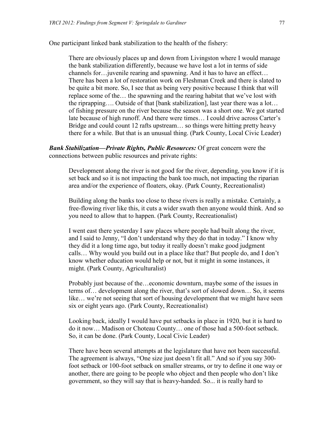One participant linked bank stabilization to the health of the fishery:

There are obviously places up and down from Livingston where I would manage the bank stabilization differently, because we have lost a lot in terms of side channels for…juvenile rearing and spawning. And it has to have an effect… There has been a lot of restoration work on Fleshman Creek and there is slated to be quite a bit more. So, I see that as being very positive because I think that will replace some of the… the spawning and the rearing habitat that we've lost with the riprapping…. Outside of that [bank stabilization], last year there was a lot… of fishing pressure on the river because the season was a short one. We got started late because of high runoff. And there were times… I could drive across Carter's Bridge and could count 12 rafts upstream… so things were hitting pretty heavy there for a while. But that is an unusual thing. (Park County, Local Civic Leader)

*Bank Stabilization—Private Rights, Public Resources:* Of great concern were the connections between public resources and private rights:

Development along the river is not good for the river, depending, you know if it is set back and so it is not impacting the bank too much, not impacting the riparian area and/or the experience of floaters, okay. (Park County, Recreationalist)

Building along the banks too close to these rivers is really a mistake. Certainly, a free-flowing river like this, it cuts a wider swath then anyone would think. And so you need to allow that to happen. (Park County, Recreationalist)

I went east there yesterday I saw places where people had built along the river, and I said to Jenny, "I don't understand why they do that in today." I know why they did it a long time ago, but today it really doesn't make good judgment calls… Why would you build out in a place like that? But people do, and I don't know whether education would help or not, but it might in some instances, it might. (Park County, Agriculturalist)

Probably just because of the…economic downturn, maybe some of the issues in terms of… development along the river, that's sort of slowed down… So, it seems like… we're not seeing that sort of housing development that we might have seen six or eight years ago. (Park County, Recreationalist)

Looking back, ideally I would have put setbacks in place in 1920, but it is hard to do it now… Madison or Choteau County… one of those had a 500-foot setback. So, it can be done. (Park County, Local Civic Leader)

There have been several attempts at the legislature that have not been successful. The agreement is always, "One size just doesn't fit all." And so if you say 300 foot setback or 100-foot setback on smaller streams, or try to define it one way or another, there are going to be people who object and then people who don't like government, so they will say that is heavy-handed. So... it is really hard to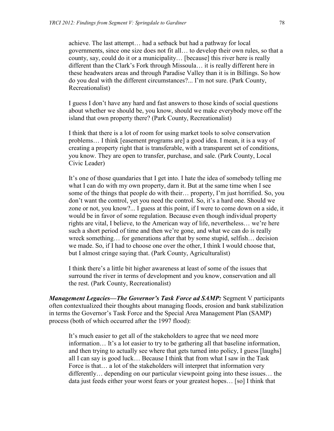achieve. The last attempt… had a setback but had a pathway for local governments, since one size does not fit all… to develop their own rules, so that a county, say, could do it or a municipality… [because] this river here is really different than the Clark's Fork through Missoula… it is really different here in these headwaters areas and through Paradise Valley than it is in Billings. So how do you deal with the different circumstances?... I'm not sure. (Park County, Recreationalist)

I guess I don't have any hard and fast answers to those kinds of social questions about whether we should be, you know, should we make everybody move off the island that own property there? (Park County, Recreationalist)

I think that there is a lot of room for using market tools to solve conservation problems… I think [easement programs are] a good idea. I mean, it is a way of creating a property right that is transferable, with a transparent set of conditions, you know. They are open to transfer, purchase, and sale. (Park County, Local Civic Leader)

It's one of those quandaries that I get into. I hate the idea of somebody telling me what I can do with my own property, darn it. But at the same time when I see some of the things that people do with their… property, I'm just horrified. So, you don't want the control, yet you need the control. So, it's a hard one. Should we zone or not, you know?... I guess at this point, if I were to come down on a side, it would be in favor of some regulation. Because even though individual property rights are vital, I believe, to the American way of life, nevertheless… we're here such a short period of time and then we're gone, and what we can do is really wreck something… for generations after that by some stupid, selfish… decision we made. So, if I had to choose one over the other, I think I would choose that, but I almost cringe saying that. (Park County, Agriculturalist)

I think there's a little bit higher awareness at least of some of the issues that surround the river in terms of development and you know, conservation and all the rest. (Park County, Recreationalist)

*Management Legacies—The Governor's Task Force ad SAMP:* Segment V participants often contextualized their thoughts about managing floods, erosion and bank stabilization in terms the Governor's Task Force and the Special Area Management Plan (SAMP) process (both of which occurred after the 1997 flood):

It's much easier to get all of the stakeholders to agree that we need more information… It's a lot easier to try to be gathering all that baseline information, and then trying to actually see where that gets turned into policy, I guess [laughs] all I can say is good luck… Because I think that from what I saw in the Task Force is that... a lot of the stakeholders will interpret that information very differently… depending on our particular viewpoint going into these issues… the data just feeds either your worst fears or your greatest hopes… [so] I think that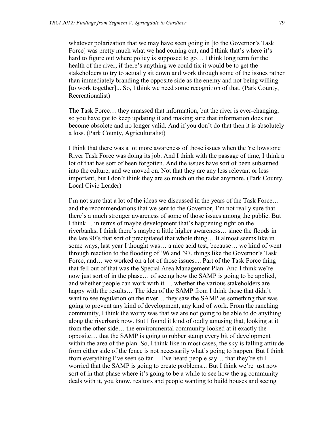whatever polarization that we may have seen going in [to the Governor's Task Force] was pretty much what we had coming out, and I think that's where it's hard to figure out where policy is supposed to go... I think long term for the health of the river, if there's anything we could fix it would be to get the stakeholders to try to actually sit down and work through some of the issues rather than immediately branding the opposite side as the enemy and not being willing [to work together]... So, I think we need some recognition of that. (Park County, Recreationalist)

The Task Force… they amassed that information, but the river is ever-changing, so you have got to keep updating it and making sure that information does not become obsolete and no longer valid. And if you don't do that then it is absolutely a loss. (Park County, Agriculturalist)

I think that there was a lot more awareness of those issues when the Yellowstone River Task Force was doing its job. And I think with the passage of time, I think a lot of that has sort of been forgotten. And the issues have sort of been subsumed into the culture, and we moved on. Not that they are any less relevant or less important, but I don't think they are so much on the radar anymore. (Park County, Local Civic Leader)

I'm not sure that a lot of the ideas we discussed in the years of the Task Force… and the recommendations that we sent to the Governor, I'm not really sure that there's a much stronger awareness of some of those issues among the public. But I think… in terms of maybe development that's happening right on the riverbanks, I think there's maybe a little higher awareness… since the floods in the late 90's that sort of precipitated that whole thing… It almost seems like in some ways, last year I thought was… a nice acid test, because… we kind of went through reaction to the flooding of '96 and '97, things like the Governor's Task Force, and... we worked on a lot of those issues.... Part of the Task Force thing that fell out of that was the Special Area Management Plan. And I think we're now just sort of in the phase… of seeing how the SAMP is going to be applied, and whether people can work with it … whether the various stakeholders are happy with the results... The idea of the SAMP from I think those that didn't want to see regulation on the river… they saw the SAMP as something that was going to prevent any kind of development, any kind of work. From the ranching community, I think the worry was that we are not going to be able to do anything along the riverbank now. But I found it kind of oddly amusing that, looking at it from the other side… the environmental community looked at it exactly the opposite… that the SAMP is going to rubber stamp every bit of development within the area of the plan. So, I think like in most cases, the sky is falling attitude from either side of the fence is not necessarily what's going to happen. But I think from everything I've seen so far… I've heard people say… that they're still worried that the SAMP is going to create problems... But I think we're just now sort of in that phase where it's going to be a while to see how the ag community deals with it, you know, realtors and people wanting to build houses and seeing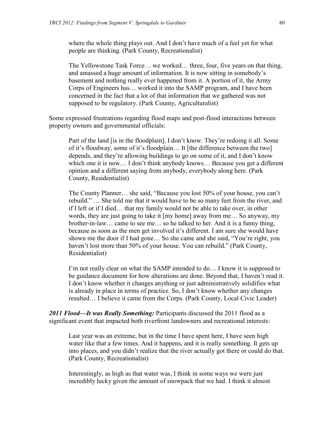where the whole thing plays out. And I don't have much of a feel yet for what people are thinking. (Park County, Recreationalist)

The Yellowstone Task Force… we worked… three, four, five years on that thing, and amassed a huge amount of information. It is now sitting in somebody's basement and nothing really ever happened from it. A portion of it, the Army Corps of Engineers has… worked it into the SAMP program, and I have been concerned in the fact that a lot of that information that we gathered was not supposed to be regulatory. (Park County, Agriculturalist)

Some expressed frustrations regarding flood maps and post-flood interactions between property owners and governmental officials:

Part of the land [is in the floodplain], I don't know. They're redoing it all. Some of it's floodway, some of it's floodplain… It [the difference between the two] depends, and they're allowing buildings to go on some of it, and I don't know which one it is now… I don't think anybody knows… Because you get a different opinion and a different saying from anybody, everybody along here. (Park County, Residentialist)

The County Planner… she said, "Because you lost 50% of your house, you can't rebuild." … She told me that it would have to be so many feet from the river, and if I left or if I died… that my family would not be able to take over, in other words, they are just going to take it [my home] away from me… So anyway, my brother-in-law… came to see me… so he talked to her. And it is a funny thing, because as soon as the men get involved it's different. I am sure she would have shown me the door if I had gone… So she came and she said, "You're right, you haven't lost more than 50% of your house. You can rebuild." (Park County, Residentialist)

I'm not really clear on what the SAMP intended to do… I know it is supposed to be guidance document for how alterations are done. Beyond that, I haven't read it. I don't know whether it changes anything or just administratively solidifies what is already in place in terms of practice. So, I don't know whether any changes resulted… I believe it came from the Corps. (Park County, Local Civic Leader)

*2011 Flood—It was Really Something:* Participants discussed the 2011 flood as a significant event that impacted both riverfront landowners and recreational interests:

Last year was an extreme, but in the time I have spent here, I have seen high water like that a few times. And it happens, and it is really something. It gets up into places, and you didn't realize that the river actually got there or could do that. (Park County, Recreationalist)

Interestingly, as high as that water was, I think in some ways we were just incredibly lucky given the amount of snowpack that we had. I think it almost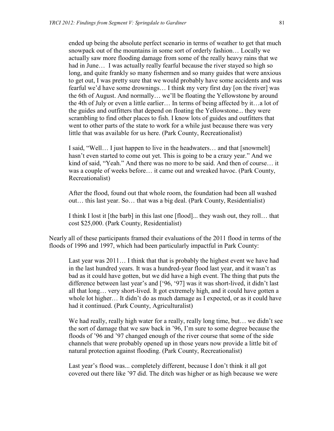ended up being the absolute perfect scenario in terms of weather to get that much snowpack out of the mountains in some sort of orderly fashion… Locally we actually saw more flooding damage from some of the really heavy rains that we had in June… I was actually really fearful because the river stayed so high so long, and quite frankly so many fishermen and so many guides that were anxious to get out, I was pretty sure that we would probably have some accidents and was fearful we'd have some drownings… I think my very first day [on the river] was the 6th of August. And normally… we'll be floating the Yellowstone by around the 4th of July or even a little earlier… In terms of being affected by it…a lot of the guides and outfitters that depend on floating the Yellowstone... they were scrambling to find other places to fish. I know lots of guides and outfitters that went to other parts of the state to work for a while just because there was very little that was available for us here. (Park County, Recreationalist)

I said, "Well… I just happen to live in the headwaters… and that [snowmelt] hasn't even started to come out yet. This is going to be a crazy year." And we kind of said, "Yeah." And there was no more to be said. And then of course… it was a couple of weeks before… it came out and wreaked havoc. (Park County, Recreationalist)

After the flood, found out that whole room, the foundation had been all washed out… this last year. So… that was a big deal. (Park County, Residentialist)

I think I lost it [the barb] in this last one [flood]... they wash out, they roll… that cost \$25,000. (Park County, Residentialist)

Nearly all of these participants framed their evaluations of the 2011 flood in terms of the floods of 1996 and 1997, which had been particularly impactful in Park County:

Last year was 2011… I think that that is probably the highest event we have had in the last hundred years. It was a hundred-year flood last year, and it wasn't as bad as it could have gotten, but we did have a high event. The thing that puts the difference between last year's and ['96, '97] was it was short-lived, it didn't last all that long… very short-lived. It got extremely high, and it could have gotten a whole lot higher… It didn't do as much damage as I expected, or as it could have had it continued. (Park County, Agriculturalist)

We had really, really high water for a really, really long time, but... we didn't see the sort of damage that we saw back in '96, I'm sure to some degree because the floods of '96 and '97 changed enough of the river course that some of the side channels that were probably opened up in those years now provide a little bit of natural protection against flooding. (Park County, Recreationalist)

Last year's flood was... completely different, because I don't think it all got covered out there like '97 did. The ditch was higher or as high because we were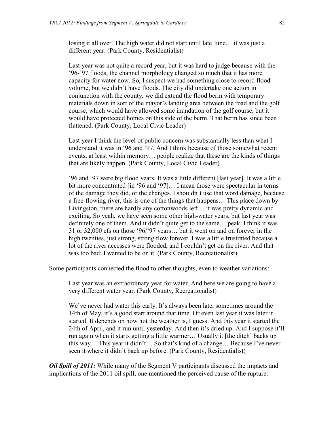losing it all over. The high water did not start until late June… it was just a different year. (Park County, Residentialist)

Last year was not quite a record year, but it was hard to judge because with the '96-'97 floods, the channel morphology changed so much that it has more capacity for water now. So, I suspect we had something close to record flood volume, but we didn't have floods. The city did undertake one action in conjunction with the county; we did extend the flood berm with temporary materials down in sort of the mayor's landing area between the road and the golf course, which would have allowed some inundation of the golf course, but it would have protected homes on this side of the berm. That berm has since been flattened. (Park County, Local Civic Leader)

Last year I think the level of public concern was substantially less than what I understand it was in '96 and '97. And I think because of those somewhat recent events, at least within memory… people realize that these are the kinds of things that are likely happen. (Park County, Local Civic Leader)

'96 and '97 were big flood years. It was a little different [last year]. It was a little bit more concentrated [in '96 and '97]... I mean those were spectacular in terms of the damage they did, or the changes. I shouldn't use that word damage, because a free-flowing river, this is one of the things that happens… This place down by Livingston, there are hardly any cottonwoods left… it was pretty dynamic and exciting. So yeah, we have seen some other high-water years, but last year was definitely one of them. And it didn't quite get to the same… peak, I think it was 31 or 32,000 cfs on those '96/'97 years… but it went on and on forever in the high twenties, just strong, strong flow forever. I was a little frustrated because a lot of the river accesses were flooded, and I couldn't get on the river. And that was too bad; I wanted to be on it. (Park County, Recreationalist)

Some participants connected the flood to other thoughts, even to weather variations:

Last year was an extraordinary year for water. And here we are going to have a very different water year. (Park County, Recreationalist)

We've never had water this early. It's always been late, sometimes around the 14th of May, it's a good start around that time. Or even last year it was later it started. It depends on how hot the weather is, I guess. And this year it started the 24th of April, and it run until yesterday. And then it's dried up. And I suppose it'll run again when it starts getting a little warmer… Usually it [the ditch] backs up this way… This year it didn't… So that's kind of a change… Because I've never seen it where it didn't back up before. (Park County, Residentialist)

*Oil Spill of 2011:* While many of the Segment V participants discussed the impacts and implications of the 2011 oil spill, one mentioned the perceived cause of the rupture: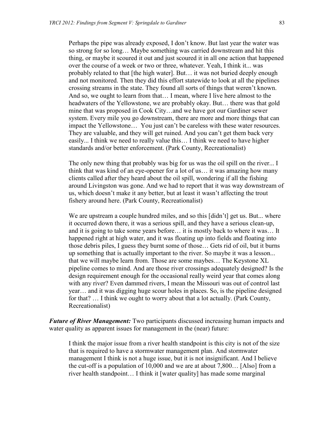Perhaps the pipe was already exposed, I don't know. But last year the water was so strong for so long… Maybe something was carried downstream and hit this thing, or maybe it scoured it out and just scoured it in all one action that happened over the course of a week or two or three, whatever. Yeah, I think it... was probably related to that [the high water]. But… it was not buried deeply enough and not monitored. Then they did this effort statewide to look at all the pipelines crossing streams in the state. They found all sorts of things that weren't known. And so, we ought to learn from that… I mean, where I live here almost to the headwaters of the Yellowstone, we are probably okay. But… there was that gold mine that was proposed in Cook City…and we have got our Gardiner sewer system. Every mile you go downstream, there are more and more things that can impact the Yellowstone… You just can't be careless with these water resources. They are valuable, and they will get ruined. And you can't get them back very easily... I think we need to really value this… I think we need to have higher standards and/or better enforcement. (Park County, Recreationalist)

The only new thing that probably was big for us was the oil spill on the river... I think that was kind of an eye-opener for a lot of us… it was amazing how many clients called after they heard about the oil spill, wondering if all the fishing around Livingston was gone. And we had to report that it was way downstream of us, which doesn't make it any better, but at least it wasn't affecting the trout fishery around here. (Park County, Recreationalist)

We are upstream a couple hundred miles, and so this [didn't] get us. But... where it occurred down there, it was a serious spill, and they have a serious clean-up, and it is going to take some years before… it is mostly back to where it was… It happened right at high water, and it was floating up into fields and floating into those debris piles, I guess they burnt some of those… Gets rid of oil, but it burns up something that is actually important to the river. So maybe it was a lesson... that we will maybe learn from. Those are some maybes… The Keystone XL pipeline comes to mind. And are those river crossings adequately designed? Is the design requirement enough for the occasional really weird year that comes along with any river? Even dammed rivers, I mean the Missouri was out of control last year… and it was digging huge scour holes in places. So, is the pipeline designed for that? … I think we ought to worry about that a lot actually. (Park County, Recreationalist)

*Future of River Management:* Two participants discussed increasing human impacts and water quality as apparent issues for management in the (near) future:

I think the major issue from a river health standpoint is this city is not of the size that is required to have a stormwater management plan. And stormwater management I think is not a huge issue, but it is not insignificant. And I believe the cut-off is a population of 10,000 and we are at about 7,800… [Also] from a river health standpoint… I think it [water quality] has made some marginal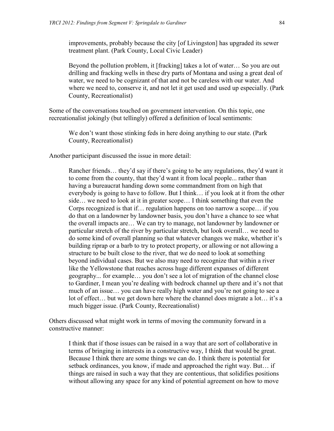improvements, probably because the city [of Livingston] has upgraded its sewer treatment plant. (Park County, Local Civic Leader)

Beyond the pollution problem, it [fracking] takes a lot of water… So you are out drilling and fracking wells in these dry parts of Montana and using a great deal of water, we need to be cognizant of that and not be careless with our water. And where we need to, conserve it, and not let it get used and used up especially. (Park County, Recreationalist)

Some of the conversations touched on government intervention. On this topic, one recreationalist jokingly (but tellingly) offered a definition of local sentiments:

We don't want those stinking feds in here doing anything to our state. (Park County, Recreationalist)

Another participant discussed the issue in more detail:

Rancher friends… they'd say if there's going to be any regulations, they'd want it to come from the county, that they'd want it from local people... rather than having a bureaucrat handing down some commandment from on high that everybody is going to have to follow. But I think… if you look at it from the other side… we need to look at it in greater scope… I think something that even the Corps recognized is that if… regulation happens on too narrow a scope… if you do that on a landowner by landowner basis, you don't have a chance to see what the overall impacts are… We can try to manage, not landowner by landowner or particular stretch of the river by particular stretch, but look overall… we need to do some kind of overall planning so that whatever changes we make, whether it's building riprap or a barb to try to protect property, or allowing or not allowing a structure to be built close to the river, that we do need to look at something beyond individual cases. But we also may need to recognize that within a river like the Yellowstone that reaches across huge different expanses of different geography... for example… you don't see a lot of migration of the channel close to Gardiner, I mean you're dealing with bedrock channel up there and it's not that much of an issue… you can have really high water and you're not going to see a lot of effect… but we get down here where the channel does migrate a lot… it's a much bigger issue. (Park County, Recreationalist)

Others discussed what might work in terms of moving the community forward in a constructive manner:

I think that if those issues can be raised in a way that are sort of collaborative in terms of bringing in interests in a constructive way, I think that would be great. Because I think there are some things we can do. I think there is potential for setback ordinances, you know, if made and approached the right way. But… if things are raised in such a way that they are contentious, that solidifies positions without allowing any space for any kind of potential agreement on how to move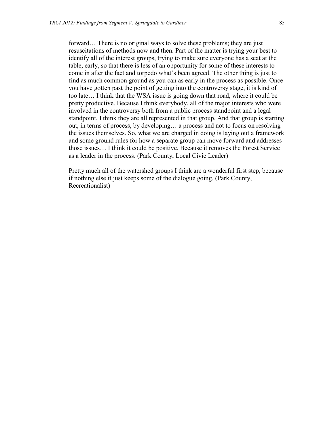forward… There is no original ways to solve these problems; they are just resuscitations of methods now and then. Part of the matter is trying your best to identify all of the interest groups, trying to make sure everyone has a seat at the table, early, so that there is less of an opportunity for some of these interests to come in after the fact and torpedo what's been agreed. The other thing is just to find as much common ground as you can as early in the process as possible. Once you have gotten past the point of getting into the controversy stage, it is kind of too late… I think that the WSA issue is going down that road, where it could be pretty productive. Because I think everybody, all of the major interests who were involved in the controversy both from a public process standpoint and a legal standpoint, I think they are all represented in that group. And that group is starting out, in terms of process, by developing… a process and not to focus on resolving the issues themselves. So, what we are charged in doing is laying out a framework and some ground rules for how a separate group can move forward and addresses those issues… I think it could be positive. Because it removes the Forest Service as a leader in the process. (Park County, Local Civic Leader)

Pretty much all of the watershed groups I think are a wonderful first step, because if nothing else it just keeps some of the dialogue going. (Park County, Recreationalist)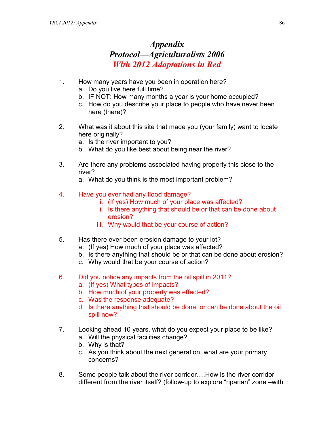## *Appendix Protocol—Agriculturalists 2006 With 2012 Adaptations in Red*

- 1. How many years have you been in operation here?
	- a. Do you live here full time?
	- b. IF NOT: How many months a year is your home occupied?
	- c. How do you describe your place to people who have never been here (there)?
- 2. What was it about this site that made you (your family) want to locate here originally?
	- a. Is the river important to you?
	- b. What do you like best about being near the river?
- 3. Are there any problems associated having property this close to the river?
	- a. What do you think is the most important problem?
- 4. Have you ever had any flood damage?
	- i. (If yes) How much of your place was affected?
	- ii. Is there anything that should be or that can be done about erosion?
	- iii. Why would that be your course of action?
- 5. Has there ever been erosion damage to your lot?
	- a. (If yes) How much of your place was affected?
	- b. Is there anything that should be or that can be done about erosion?
	- c. Why would that be your course of action?
- 6. Did you notice any impacts from the oil spill in 2011?
	- a. (If yes) What types of impacts?
	- b. How much of your property was effected?
	- c. Was the response adequate?
	- d. Is there anything that should be done, or can be done about the oil spill now?
- 7. Looking ahead 10 years, what do you expect your place to be like?
	- a. Will the physical facilities change?
	- b. Why is that?
	- c. As you think about the next generation, what are your primary concerns?
- 8. Some people talk about the river corridor….How is the river corridor different from the river itself? (follow-up to explore "riparian" zone –with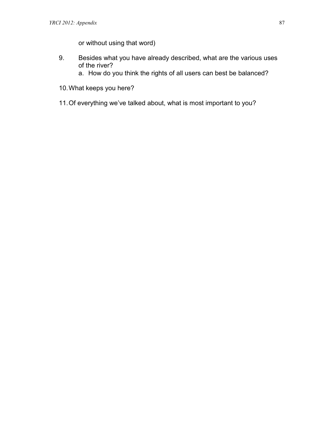or without using that word)

- 9. Besides what you have already described, what are the various uses of the river?
	- a. How do you think the rights of all users can best be balanced?
- 10.What keeps you here?
- 11.Of everything we've talked about, what is most important to you?